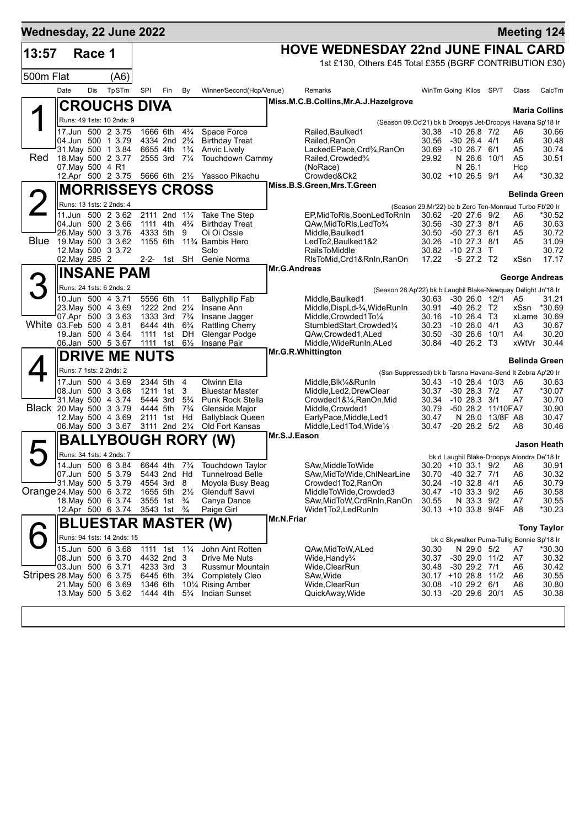| Wednesday, 22 June 2022   |                         |        |                                               |                      |                                        |                                  |                                                                    |                   |                                                               |                                                                              |                                      |                   | <b>Meeting 124</b>                          |                      |
|---------------------------|-------------------------|--------|-----------------------------------------------|----------------------|----------------------------------------|----------------------------------|--------------------------------------------------------------------|-------------------|---------------------------------------------------------------|------------------------------------------------------------------------------|--------------------------------------|-------------------|---------------------------------------------|----------------------|
| 13:57                     |                         | Race 1 |                                               |                      |                                        |                                  |                                                                    |                   | <b>HOVE WEDNESDAY 22nd JUNE FINAL CARD</b>                    |                                                                              |                                      |                   |                                             |                      |
|                           |                         |        |                                               |                      |                                        |                                  |                                                                    |                   | 1st £130, Others £45 Total £355 (BGRF CONTRIBUTION £30)       |                                                                              |                                      |                   |                                             |                      |
| 500m Flat                 |                         |        | (A6)                                          |                      |                                        |                                  |                                                                    |                   |                                                               |                                                                              |                                      |                   |                                             |                      |
|                           | Date                    | Dis    | TpSTm                                         | SPI                  | Fin                                    | By                               | Winner/Second(Hcp/Venue)                                           |                   | Remarks                                                       | WinTm Going Kilos SP/T                                                       |                                      |                   | Class                                       | CalcTm               |
|                           |                         |        | <b>CROUCHS DIVA</b>                           |                      |                                        |                                  |                                                                    |                   | Miss.M.C.B.Collins, Mr.A.J.Hazelgrove                         |                                                                              |                                      |                   |                                             | <b>Maria Collins</b> |
|                           |                         |        | Runs: 49 1sts: 10 2nds: 9                     |                      |                                        |                                  |                                                                    |                   | (Season 09.Oc'21) bk b Droopys Jet-Droopys Havana Sp'18 Ir    |                                                                              |                                      |                   |                                             |                      |
|                           |                         |        | 17.Jun 500 2 3.75                             |                      | 1666 6th                               | $4\frac{3}{4}$                   | Space Force                                                        |                   | Railed, Baulked1                                              | 30.38 -10 26.8 7/2                                                           |                                      |                   | A6                                          | 30.66                |
|                           |                         |        | 04.Jun 500 1 3.79<br>31. May 500 1 3.84       | 6655 4th             | 4334 2nd 2 <sup>3</sup> / <sub>4</sub> | $1\frac{3}{4}$                   | <b>Birthday Treat</b><br>Anvic Lively                              |                   | Railed, RanOn<br>LackedEPace, Crd3⁄4, RanOn                   | 30.56<br>30.69                                                               | $-30$ 26.4 $4/1$<br>$-10, 26.7, 6/1$ |                   | A6<br>A5                                    | 30.48<br>30.74       |
| Red                       |                         |        | 18. May 500 2 3.77                            |                      | 2555 3rd 71/4                          |                                  | <b>Touchdown Cammy</b>                                             |                   | Railed, Crowded%                                              | 29.92                                                                        |                                      | N 26.6 10/1       | A <sub>5</sub>                              | 30.51                |
|                           | 07. May 500 4 R1        |        | 12.Apr 500 2 3.75                             |                      |                                        |                                  | 5666 6th 21/ <sub>2</sub> Yassoo Pikachu                           |                   | (NoRace)<br>Crowded&Ck2                                       | $30.02 + 10.26.5$ 9/1                                                        | N 26.1                               |                   | Hcp<br>A4                                   | *30.32               |
|                           |                         |        | <b>MORRISSEYS CROSS</b>                       |                      |                                        |                                  |                                                                    |                   | Miss.B.S.Green, Mrs.T.Green                                   |                                                                              |                                      |                   |                                             |                      |
| 2                         |                         |        | Runs: 13 1sts: 2 2nds: 4                      |                      |                                        |                                  |                                                                    |                   |                                                               |                                                                              |                                      |                   | <b>Belinda Green</b>                        |                      |
|                           |                         |        | 11.Jun 500 2 3.62                             |                      | 2111 2nd 11/4                          |                                  | Take The Step                                                      |                   | EP,MidToRIs,SoonLedToRnIn                                     | (Season 29.Mr'22) be b Zero Ten-Monraud Turbo Fb'20 Ir<br>30.62 -20 27.6 9/2 |                                      |                   | A6                                          | *30.52               |
|                           |                         |        | 04.Jun 500 2 3.66                             |                      | 1111 4th                               | $4\frac{3}{4}$                   | <b>Birthday Treat</b>                                              |                   | QAw, MidToRIs, LedTo 3/4                                      | 30.56                                                                        | -30 27.3 8/1                         |                   | A6                                          | 30.63                |
| Blue                      |                         |        | 26. May 500 3 3.76<br>19. May 500 3 3.62      | 4333 5th             |                                        | 9                                | Oi Oi Ossie<br>1155 6th 11 <sup>3</sup> / <sub>4</sub> Bambis Hero |                   | Middle, Baulked1<br>LedTo2, Baulked 1&2                       | 30.50<br>30.26                                                               | $-50$ 27.3 $6/1$<br>$-10$ 27.3 $8/1$ |                   | A5<br>A5                                    | 30.72<br>31.09       |
|                           |                         |        | 12. May 500 3 3.72                            |                      |                                        |                                  | Solo                                                               |                   | <b>RailsToMiddle</b>                                          | 30.82 -10 27.3                                                               |                                      | $\top$            |                                             | 30.72                |
|                           | 02. May 285 2           |        |                                               |                      | 2-2- 1st SH                            |                                  | Genie Norma                                                        | Mr.G.Andreas      | RIsToMid, Crd1&RnIn, RanOn                                    | 17.22                                                                        | $-5$ 27.2 T2                         |                   | xSsn                                        | 17.17                |
|                           |                         |        | <b>INSANE PAM</b>                             |                      |                                        |                                  |                                                                    |                   |                                                               |                                                                              |                                      |                   | <b>George Andreas</b>                       |                      |
| 3                         |                         |        | Runs: 24 1sts: 6 2nds: 2                      |                      |                                        |                                  |                                                                    |                   | (Season 28.Ap'22) bk b Laughil Blake-Newquay Delight Jn'18 Ir |                                                                              |                                      |                   |                                             |                      |
|                           |                         |        | 10.Jun 500 4 3.71<br>23. May 500 4 3.69       | 5556 6th             | 1222 2nd 21/4                          | 11                               | <b>Ballyphilip Fab</b><br>Insane Ann                               |                   | Middle, Baulked 1<br>Middle, DispLd-3/4, WideRunIn            | 30.63<br>30.91                                                               | $-40$ 26.2 T <sub>2</sub>            | $-30$ 26.0 12/1   | A5<br>xSsn                                  | 31.21<br>*30.69      |
|                           |                         |        | 07.Apr 500 3 3.63                             | 1333 3rd             |                                        | $7\frac{3}{4}$                   | Insane Jagger                                                      |                   | Middle, Crowded 1 To 1/4                                      | 30.16                                                                        | $-10$ 26.4 T3                        |                   |                                             | xLame 30.69          |
| White 03.Feb 500 4 3.81   |                         |        |                                               | 6444 4th             |                                        | $6\frac{3}{4}$                   | <b>Rattling Cherry</b>                                             |                   | StumbledStart, Crowded1/4                                     | 30.23                                                                        | $-10, 26.0, 4/1$                     |                   | A3                                          | 30.67                |
|                           |                         |        | 19.Jan 500 4 3.64<br>06.Jan 500 5 3.67        | 1111 1st<br>1111 1st |                                        | DH<br>$6\frac{1}{2}$             | Glengar Podge<br>Insane Pair                                       |                   | QAw,Crowded1,ALed<br>Middle, WideRunIn, ALed                  | 30.50<br>30.84 -40 26.2 T3                                                   |                                      | $-30$ 26.6 10/1   | A4<br>xWtVr                                 | 30.20<br>30.44       |
|                           |                         |        | <b>DRIVE ME NUTS</b>                          |                      |                                        |                                  |                                                                    |                   | Mr.G.R.Whittington                                            |                                                                              |                                      |                   |                                             |                      |
|                           | Runs: 7 1sts: 2 2nds: 2 |        |                                               |                      |                                        |                                  |                                                                    |                   | (Ssn Suppressed) bk b Tarsna Havana-Send It Zebra Ap'20 Ir    |                                                                              |                                      |                   | Belinda Green                               |                      |
|                           |                         |        | 17.Jun 500 4 3.69                             | 2344 5th             |                                        | 4                                | Olwinn Ella                                                        |                   | Middle, Blk1/4&RunIn                                          | 30.43                                                                        |                                      | $-1028.410/3$     | A6                                          | 30.63                |
|                           |                         |        | 08.Jun 500 3 3.68                             |                      | 1211 1st                               | 3                                | <b>Bluestar Master</b>                                             |                   | Middle, Led2, DrewClear                                       | 30.37                                                                        | $-30$ 28.3 $7/2$                     |                   | A7                                          | *30.07               |
| Black 20. May 500 3 3.79  |                         |        | 31 May 500 4 3.74                             | 5444 3rd<br>4444 5th |                                        | $5\frac{3}{4}$<br>$7\frac{3}{4}$ | Punk Rock Stella<br>Glenside Major                                 |                   | Crowded1&1/4, RanOn, Mid<br>Middle, Crowded1                  | 30.34<br>30.79                                                               | $-10$ 28.3 $3/1$                     | -50 28.2 11/10FA7 | A7                                          | 30.70<br>30.90       |
|                           |                         |        | 12. May 500 4 3.69                            |                      | 2111 1st Hd                            |                                  | Ballyblack Queen                                                   |                   | EarlyPace,Middle,Led1                                         | 30.47                                                                        |                                      | N 28.0 13/8F A8   |                                             | 30.47                |
|                           |                         |        | 06. May 500 3 3.67                            |                      | 3111 2nd 21/4                          |                                  | <b>Old Fort Kansas</b>                                             | Mr.S.J.Eason      | Middle, Led 1 To 4, Wide $\frac{1}{2}$                        | 30.47                                                                        | $-20$ 28.2 $5/2$                     |                   | A8                                          | 30.46                |
| $\blacktriangleright$     |                         |        | <b>BALLYBOUGH RORY</b>                        |                      |                                        |                                  |                                                                    |                   |                                                               |                                                                              |                                      |                   |                                             | <b>Jason Heath</b>   |
|                           |                         |        | Runs: 34 1sts: 4 2nds: 7<br>14.Jun 500 6 3.84 |                      |                                        |                                  | 6644 4th 7 <sup>3</sup> / <sub>4</sub> Touchdown Taylor            |                   |                                                               |                                                                              |                                      |                   | bk d Laughil Blake-Droopys Alondra De'18 Ir |                      |
|                           |                         |        | 07.Jun 500 5 3.79                             |                      | 5443 2nd Hd                            |                                  | <b>Tunnelroad Belle</b>                                            |                   | SAw, Middle To Wide<br>SAw, MidToWide, ChlNearLine            | 30.70                                                                        | -40 32.7 7/1                         |                   | 30.20 +10 33.1 9/2 A6<br>A <sub>6</sub>     | 30.91<br>30.32       |
|                           |                         |        | 31 May 500 5 3.79                             |                      | 4554 3rd                               | 8                                | Moyola Busy Beag                                                   |                   | Crowded1To2, RanOn                                            | 30.24                                                                        | $-10$ 32.8 $4/1$                     |                   | A6                                          | 30.79                |
| Orange 24 May 500 6 3.72  |                         |        | 18. May 500 6 3.74                            |                      | 1655 5th<br>3555 1st 3/4               | $2\frac{1}{2}$                   | <b>Glenduff Savvi</b><br>Canya Dance                               |                   | MiddleToWide,Crowded3<br>SAw, Mid To W, Crd RnIn, RanOn       | 30.47<br>30.55                                                               | $-10$ 33.3 $9/2$<br>N 33.3 9/2       |                   | A6<br>A7                                    | 30.58<br>30.55       |
|                           |                         |        | 12.Apr 500 6 3.74                             |                      | 3543 1st <sup>3</sup> / <sub>4</sub>   |                                  | Paige Girl                                                         |                   | Wide1To2,LedRunIn                                             | 30.13 +10 33.8 9/4F                                                          |                                      |                   | A <sub>8</sub>                              | *30.23               |
|                           |                         |        |                                               |                      |                                        |                                  | BLUESTAR MASTER (W)                                                | <b>Mr.N.Friar</b> |                                                               |                                                                              |                                      |                   |                                             | <b>Tony Taylor</b>   |
|                           |                         |        | Runs: 94 1sts: 14 2nds: 15                    |                      |                                        |                                  |                                                                    |                   |                                                               |                                                                              |                                      |                   | bk d Skywalker Puma-Tullig Bonnie Sp'18 Ir  |                      |
|                           |                         |        | 15.Jun 500 6 3.68                             |                      | 1111 1st                               | $1\frac{1}{4}$                   | John Aint Rotten                                                   |                   | QAw,MidToW,ALed                                               | 30.30                                                                        | N 29.0 5/2                           |                   | A7                                          | $*30.30$             |
|                           |                         |        | 08.Jun 500 6 3.70<br>03.Jun 500 6 3.71        | 4233 3rd             | 4432 2nd 3                             | - 3                              | Drive Me Nuts<br>Russmur Mountain                                  |                   | Wide, Handy <sup>3</sup> / <sub>4</sub><br>Wide, ClearRun     | 30.37<br>30.48                                                               | -30 29.0 11/2<br>$-30$ 29.2 $7/1$    |                   | A7<br>A6                                    | 30.32<br>30.42       |
| Stripes 28 May 500 6 3.75 |                         |        |                                               | 6445 6th             |                                        | $3\frac{3}{4}$                   | <b>Completely Cleo</b>                                             |                   | SAw, Wide                                                     | 30.17                                                                        | +10 28.8 11/2                        |                   | A6                                          | 30.55                |
|                           |                         |        | 21. May 500 6 3.69<br>13. May 500 5 3.62      | 1346 6th             |                                        |                                  | 101/4 Rising Amber<br><b>Indian Sunset</b>                         |                   | Wide, ClearRun                                                | 30.08                                                                        | $-10$ 29.2 $6/1$<br>$-20$ 29.6 20/1  |                   | A6<br>A <sub>5</sub>                        | 30.80<br>30.38       |
|                           |                         |        |                                               | 1444 4th             |                                        | $5\frac{3}{4}$                   |                                                                    |                   | QuickAway, Wide                                               | 30.13                                                                        |                                      |                   |                                             |                      |
|                           |                         |        |                                               |                      |                                        |                                  |                                                                    |                   |                                                               |                                                                              |                                      |                   |                                             |                      |
|                           |                         |        |                                               |                      |                                        |                                  |                                                                    |                   |                                                               |                                                                              |                                      |                   |                                             |                      |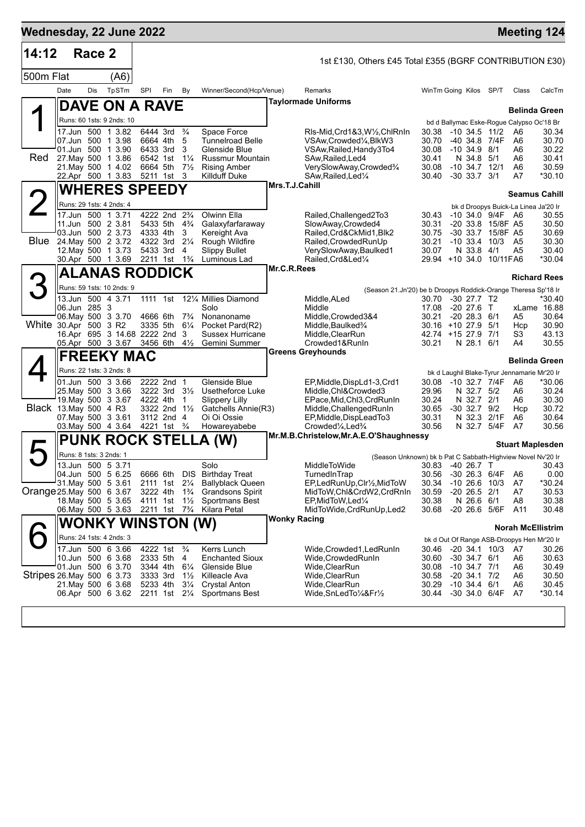| 14:12                     |                         | Race 2 |                                          |                                        |               |                                  |                                                |                     |                                                                                                                  |                                  |                                           |                                        |                                                                        |                         |
|---------------------------|-------------------------|--------|------------------------------------------|----------------------------------------|---------------|----------------------------------|------------------------------------------------|---------------------|------------------------------------------------------------------------------------------------------------------|----------------------------------|-------------------------------------------|----------------------------------------|------------------------------------------------------------------------|-------------------------|
|                           |                         |        |                                          |                                        |               |                                  |                                                |                     | 1st £130, Others £45 Total £355 (BGRF CONTRIBUTION £30)                                                          |                                  |                                           |                                        |                                                                        |                         |
| 500m Flat                 |                         |        | (A6)                                     |                                        |               |                                  |                                                |                     |                                                                                                                  |                                  |                                           |                                        |                                                                        |                         |
|                           | Date                    | Dis    | TpSTm                                    | <b>SPI</b>                             | Fin           | By                               | Winner/Second(Hcp/Venue)                       |                     | Remarks<br><b>Taylormade Uniforms</b>                                                                            | WinTm Going Kilos SP/T           |                                           |                                        | Class                                                                  | CalcTm                  |
|                           |                         |        | DAVE ON A RAVE                           |                                        |               |                                  |                                                |                     |                                                                                                                  |                                  |                                           |                                        | <b>Belinda Green</b>                                                   |                         |
|                           |                         |        | Runs: 60 1sts: 9 2nds: 10                |                                        |               |                                  |                                                |                     |                                                                                                                  |                                  |                                           |                                        | bd d Ballymac Eske-Rogue Calypso Oc'18 Br                              |                         |
|                           |                         |        | 17.Jun 500 1 3.82<br>07.Jun 500 1 3.98   | 6444 3rd<br>6664 4th                   |               | $\frac{3}{4}$<br>5               | Space Force<br><b>Tunnelroad Belle</b>         |                     | RIs-Mid,Crd1&3,W½,ChlRnIn<br>VSAw, Crowded <sup>1</sup> / <sub>4</sub> , BlkW3                                   | 30.38<br>30.70                   |                                           | $-10$ 34.5 $11/2$<br>-40 34.8 7/4F     | A <sub>6</sub><br>A6                                                   | 30.34<br>30.70          |
|                           |                         |        | 01.Jun 500 1 3.90                        | 6433 3rd                               |               | 3                                | Glenside Blue                                  |                     | VSAw, Railed, Handy 3To4                                                                                         | 30.08                            | $-10,34.9,8/1$                            |                                        | A6                                                                     | 30.22                   |
| Red                       |                         |        | 27. May 500 1 3.86<br>21. May 500 1 4.02 | 6542 1st<br>6664 5th                   |               | $1\frac{1}{4}$<br>$7\frac{1}{2}$ | <b>Russmur Mountain</b><br><b>Rising Amber</b> |                     | SAw, Railed, Led4                                                                                                | 30.41<br>30.08                   | N 34.8 5/1                                | $-10$ 34.7 $12/1$                      | A6<br>A6                                                               | 30.41<br>30.59          |
|                           |                         |        | 22.Apr 500 1 3.83                        |                                        | 5211 1st 3    |                                  | Killduff Duke                                  |                     | VerySlowAway,Crowded%<br>SAw, Railed, Led <sup>1/4</sup>                                                         | 30.40                            | $-30$ 33.7 $3/1$                          |                                        | A7                                                                     | *30.10                  |
|                           |                         |        | <b>WHERES SPEEDY</b>                     |                                        |               |                                  |                                                | Mrs.T.J.Cahill      |                                                                                                                  |                                  |                                           |                                        |                                                                        |                         |
| $\angle$                  |                         |        | Runs: 29 1sts: 4 2nds: 4                 |                                        |               |                                  |                                                |                     |                                                                                                                  |                                  |                                           |                                        | <b>Seamus Cahill</b><br>bk d Droopys Buick-La Linea Ja'20 Ir           |                         |
|                           |                         |        | 17.Jun 500 1 3.71                        | 4222 2nd 2 <sup>3</sup> / <sub>4</sub> |               |                                  | Olwinn Ella                                    |                     | Railed, Challenged 2To 3                                                                                         | 30.43                            |                                           | -10 34.0 9/4F A6                       |                                                                        | 30.55                   |
|                           |                         |        | 11.Jun 500 2 3.81<br>03.Jun 500 2 3.73   | 5433 5th<br>4333 4th                   |               | $4\frac{3}{4}$<br>3              | Galaxyfarfaraway<br>Kereight Ava               |                     | SlowAway, Crowded4<br>Railed, Crd&CkMid1, Blk2                                                                   | 30.31<br>30.75                   |                                           | -20 33.8 15/8F A5<br>-30 33.7 15/8F A5 |                                                                        | 30.50<br>30.69          |
| Blue                      |                         |        | 24. May 500 2 3.72                       | 4322 3rd                               |               | $2\frac{1}{4}$                   | Rough Wildfire                                 |                     | Railed, Crowded RunUp                                                                                            | 30.21                            |                                           | $-10$ 33.4 $10/3$                      | A <sub>5</sub>                                                         | 30.30                   |
|                           |                         |        | 12. May 500 1 3.73                       | 5433 3rd                               |               | 4                                | <b>Slippy Bullet</b>                           |                     | VerySlowAway,Baulked1                                                                                            | 30.07                            | N 33.8                                    | 4/1                                    | A5                                                                     | 30.40                   |
|                           |                         |        | 30.Apr 500 1 3.69                        | 2211 1st 1 <sup>3</sup> / <sub>4</sub> |               |                                  | Luminous Lad                                   | Mr.C.R.Rees         | Railed, Crd&Led1/4                                                                                               | 29.94 +10 34.0 10/11 FA6         |                                           |                                        |                                                                        | *30.04                  |
|                           |                         |        | <b>ALANAS RODDICK</b>                    |                                        |               |                                  |                                                |                     |                                                                                                                  |                                  |                                           |                                        |                                                                        | <b>Richard Rees</b>     |
| З                         |                         |        | Runs: 59 1sts: 10 2nds: 9                |                                        |               |                                  |                                                |                     | (Season 21.Jn'20) be b Droopys Roddick-Orange Theresa Sp'18 Ir                                                   |                                  |                                           |                                        |                                                                        |                         |
|                           | 06.Jun 285 3            |        | 13.Jun 500 4 3.71                        | 1111 1st                               |               |                                  | 121/4 Millies Diamond<br>Solo                  |                     | Middle, ALed<br>Middle                                                                                           | 30.70<br>17.08                   | $-30$ 27.7 T <sub>2</sub><br>$-20$ 27.6 T |                                        |                                                                        | $*30.40$<br>xLame 16.88 |
|                           |                         |        | 06. May 500 3 3.70                       | 4666 6th                               |               | $7\frac{3}{4}$                   | Nonanoname                                     |                     | Middle, Crowded 3&4                                                                                              | 30.21                            | $-2028.3$                                 | 6/1                                    | A5                                                                     | 30.64                   |
| White 30 Apr 500 3 R2     |                         |        | 16.Apr 695 3 14.68 2222 2nd 3            |                                        | 3335 5th      | $6\frac{1}{4}$                   | Pocket Pard(R2)<br>Sussex Hurricane            |                     | Middle, Baulked <sup>3</sup> /4<br>Middle, ClearRun                                                              | 30.16 +10 27.9<br>42.74 +15 27.9 |                                           | 5/1<br>7/1                             | Hcp<br>S <sub>3</sub>                                                  | 30.90<br>43.13          |
|                           |                         |        | 05.Apr 500 3 3.67                        | 3456 6th                               |               | $4\frac{1}{2}$                   | Gemini Summer                                  |                     | Crowded1&RunIn                                                                                                   | 30.21                            | N 28.1                                    | 6/1                                    | A4                                                                     | 30.55                   |
|                           |                         |        | <b>FREEKY MAC</b>                        |                                        |               |                                  |                                                |                     | <b>Greens Greyhounds</b>                                                                                         |                                  |                                           |                                        | <b>Belinda Green</b>                                                   |                         |
|                           |                         |        | Runs: 22 1sts: 3 2nds: 8                 |                                        |               |                                  |                                                |                     |                                                                                                                  |                                  |                                           |                                        | bk d Laughil Blake-Tyrur Jennamarie Mr'20 Ir                           |                         |
|                           |                         |        | 01.Jun 500 3 3.66                        | 2222 2nd 1                             |               |                                  | Glenside Blue                                  |                     | EP,Middle,DispLd1-3,Crd1                                                                                         | 30.08                            |                                           | -10 32.7 7/4F                          | A6                                                                     | *30.06                  |
|                           |                         |        | 25. May 500 3 3.66<br>19. May 500 3 3.67 |                                        | 3222 3rd      | $3\frac{1}{2}$                   | Usetheforce Luke                               |                     | Middle, Chl&Crowded3                                                                                             | 29.96                            | N 32.7 5/2                                |                                        | A6                                                                     | 30.24                   |
| Black 13 May 500 4 R3     |                         |        |                                          | 4222 4th                               | 3322 2nd 11/2 | 1                                | <b>Slippery Lilly</b><br>Gatchells Annie(R3)   |                     | EPace, Mid, Chl3, CrdRunIn<br>Middle, Challenged Run In                                                          | 30.24<br>30.65                   | N 32.7 2/1<br>$-30$ 32.7 $9/2$            |                                        | A6<br>Hcp                                                              | 30.30<br>30.72          |
|                           |                         |        | 07. May 500 3 3.61                       |                                        | 3112 2nd 4    |                                  | Oi Oi Ossie                                    |                     | EP, Middle, DispLead To 3                                                                                        | 30.31                            |                                           | N 32.3 2/1F                            | A6                                                                     | 30.64                   |
|                           |                         |        | 03. May 500 4 3.64                       | 4221 1st <sup>3</sup> / <sub>4</sub>   |               |                                  | Howareyabebe                                   |                     | Crowded <sup>1</sup> / <sub>4</sub> , Led <sup>3</sup> / <sub>4</sub><br>Mr.M.B.Christelow, Mr.A.E.O'Shaughnessy | 30.56                            |                                           | N 32.7 5/4F                            | A7                                                                     | 30.56                   |
|                           |                         |        | <b>PUNK ROCK STELLA</b>                  |                                        |               |                                  |                                                |                     |                                                                                                                  |                                  |                                           |                                        | <b>Stuart Maplesden</b>                                                |                         |
|                           | Runs: 8 1sts: 3 2nds: 1 |        |                                          |                                        |               |                                  |                                                |                     | (Season Unknown) bk b Pat C Sabbath-Highview Novel Nv'20 Ir                                                      |                                  |                                           |                                        |                                                                        |                         |
|                           |                         |        | 13.Jun 500 5 3.71<br>04.Jun 500 5 6.25   | 6666 6th                               |               |                                  | Solo<br>DIS Birthday Treat                     |                     | MiddleToWide<br>TurnedInTrap                                                                                     | 30.83 -40 26.7 T<br>30.56        |                                           | -30 26.3 6/4F                          | A6                                                                     | 30.43<br>0.00           |
|                           |                         |        | 31 May 500 5 3.61                        |                                        | 2111 1st      | $2\frac{1}{4}$                   | <b>Ballyblack Queen</b>                        |                     | EP,LedRunUp,Clr1/2,MidToW                                                                                        | 30.34                            |                                           | $-10$ 26.6 $10/3$                      | A7                                                                     | $*30.24$                |
| Orange 25 May 500 6 3.67  |                         |        | 18. May 500 5 3.65                       | 3222 4th<br>4111 1st 11/2              |               | $1\frac{3}{4}$                   | <b>Grandsons Spirit</b><br>Sportmans Best      |                     | MidToW,Chl&CrdW2,CrdRnIn<br>EP, MidToW, Led <sup>1/4</sup>                                                       | 30.59<br>30.38                   | $-20$ 26.5 $2/1$<br>N 26.6 6/1            |                                        | A7<br>A <sub>8</sub>                                                   | 30.53<br>30.38          |
|                           |                         |        | 06. May 500 5 3.63                       | 2211 1st 7 <sup>3</sup> / <sub>4</sub> |               |                                  | Kilara Petal                                   |                     | MidToWide, CrdRunUp, Led2                                                                                        | 30.68                            |                                           | -20 26.6 5/6F                          | A11                                                                    | 30.48                   |
|                           |                         |        | <b>WONKY WINSTON (W)</b>                 |                                        |               |                                  |                                                | <b>Wonky Racing</b> |                                                                                                                  |                                  |                                           |                                        |                                                                        |                         |
|                           |                         |        | Runs: 24 1sts: 4 2nds: 3                 |                                        |               |                                  |                                                |                     |                                                                                                                  |                                  |                                           |                                        | <b>Norah McEllistrim</b><br>bk d Out Of Range ASB-Droopys Hen Mr'20 Ir |                         |
|                           |                         |        | 17.Jun 500 6 3.66                        | 4222 1st                               |               | $\frac{3}{4}$                    | Kerrs Lunch                                    |                     | Wide,Crowded1,LedRunIn                                                                                           | 30.46                            |                                           | $-20$ 34.1 10/3                        | - A7                                                                   | 30.26                   |
|                           |                         |        | 10.Jun 500 6 3.68                        | 2333 5th                               |               | 4                                | <b>Enchanted Sioux</b>                         |                     | Wide,CrowdedRunIn                                                                                                | 30.60                            | $-30$ 34.7 $6/1$                          |                                        | A6                                                                     | 30.63                   |
| Stripes 26 May 500 6 3.73 |                         |        | 01.Jun 500 6 3.70                        | 3344 4th<br>3333 3rd                   |               | $6\frac{1}{4}$<br>$1\frac{1}{2}$ | Glenside Blue<br>Killeacle Ava                 |                     | Wide, ClearRun<br>Wide, ClearRun                                                                                 | 30.08<br>30.58                   | $-10$ 34.7 $7/1$<br>$-20, 34.1$           | 7/2                                    | A6<br>A6                                                               | 30.49<br>30.50          |
|                           |                         |        | 21. May 500 6 3.68                       | 5233 4th                               |               | $3\frac{1}{4}$                   | Crystal Anton                                  |                     | Wide, ClearRun                                                                                                   | 30.29                            | $-10$ 34.4 $6/1$                          |                                        | A <sub>6</sub>                                                         | 30.45                   |
|                           |                         |        | 06.Apr 500 6 3.62                        | 2211 1st 21/4                          |               |                                  | Sportmans Best                                 |                     | Wide, SnLedTo 1/4&Fr1/2                                                                                          | 30.44                            |                                           | -30 34.0 6/4F                          | A7                                                                     | $*30.14$                |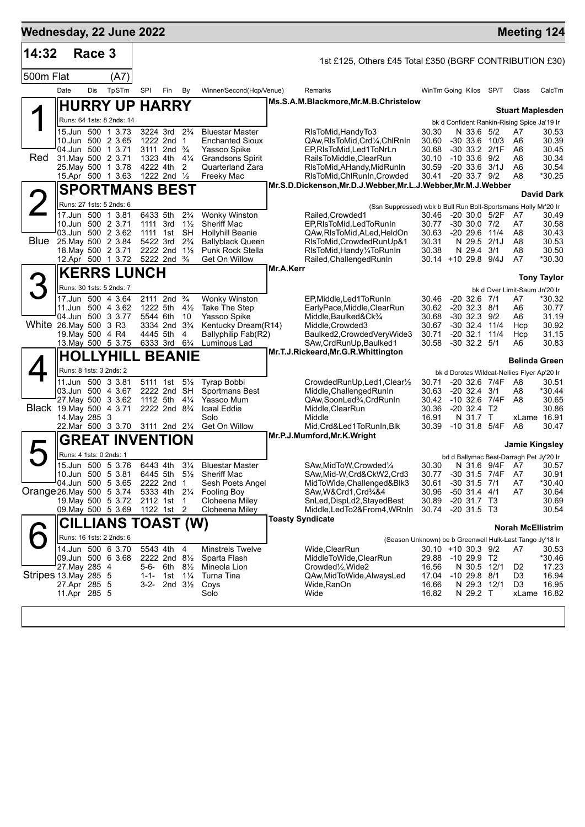| Wednesday, 22 June 2022  |                                              |        |                           |                                                                   |        |                                      |                                                     |                                                                  |                                         |                                 |               | <b>Meeting 124</b>                                |                    |
|--------------------------|----------------------------------------------|--------|---------------------------|-------------------------------------------------------------------|--------|--------------------------------------|-----------------------------------------------------|------------------------------------------------------------------|-----------------------------------------|---------------------------------|---------------|---------------------------------------------------|--------------------|
| 14:32                    |                                              | Race 3 |                           |                                                                   |        |                                      |                                                     | 1st £125, Others £45 Total £350 (BGRF CONTRIBUTION £30)          |                                         |                                 |               |                                                   |                    |
| 500m Flat                |                                              |        | (A7)                      |                                                                   |        |                                      |                                                     |                                                                  |                                         |                                 |               |                                                   |                    |
|                          | Date                                         | Dis    | TpSTm                     | SPI                                                               | Fin    | By                                   | Winner/Second(Hcp/Venue)                            | Remarks                                                          | WinTm Going Kilos SP/T                  |                                 |               | Class                                             | CalcTm             |
|                          |                                              |        | <b>HURRY UP HARRY</b>     |                                                                   |        |                                      |                                                     | Ms.S.A.M.Blackmore, Mr.M.B.Christelow                            |                                         |                                 |               | <b>Stuart Maplesden</b>                           |                    |
|                          |                                              |        | Runs: 64 1sts: 8 2nds: 14 |                                                                   |        |                                      |                                                     |                                                                  |                                         |                                 |               | bk d Confident Rankin-Rising Spice Ja'19 Ir       |                    |
|                          | 10.Jun 500 2 3.65                            |        | 15.Jun 500 1 3.73         | 3224 3rd 2 <sup>3</sup> / <sub>4</sub><br>1222 2nd 1              |        |                                      | <b>Bluestar Master</b><br><b>Enchanted Sioux</b>    | RIsToMid, HandyTo3<br>QAw, RIs To Mid, Crd 1/4, Chl RnIn         | 30.30<br>30.60                          | N 33.6 5/2<br>$-30$ 33.6 10/3   |               | A7<br>A6                                          | 30.53<br>30.39     |
|                          | 04.Jun 500 1 3.71                            |        |                           | 3111 2nd $\frac{3}{4}$                                            |        |                                      | Yassoo Spike                                        | EP, RIsToMid, Led1ToNrLn                                         | 30.68                                   | -30 33.2 2/1F                   |               | A6                                                | 30.45              |
| Red                      | 31. May 500 2 3.71                           |        |                           | 1323 4th 41/4                                                     |        |                                      | <b>Grandsons Spirit</b>                             | RailsToMiddle, ClearRun                                          | 30.10                                   | $-10, 33.6, 9/2$                |               | A6                                                | 30.34              |
|                          | 25. May 500 1 3.78<br>15.Apr 500 1 3.63      |        |                           | 4222 4th<br>1222 2nd $\frac{1}{2}$                                |        | 2                                    | Quarterland Zara<br>Freeky Mac                      | RIsToMid, AHandy, MidRunIn<br>RIsToMid, ChlRunIn, Crowded        | 30.59<br>30.41 -20 33.7 9/2             | $-20, 33.6, 3/1J$               |               | A6<br>A8                                          | 30.54<br>*30.25    |
|                          |                                              |        | <b>SPORTMANS BEST</b>     |                                                                   |        |                                      |                                                     | Mr.S.D.Dickenson, Mr.D.J.Webber, Mr.L.J.Webber, Mr.M.J.Webber    |                                         |                                 |               |                                                   |                    |
|                          |                                              |        | Runs: 27 1sts: 5 2nds: 6  |                                                                   |        |                                      |                                                     | (Ssn Suppressed) wbk b Bull Run Bolt-Sportsmans Holly Mr'20 Ir   |                                         |                                 |               |                                                   | <b>David Dark</b>  |
|                          | 17.Jun 500 1 3.81                            |        |                           | 6433 5th                                                          |        | $2\frac{3}{4}$                       | <b>Wonky Winston</b>                                | Railed, Crowded1                                                 | 30.46 -20 30.0 5/2F                     |                                 |               | - A7                                              | 30.49              |
|                          | 10.Jun 500 2 3.71<br>03.Jun 500 2 3.62       |        |                           | 1111 3rd<br>1111 1st                                              |        | $1\frac{1}{2}$<br><b>SH</b>          | <b>Sheriff Mac</b><br><b>Hollyhill Beanie</b>       | EP, RIs To Mid, Led To Run In<br>QAw, RIs To Mid, ALed, HeldOn   | 30.77<br>30.63                          | $-30$ 30.0 $7/2$<br>$-20\,29.6$ | 11/4          | A7<br>A8                                          | 30.58<br>30.43     |
| <b>Blue</b>              | 25. May 500 2 3.84                           |        |                           | 5422 3rd                                                          |        | $2\frac{3}{4}$                       | <b>Ballyblack Queen</b>                             | RIsToMid, Crowded RunUp&1                                        | 30.31                                   | N 29.5 2/1J                     |               | A8                                                | 30.53              |
|                          | 18. May 500 2 3.71                           |        | 12.Apr 500 1 3.72         | 2222 2nd 11/2<br>5222 2nd 3/4                                     |        |                                      | Punk Rock Stella<br>Get On Willow                   | RIsToMid, Handy 1/4ToRunIn<br>Railed, Challenged RunIn           | 30.38<br>30.14 +10 29.8 9/4J            | N 29.4                          | 3/1           | A8<br>A7                                          | 30.50<br>*30.30    |
|                          |                                              |        | <b>KERRS LUNCH</b>        |                                                                   |        |                                      |                                                     | Mr.A.Kerr                                                        |                                         |                                 |               |                                                   |                    |
| 3                        | Runs: 30 1sts: 5 2nds: 7                     |        |                           |                                                                   |        |                                      |                                                     |                                                                  |                                         |                                 |               |                                                   | <b>Tony Taylor</b> |
|                          |                                              |        | 17.Jun 500 4 3.64         | 2111 2nd <sup>3</sup> / <sub>4</sub>                              |        |                                      | <b>Wonky Winston</b>                                | EP, Middle, Led 1 To Run In                                      | 30.46                                   | $-20$ 32.6 $7/1$                |               | bk d Over Limit-Saum Jn'20 Ir<br>A7               | *30.32             |
|                          | 11.Jun 500 4 3.62                            |        |                           | 1222 5th                                                          |        | $4\frac{1}{2}$                       | <b>Take The Step</b>                                | EarlyPace,Middle,ClearRun                                        | 30.62                                   | $-20$ 32.3 $8/1$                |               | A6                                                | 30.77              |
| White 26.May 500 3 R3    | 04.Jun 500 3 3.77                            |        |                           | 5544 6th<br>3334 2nd 3 <sup>3</sup> / <sub>4</sub>                |        | 10                                   | Yassoo Spike<br>Kentucky Dream(R14)                 | Middle, Baulked&Ck3/4<br>Middle, Crowded3                        | 30.68<br>30.67                          | $-30$ 32.3 $9/2$<br>-30 32.4    | 11/4          | A6<br>Hcp                                         | 31.19<br>30.92     |
|                          | 19. May 500 4 R4                             |        |                           | 4445 5th                                                          |        | 4                                    | Ballyphilip Fab(R2)                                 | Baulked2, CrowdedVeryWide3                                       | 30.71                                   | $-20, 32.1$                     | 11/4          | Hcp                                               | 31.15              |
|                          |                                              |        | 13. May 500 5 3.75        | 6333 3rd                                                          |        | $6\frac{3}{4}$                       | Luminous Lad                                        | SAw, CrdRunUp, Baulked 1<br>Mr.T.J.Rickeard, Mr.G.R. Whittington | 30.58                                   | $-30$ 32.2 $5/1$                |               | A6                                                | 30.83              |
|                          |                                              |        | <b>HOLLYHILL BEANIE</b>   |                                                                   |        |                                      |                                                     |                                                                  |                                         |                                 |               | <b>Belinda Green</b>                              |                    |
|                          | Runs: 8 1sts: 3 2nds: 2<br>11.Jun 500 3 3.81 |        |                           | 5111 1st                                                          |        | $5\frac{1}{2}$                       | Tyrap Bobbi                                         | CrowdedRunUp,Led1,Clear1/2                                       | 30.71                                   | -20 32.6 7/4F                   |               | bk d Dorotas Wildcat-Nellies Flyer Ap'20 Ir<br>A8 | 30.51              |
|                          | 03.Jun 500 4 3.67                            |        |                           | 2222 2nd SH                                                       |        |                                      | <b>Sportmans Best</b>                               | Middle, Challenged RunIn                                         | 30.63                                   | $-20$ 32.4 3/1                  |               | A8                                                | *30.44             |
| Black 19. May 500 4 3.71 |                                              |        | 27. May 500 3 3.62        | 1112 5th $4\frac{1}{4}$<br>2222 2nd 8 <sup>3</sup> / <sub>4</sub> |        |                                      | Yassoo Mum<br>Icaal Eddie                           | QAw,SoonLed%,CrdRunIn<br>Middle, ClearRun                        | 30.42<br>30.36                          | $-20$ 32.4 T <sub>2</sub>       | -10 32.6 7/4F | A8                                                | 30.65<br>30.86     |
|                          | 14. May 285 3                                |        |                           |                                                                   |        |                                      | Solo                                                | Middle                                                           | 16.91                                   | N 31.7 T                        |               | xLame 16.91                                       |                    |
|                          |                                              |        | 22.Mar 500 3 3.70         | 3111 2nd 21/4                                                     |        |                                      | Get On Willow                                       | Mid,Crd&Led1ToRunIn,Blk<br>Mr.P.J.Mumford, Mr.K. Wright          | 30.39                                   | $-10$ 31.8 $5/4F$               |               | A8                                                | 30.47              |
|                          |                                              |        | <b>GREAT INVENTION</b>    |                                                                   |        |                                      |                                                     |                                                                  |                                         |                                 |               | Jamie Kingsley                                    |                    |
|                          | Runs: 4 1sts: 0 2nds: 1                      |        | 15.Jun 500 5 3.76         |                                                                   |        |                                      |                                                     | SAw, MidToW, Crowded 1/4                                         |                                         |                                 |               | bd d Ballymac Best-Darragh Pet Jy'20 Ir           |                    |
|                          | 10.Jun 500 5 3.81                            |        |                           | 6443 4th 31/4                                                     |        |                                      | <b>Bluestar Master</b><br>6445 5th 51/2 Sheriff Mac | SAw, Mid-W, Crd&CkW2, Crd3                                       | 30.30<br>30.77                          | -30 31.5 7/4F                   |               | N 31.6 9/4F A7<br>A7                              | 30.57<br>30.91     |
|                          | 04.Jun 500 5 3.65                            |        |                           | 2222 2nd 1                                                        |        |                                      | Sesh Poets Angel                                    | MidToWide, Challenged&Blk3                                       | 30.61                                   | $-30$ 31.5 $7/1$                |               | A7                                                | $*30.40$           |
| Orange 26 May 500 5 3.74 |                                              |        | 19. May 500 5 3.72        | 5333 4th 21/4<br>2112 1st                                         |        | $\overline{1}$                       | <b>Fooling Boy</b><br>Cloheena Miley                | SAw, W& Crd1, Crd3/4&4<br>SnLed, DispLd2, Stayed Best            | 30.96<br>30.89                          | $-50$ 31.4 4/1<br>$-20$ 31.7 T3 |               | A7                                                | 30.64<br>30.69     |
|                          |                                              |        | 09. May 500 5 3.69        | 1122 1st 2                                                        |        |                                      | Cloheena Miley                                      | Middle, LedTo2&From4, WRnIn                                      | 30.74                                   | $-20$ 31.5 T3                   |               |                                                   | 30.54              |
|                          |                                              |        | CILLIANS TOAST (W)        |                                                                   |        |                                      |                                                     | <b>Toasty Syndicate</b>                                          |                                         |                                 |               | <b>Norah McEllistrim</b>                          |                    |
|                          |                                              |        | Runs: 16 1sts: 2 2nds: 6  |                                                                   |        |                                      |                                                     | (Season Unknown) be b Greenwell Hulk-Last Tango Jy'18 Ir         |                                         |                                 |               |                                                   |                    |
|                          | 14.Jun 500 6 3.70<br>09.Jun 500 6 3.68       |        |                           | 5543 4th<br>2222 2nd 81/2                                         |        | 4                                    | <b>Minstrels Twelve</b>                             | Wide, ClearRun<br>MiddleToWide,ClearRun                          | 30.10 +10 30.3 9/2<br>29.88 -10 29.9 T2 |                                 |               | A7                                                | 30.53              |
|                          | 27. May 285 4                                |        |                           | 5-6-                                                              | 6th 8½ |                                      | Sparta Flash<br>Mineola Lion                        | Crowded <sup>1</sup> / <sub>2</sub> , Wide2                      | 16.56                                   | N 30.5 12/1                     |               | D <sub>2</sub>                                    | *30.46<br>17.23    |
| Stripes 13. May 285 5    | 27.Apr 285 5                                 |        |                           | $1 - 1 -$                                                         | 1st    | $1\frac{1}{4}$<br>2nd $3\frac{1}{2}$ | Turna Tina                                          | QAw,MidToWide,AlwaysLed                                          | 17.04 -10 29.8 8/1<br>16.66             | N 29.3 12/1                     |               | D <sub>3</sub><br>D <sub>3</sub>                  | 16.94<br>16.95     |
|                          | 11.Apr 285 5                                 |        |                           | 3-2-                                                              |        |                                      | Coys<br>Solo                                        | Wide, RanOn<br>Wide                                              | 16.82                                   | N 29.2 T                        |               | xLame 16.82                                       |                    |
|                          |                                              |        |                           |                                                                   |        |                                      |                                                     |                                                                  |                                         |                                 |               |                                                   |                    |
|                          |                                              |        |                           |                                                                   |        |                                      |                                                     |                                                                  |                                         |                                 |               |                                                   |                    |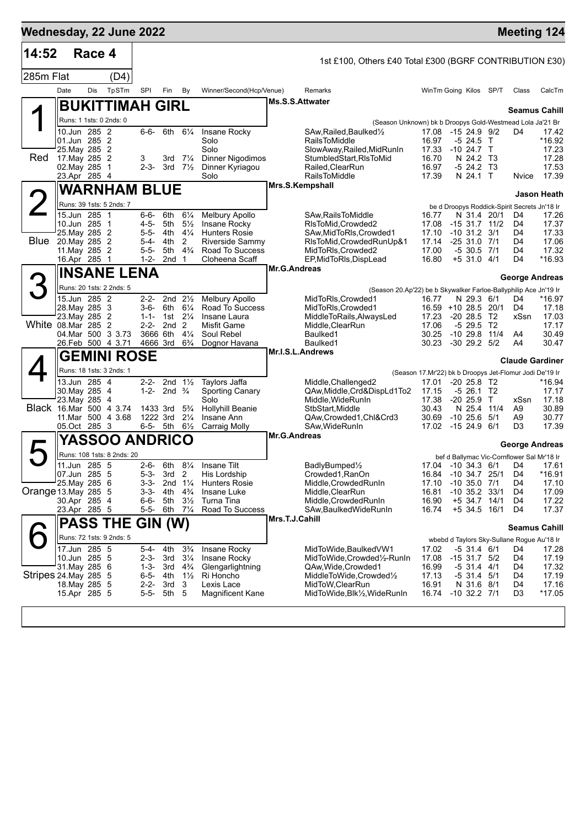| 14:52                       |                                | Race 4 |                            |                        |                             |                                      |                                          |                     |                                                                          |                                                         |                                       |                        |                                              |                                            |
|-----------------------------|--------------------------------|--------|----------------------------|------------------------|-----------------------------|--------------------------------------|------------------------------------------|---------------------|--------------------------------------------------------------------------|---------------------------------------------------------|---------------------------------------|------------------------|----------------------------------------------|--------------------------------------------|
|                             |                                |        |                            |                        |                             |                                      |                                          |                     | 1st £100, Others £40 Total £300 (BGRF CONTRIBUTION £30)                  |                                                         |                                       |                        |                                              |                                            |
| 285m Flat                   |                                |        | (D4)                       |                        |                             |                                      |                                          |                     |                                                                          |                                                         |                                       |                        |                                              |                                            |
|                             | Date                           | Dis    | TpSTm                      | SPI                    | Fin                         | By                                   | Winner/Second(Hcp/Venue)                 | Ms.S.S.Attwater     | Remarks                                                                  |                                                         | WinTm Going Kilos SP/T                |                        | Class                                        | CalcTm                                     |
|                             |                                |        | <b>BUKITTIMAH GIRL</b>     |                        |                             |                                      |                                          |                     |                                                                          |                                                         |                                       |                        |                                              | Seamus Cahill                              |
|                             | 10.Jun 285 2                   |        | Runs: 1 1sts: 0 2nds: 0    |                        |                             | 6th 61/4                             |                                          |                     | (Season Unknown) bk b Droopys Gold-Westmead Lola Ja'21 Br                |                                                         |                                       |                        |                                              |                                            |
|                             | 01.Jun 285 2                   |        |                            | 6-6-                   |                             |                                      | Insane Rocky<br>Solo                     |                     | SAw, Railed, Baulked <sup>1</sup> / <sub>2</sub><br><b>RailsToMiddle</b> | 17.08<br>16.97                                          | $-1524.992$<br>-5 24.5 T              |                        | D4                                           | 17.42<br>*16.92                            |
| Red                         | 25. May 285 2<br>17. May 285 2 |        |                            | 3                      | 3rd                         | $7\frac{1}{4}$                       | Solo<br><b>Dinner Nigodimos</b>          |                     | SlowAway, Railed, MidRunIn<br>StumbledStart, RIsToMid                    | 17.33<br>16.70                                          | $-10$ 24.7 T<br>N 24.2 T3             |                        |                                              | 17.23<br>17.28                             |
|                             | 02. May 285                    |        | $\mathbf 1$                | $2 - 3 -$              |                             | 3rd $7\frac{1}{2}$                   | Dinner Kyriagou                          |                     | Railed.ClearRun                                                          | 16.97                                                   | -5 24.2 T3                            |                        |                                              | 17.53                                      |
|                             | 23.Apr 285 4                   |        |                            |                        |                             |                                      | Solo                                     |                     | <b>RailsToMiddle</b><br>Mrs.S.Kempshall                                  | 17.39                                                   | N 24.1 T                              |                        | Nvice                                        | 17.39                                      |
|                             |                                |        | <b>WARNHAM BLUE</b>        |                        |                             |                                      |                                          |                     |                                                                          |                                                         |                                       |                        |                                              | <b>Jason Heath</b>                         |
|                             | 15.Jun 285 1                   |        | Runs: 39 1sts: 5 2nds: 7   | 6-6-                   |                             | $6\frac{1}{4}$                       |                                          |                     |                                                                          |                                                         |                                       | N 31.4 20/1            | be d Droopys Roddick-Spirit Secrets Jn'18 Ir | 17.26                                      |
|                             | 10.Jun 285                     |        | $\overline{\mathbf{1}}$    | $4 - 5 -$              | 6th<br>5th                  | $5\frac{1}{2}$                       | Melbury Apollo<br>Insane Rocky           |                     | SAw, Rails To Middle<br>RIsToMid, Crowded2                               | 16.77<br>17.08                                          | $-15$ 31.7 11/2                       |                        | D4<br>D4                                     | 17.37                                      |
| Blue                        | 25. May 285 2<br>20. May 285 2 |        |                            | 5-5-<br>$5 - 4 -$      | 4th<br>4th                  | $4\frac{1}{4}$<br>2                  | <b>Hunters Rosie</b><br>Riverside Sammv  |                     | SAw, MidToRIs, Crowded1<br>RIsToMid, Crowded RunUp&1                     | 17.10<br>17.14                                          | $-10$ 31.2 3/1<br>$-2531.0711$        |                        | D4<br>D4                                     | 17.33<br>17.06                             |
|                             | 11. May 285 2                  |        |                            | $5 - 5 -$              | 5th                         | $4\frac{3}{4}$                       | Road To Success                          |                     | MidToRIs, Crowded2                                                       | 17.00                                                   | $-530.57/1$                           |                        | D4                                           | 17.32                                      |
|                             | 16.Apr 285 1                   |        |                            | 1-2-                   | 2nd                         | -1                                   | Cloheena Scaff                           | Mr.G.Andreas        | EP, MidToRIs, DispLead                                                   | 16.80                                                   | $+5$ 31.0 4/1                         |                        | D4                                           | *16.93                                     |
|                             |                                |        | <b>INSANE LENA</b>         |                        |                             |                                      |                                          |                     |                                                                          |                                                         |                                       |                        |                                              | <b>George Andreas</b>                      |
| З                           |                                |        | Runs: 20 1sts: 2 2nds: 5   |                        |                             |                                      |                                          |                     | (Season 20.Ap'22) be b Skywalker Farloe-Ballyphilip Ace Jn'19 Ir         |                                                         |                                       |                        |                                              |                                            |
|                             | 15.Jun 285 2<br>28. May 285 3  |        |                            | $2 - 2 -$<br>3-6-      | 6th                         | 2nd $2\frac{1}{2}$<br>$6\frac{1}{4}$ | <b>Melbury Apollo</b><br>Road To Success |                     | MidToRIs, Crowded1<br>MidToRIs, Crowded1                                 | 16.77                                                   | N 29.3 6/1<br>16.59 +10 28.5 20/1     |                        | D4<br>D4                                     | *16.97<br>17.18                            |
|                             | 23. May 285 2                  |        |                            | $1 - 1 -$              | 1st                         | $2\frac{1}{4}$                       | Insane Laura                             |                     | MiddleToRails,AlwaysLed                                                  | 17.23                                                   | $-20, 28.5, T2$                       |                        | xSsn                                         | 17.03                                      |
| White 08.Mar 285 2          |                                |        | 04. Mar 500 3 3.73         | $2 - 2 -$              | 2 <sub>nd</sub><br>3666 6th | $\overline{2}$<br>$4\frac{1}{4}$     | <b>Misfit Game</b><br>Soul Rebel         |                     | Middle,ClearRun<br>Baulked1                                              | 17.06<br>30.25                                          | $-5$ 29.5<br>$-1029.8$                | T <sub>2</sub><br>11/4 | A4                                           | 17.17<br>30.49                             |
|                             |                                |        | 26.Feb 500 4 3.71          |                        | 4666 3rd                    | $6\frac{3}{4}$                       | Dognor Havana                            |                     | Baulked1                                                                 | 30.23                                                   | $-30$ 29.2 $5/2$                      |                        | A4                                           | 30.47                                      |
|                             |                                |        | <b>GEMINI ROSE</b>         |                        |                             |                                      |                                          |                     | Mr.I.S.L.Andrews                                                         |                                                         |                                       |                        |                                              | <b>Claude Gardiner</b>                     |
|                             |                                |        | Runs: 18 1sts: 3 2nds: 1   |                        |                             |                                      |                                          |                     |                                                                          | (Season 17.Mr'22) bk b Droopys Jet-Flomur Jodi De'19 Ir |                                       |                        |                                              |                                            |
|                             | 13.Jun 285 4<br>30. May 285 4  |        |                            | $2 - 2 -$<br>$1 - 2 -$ | 2nd $\frac{3}{4}$           | 2nd $1\frac{1}{2}$                   | Taylors Jaffa<br><b>Sporting Canary</b>  |                     | Middle, Challenged2<br>QAw, Middle, Crd&DispLd1To2                       | 17.01<br>17.15                                          | $-20, 25.8, T2$<br>-5 26.1            | T2                     |                                              | *16.94<br>17.17                            |
|                             | 23. May 285                    |        | $\overline{4}$             |                        |                             |                                      | Solo                                     |                     | Middle, WideRunIn                                                        | 17.38                                                   | $-20$ 25.9 T                          |                        | xSsn                                         | 17.18                                      |
| Black 16.Mar 500 4 3.74     |                                |        | 11. Mar 500 4 3.68         |                        | 1433 3rd<br>1222 3rd        | $5\frac{3}{4}$<br>$2\frac{1}{4}$     | <b>Hollyhill Beanie</b><br>Insane Ann    |                     | StbStart,Middle<br>QAw,Crowded1,Chl&Crd3                                 | 30.43<br>30.69                                          | N 25.4<br>$-10, 25.6$                 | 11/4<br>5/1            | A9<br>A9                                     | 30.89<br>30.77                             |
|                             | 05.Oct 285 3                   |        |                            |                        | 6-5- 5th                    | $6\frac{1}{2}$                       | <b>Carraig Molly</b>                     |                     | SAw, Wide Run In                                                         | 17.02                                                   | -15 24.9                              | -6/1                   | D3                                           | 17.39                                      |
|                             |                                |        | <b>YASSOO ANDRICO</b>      |                        |                             |                                      |                                          | <b>Mr.G.Andreas</b> |                                                                          |                                                         |                                       |                        |                                              | George Andreas                             |
|                             |                                |        | Runs: 108 1sts: 8 2nds: 20 |                        |                             |                                      |                                          |                     |                                                                          |                                                         |                                       |                        | bef d Ballymac Vic-Cornflower Sal Mr'18 Ir   |                                            |
|                             | $11.$ Jun<br>07.Jun 285 5      | 285 5  |                            | $2-6-$<br>$5 - 3 -$    | 6th<br>3rd                  | $8\frac{1}{4}$<br>$\overline{2}$     | Insane Tilt<br>His Lordship              |                     | BadlyBumped1/2<br>Crowded1, RanOn                                        | 16.84                                                   | 17.04 -10_34.3 6/1<br>$-10$ 34.7 25/1 |                        | D4<br>D4                                     | 17.61<br>$*16.91$                          |
|                             | 25. May 285 6                  |        |                            | 3-3-                   |                             | 2nd $1\frac{1}{4}$                   | <b>Hunters Rosie</b>                     |                     | Middle, Crowded RunIn                                                    | 17.10                                                   | $-10$ 35.0 $7/1$                      |                        | D4                                           | 17.10                                      |
| Orange 13. May 285 5        | 30.Apr 285 4                   |        |                            | 3-3-<br>$6 - 6 -$      | 4th<br>5th                  | $4\frac{3}{4}$<br>$3\frac{1}{2}$     | Insane Luke<br>Turna Tina                |                     | Middle, ClearRun<br>Middle, Crowded RunIn                                | 16.81<br>16.90                                          | $-10$ 35.2 33/1<br>$+5$ 34.7 14/1     |                        | D4<br>D4                                     | 17.09<br>17.22                             |
|                             | 23.Apr 285 5                   |        |                            | 5-5-                   | 6th                         | $7\frac{1}{4}$                       | Road To Success                          |                     | SAw,BaulkedWideRunIn                                                     | 16.74                                                   | +5 34.5 16/1                          |                        | D4                                           | 17.37                                      |
|                             |                                |        | <b>PASS THE</b>            | GIN (W)                |                             |                                      |                                          | Mrs.T.J.Cahill      |                                                                          |                                                         |                                       |                        |                                              | <b>Seamus Cahill</b>                       |
|                             |                                |        | Runs: 72 1sts: 9 2nds: 5   |                        |                             |                                      |                                          |                     |                                                                          |                                                         |                                       |                        |                                              | wbebd d Taylors Sky-Sullane Rogue Au'18 Ir |
|                             | 17.Jun 285 5                   |        |                            | $5 - 4 -$              | 4th                         | $3\frac{3}{4}$                       | Insane Rocky                             |                     | MidToWide, Baulked VW1<br>MidToWide,Crowded1/2-RunIn                     | 17.02                                                   | $-5$ 31.4 $6/1$                       |                        | D4                                           | 17.28                                      |
|                             | 10.Jun 285 5<br>31. May 285 6  |        |                            | $2 - 3 -$<br>$1 - 3 -$ | 3rd<br>3rd                  | $3\frac{1}{4}$<br>$4\frac{3}{4}$     | Insane Rocky<br>Glengarlightning         |                     | QAw, Wide, Crowded 1                                                     | 17.08<br>16.99                                          | $-15$ 31.7 $5/2$<br>$-5$ 31.4 4/1     |                        | D4<br>D4                                     | 17.19<br>17.32                             |
| <b>Stripes 24 May 285 5</b> | 18. May 285 5                  |        |                            | $6 - 5 -$<br>$2 - 2 -$ | 4th<br>3rd                  | $1\frac{1}{2}$<br>3                  | Ri Honcho<br>Lexis Lace                  |                     | MiddleToWide,Crowded1/2<br>MidToW, ClearRun                              | 17.13<br>16.91                                          | $-5$ 31.4 $5/1$<br>N 31.6 8/1         |                        | D4<br>D4                                     | 17.19<br>17.16                             |
|                             | 15.Apr 285 5                   |        |                            | $5 - 5 -$              | 5th                         | 5                                    | Magnificent Kane                         |                     | MidToWide, Blk1/2, WideRunIn                                             | 16.74                                                   | $-10$ 32.2 $7/1$                      |                        | D <sub>3</sub>                               | *17.05                                     |
|                             |                                |        |                            |                        |                             |                                      |                                          |                     |                                                                          |                                                         |                                       |                        |                                              |                                            |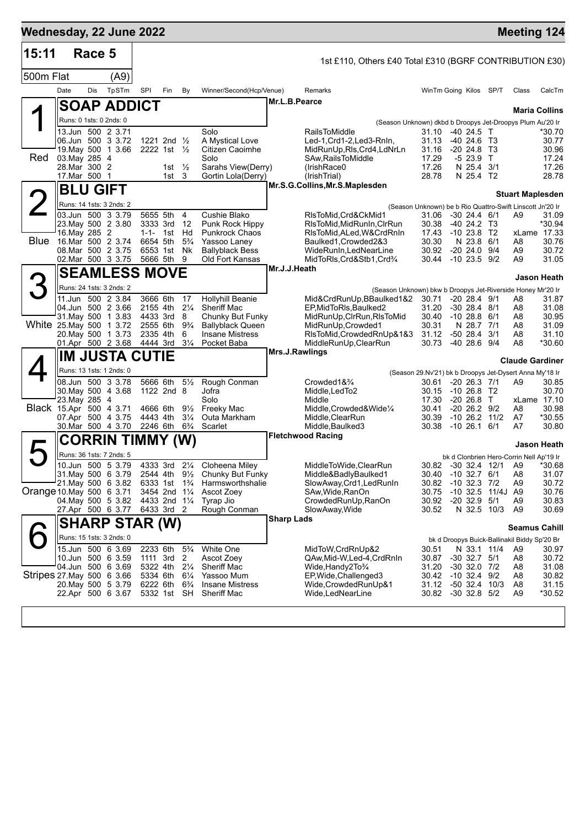| 15:11                      |                                | Race 5 |                                                                                                          |                                                                            |                                                                                                         |                                                              |                                                                                                                       |                   | 1st £110, Others £40 Total £310 (BGRF CONTRIBUTION £30)                                                                                                          |                                                                                                               |                              |                                                                                         |                                                   |                                                                                          |                                                     |
|----------------------------|--------------------------------|--------|----------------------------------------------------------------------------------------------------------|----------------------------------------------------------------------------|---------------------------------------------------------------------------------------------------------|--------------------------------------------------------------|-----------------------------------------------------------------------------------------------------------------------|-------------------|------------------------------------------------------------------------------------------------------------------------------------------------------------------|---------------------------------------------------------------------------------------------------------------|------------------------------|-----------------------------------------------------------------------------------------|---------------------------------------------------|------------------------------------------------------------------------------------------|-----------------------------------------------------|
| 500m Flat                  |                                |        | (A9)                                                                                                     |                                                                            |                                                                                                         |                                                              |                                                                                                                       |                   |                                                                                                                                                                  |                                                                                                               |                              |                                                                                         |                                                   |                                                                                          |                                                     |
|                            | Date                           | Dis    | TpSTm                                                                                                    | <b>SPI</b>                                                                 | Fin                                                                                                     | By                                                           | Winner/Second(Hcp/Venue)                                                                                              |                   | Remarks                                                                                                                                                          | WinTm Going Kilos SP/T                                                                                        |                              |                                                                                         |                                                   | Class                                                                                    | CalcTm                                              |
|                            |                                |        | <b>SOAP ADDICT</b>                                                                                       |                                                                            |                                                                                                         |                                                              |                                                                                                                       |                   | Mr.L.B.Pearce                                                                                                                                                    |                                                                                                               |                              |                                                                                         |                                                   | <b>Maria Collins</b>                                                                     |                                                     |
|                            |                                |        | Runs: 0 1sts: 0 2nds: 0                                                                                  |                                                                            |                                                                                                         |                                                              |                                                                                                                       |                   |                                                                                                                                                                  | (Season Unknown) dkbd b Droopys Jet-Droopys Plum Au'20 Ir                                                     |                              |                                                                                         |                                                   |                                                                                          |                                                     |
| Red                        | 03. May 285 4<br>28. Mar 300 2 |        | 13.Jun 500 2 3.71<br>06.Jun 500 3 3.72<br>19. May 500 1 3.66                                             |                                                                            | 1221 2nd $\frac{1}{2}$<br>2222 1st $\frac{1}{2}$<br>1st $\frac{1}{2}$                                   |                                                              | Solo<br>A Mystical Love<br>Citizen Caoimhe<br>Solo<br>Sarahs View(Derry)                                              |                   | <b>RailsToMiddle</b><br>Led-1, Crd1-2, Led3-RnIn,<br>MidRunUp, RIs, Crd4, LdNrLn<br>SAw.RailsToMiddle<br>(IrishRace0)                                            | 31.10 -40 24.5 T<br>31.13<br>31.16<br>17.29<br>17.26                                                          |                              | -40 24.6 T3<br>$-20, 24.8$<br>$-523.9$ T<br>N 25.4                                      | - ТЗ<br>3/1                                       |                                                                                          | *30.70<br>30.77<br>30.96<br>17.24<br>17.26          |
|                            | 17.Mar 500 1                   |        |                                                                                                          |                                                                            | 1st <sub>3</sub>                                                                                        |                                                              | Gortin Lola(Derry)                                                                                                    |                   | (IrishTrial)                                                                                                                                                     | 28.78                                                                                                         |                              | N 25.4 T2                                                                               |                                                   |                                                                                          | 28.78                                               |
|                            |                                |        | <b>BLU GIFT</b>                                                                                          |                                                                            |                                                                                                         |                                                              |                                                                                                                       |                   | Mr.S.G.Collins, Mr.S.Maplesden                                                                                                                                   |                                                                                                               |                              |                                                                                         |                                                   |                                                                                          |                                                     |
|                            |                                |        | Runs: 14 1sts: 3 2nds: 2                                                                                 |                                                                            |                                                                                                         |                                                              |                                                                                                                       |                   |                                                                                                                                                                  | (Season Unknown) be b Rio Quattro-Swift Linscott Jn'20 Ir                                                     |                              |                                                                                         |                                                   | <b>Stuart Maplesden</b>                                                                  |                                                     |
| Blue                       | 16. May 285 2                  |        | 03.Jun 500 3 3.79<br>23. May 500 2 3.80<br>16.Mar 500 2 3.74<br>08. Mar 500 2 3.75<br>02. Mar 500 3 3.75 | 5655 5th<br>3333 3rd<br>$1 - 1 - 1$ st<br>6654 5th<br>6553 1st<br>5666 5th |                                                                                                         | 4<br>- 12<br>Hd<br>$5\frac{3}{4}$<br>Nk<br>9                 | Cushie Blako<br>Punk Rock Hippy<br><b>Punkrock Chaos</b><br>Yassoo Laney<br><b>Ballyblack Bess</b><br>Old Fort Kansas |                   | RIsToMid, Crd&CkMid1<br>RIsToMid, MidRunIn, CIrRun<br>RIsToMid, ALed, W&CrdRnIn<br>Baulked1, Crowded 2&3<br>WideRunIn, LedNearLine<br>MidToRIs, Crd&Stb1, Crd3/4 | 31.06<br>30.38<br>17.43<br>30.30<br>30.92<br>30.44                                                            | -30 24.4 6/1<br>$-1023.59/2$ | $-40$ 24.2 T <sub>3</sub><br>$-1023.8$ T <sub>2</sub><br>N 23.8 6/1<br>$-20$ 24.0 $9/4$ |                                                   | A9<br>xLame 17.33<br>A8<br>A9                                                            | 31.09<br>*30.94<br>30.76<br>30.72<br>31.05          |
|                            |                                |        |                                                                                                          |                                                                            |                                                                                                         |                                                              |                                                                                                                       | Mr.J.J.Heath      |                                                                                                                                                                  |                                                                                                               |                              |                                                                                         |                                                   | A9                                                                                       |                                                     |
| З                          |                                |        | <b>SEAMLESS MOVE</b>                                                                                     |                                                                            |                                                                                                         |                                                              |                                                                                                                       |                   |                                                                                                                                                                  |                                                                                                               |                              |                                                                                         |                                                   |                                                                                          | <b>Jason Heath</b>                                  |
|                            |                                |        | Runs: 24 1sts: 3 2nds: 2<br>11.Jun 500 2 3.84                                                            | 3666 6th                                                                   |                                                                                                         | 17                                                           | <b>Hollyhill Beanie</b>                                                                                               |                   | (Season Unknown) bkw b Droopys Jet-Riverside Honey Mr'20 Ir<br>Mid&CrdRunUp,BBaulked1&2                                                                          | 30.71                                                                                                         |                              | $-20$ 28.4 $9/1$                                                                        |                                                   | A8                                                                                       | 31.87                                               |
| White 25. May 500 1 3.72   |                                |        | 04.Jun 500 2 3.66<br>31. May 500 1 3.83<br>20. May 500 1 3.73<br>01.Apr 500 2 3.68                       | 2155 4th<br>4433 3rd<br>2555 6th<br>2335 4th<br>4444 3rd                   |                                                                                                         | $2\frac{1}{4}$<br>8<br>$9\frac{3}{4}$<br>6<br>$3\frac{1}{4}$ | <b>Sheriff Mac</b><br>Chunky But Funky<br><b>Ballyblack Queen</b><br><b>Insane Mistress</b><br>Pocket Baba            |                   | EP, MidToRIs, Baulked2<br>MidRunUp, CIrRun, RIsToMid<br>MidRunUp, Crowded1<br>RIsToMid, Crowded RnUp&1&3<br>MiddleRunUp, ClearRun                                | 31.20<br>30.40<br>30.31<br>31.12<br>30.73                                                                     |                              | $-30$ 28.4 $8/1$<br>$-10$ 28.8 $6/1$<br>N 28.7 7/1<br>$-50$ 28.4 $3/1$<br>$-402869/4$   |                                                   | A8<br>A8<br>A8<br>A8<br>A8                                                               | 31.08<br>30.95<br>31.09<br>31.10<br>*30.60          |
|                            |                                |        | ∣IM JUSTA CUTIE                                                                                          |                                                                            |                                                                                                         |                                                              |                                                                                                                       |                   | Mrs.J.Rawlings                                                                                                                                                   |                                                                                                               |                              |                                                                                         |                                                   |                                                                                          |                                                     |
|                            |                                |        | Runs: 13 1sts: 1 2nds: 0                                                                                 |                                                                            |                                                                                                         |                                                              |                                                                                                                       |                   |                                                                                                                                                                  |                                                                                                               |                              |                                                                                         |                                                   | <b>Claude Gardiner</b>                                                                   |                                                     |
| Black 15.Apr 500 4 3.71    | 23. May 285 4                  |        | 08.Jun 500 3 3.78<br>30. May 500 4 3.68<br>07.Apr 500 4 3.75<br>30.Mar 500 4 3.70                        | 5666 6th<br>4443 4th                                                       | 1122 2nd 8<br>4666 6th<br>2246 6th 6 <sup>3</sup> / <sub>4</sub>                                        | $5\frac{1}{2}$<br>$9\frac{1}{2}$<br>$3\frac{1}{4}$           | Rough Conman<br>Jofra<br>Solo<br>Freeky Mac<br>Outa Markham<br>Scarlet                                                |                   | Crowded1&3/4<br>Middle, LedTo2<br>Middle<br>Middle, Crowded&Wide1/4<br>Middle, ClearRun<br>Middle, Baulked 3                                                     | (Season 29.Nv'21) bk b Droopys Jet-Dysert Anna My'18 Ir<br>30.61<br>30.15<br>17.30<br>30.41<br>30.39<br>30.38 |                              | $-20$ 26.3 $7/1$<br>$-1026.8$ T2<br>-20 26.8 T<br>$-20$ 26.2 $9/2$<br>$-10\,26.1$       | $-10$ 26.2 $11/2$<br>6/1                          | A9<br>xLame 17.10<br>A8<br>A7<br>A7                                                      | 30.85<br>30.70<br>30.98<br>*30.55<br>30.80          |
|                            |                                |        | CORRIN TIMMY                                                                                             |                                                                            |                                                                                                         | (W)                                                          |                                                                                                                       |                   | <b>Fletchwood Racing</b>                                                                                                                                         |                                                                                                               |                              |                                                                                         |                                                   |                                                                                          |                                                     |
|                            |                                |        | Runs: 36 1sts: 7 2nds: 5                                                                                 |                                                                            |                                                                                                         |                                                              |                                                                                                                       |                   |                                                                                                                                                                  |                                                                                                               |                              |                                                                                         |                                                   |                                                                                          | Jason Heath                                         |
| Orange 10 May 500 6 3.71   |                                |        | 10.Jun 500 5 3.79<br>31.May 500 6 3.79<br>21. May 500 6 3.82<br>04. May 500 5 3.82<br>27.Apr 500 6 3.77  | 2544 4th 9½                                                                | 4333 3rd 21/4<br>6333 1st 1 <sup>3</sup> / <sub>4</sub><br>3454 2nd 11/4<br>4433 2nd 11/4<br>6433 3rd 2 |                                                              | Cloheena Miley<br>Chunky But Funky<br>Harmsworthshalie<br>Ascot Zoey<br>Tyrap Jio<br>Rough Conman                     |                   | MiddleToWide, ClearRun<br>Middle&BadlyBaulked1<br>SlowAway, Crd1, LedRunIn<br>SAw, Wide, RanOn<br>CrowdedRunUp, RanOn<br>SlowAway, Wide                          | 30.40<br>30.82<br>30.75<br>30.92<br>30.52                                                                     |                              | $-10$ 32.7 $6/1$<br>$-10$ 32.3 $7/2$<br>$-10$ 32.5<br>$-20$ 32.9 $5/1$                  | 30.82 -30 32.4 12/1 A9<br>11/4J A9<br>N 32.5 10/3 | bk d Clonbrien Hero-Corrin Nell Ap'19 Ir<br>A <sub>8</sub><br>A <sub>9</sub><br>A9<br>A9 | *30.68<br>31.07<br>30.72<br>30.76<br>30.83<br>30.69 |
|                            |                                |        | <b>SHARP STAR (W)</b>                                                                                    |                                                                            |                                                                                                         |                                                              |                                                                                                                       | <b>Sharp Lads</b> |                                                                                                                                                                  |                                                                                                               |                              |                                                                                         |                                                   | <b>Seamus Cahill</b>                                                                     |                                                     |
|                            |                                |        | Runs: 15 1sts: 3 2nds: 0                                                                                 |                                                                            |                                                                                                         |                                                              |                                                                                                                       |                   |                                                                                                                                                                  |                                                                                                               |                              |                                                                                         |                                                   | bk d Droopys Buick-Ballinakil Biddy Sp'20 Br                                             |                                                     |
| Stripes 27. May 500 6 3.66 |                                |        | 15.Jun 500 6 3.69<br>10.Jun 500 6 3.59<br>04.Jun 500 6 3.69<br>20. May 500 5 3.79<br>22.Apr 500 6 3.67   | 2233 6th<br>1111 3rd<br>5334 6th<br>6222 6th                               | 5322 4th 21/4<br>5332 1st SH                                                                            | $5\frac{3}{4}$<br>2<br>$6\frac{1}{4}$<br>$6\frac{3}{4}$      | White One<br>Ascot Zoey<br><b>Sheriff Mac</b><br>Yassoo Mum<br><b>Insane Mistress</b><br>Sheriff Mac                  |                   | MidToW, CrdRnUp&2<br>QAw, Mid-W, Led-4, CrdRnIn<br>Wide, Handy 2To 3/4<br>EP, Wide, Challenged 3<br>Wide,CrowdedRunUp&1<br>Wide,LedNearLine                      | 30.51<br>30.87<br>31.20<br>30.42<br>31.12<br>30.82                                                            |                              | $-30$ 32.7 $5/1$<br>$-30$ 32.0 $7/2$<br>$-10$ 32.4 $9/2$<br>$-30$ 32.8 $5/2$            | N 33.1 11/4<br>-50 32.4 10/3                      | A9<br>A8<br>A8<br>A8<br>A8<br>A <sub>9</sub>                                             | 30.97<br>30.72<br>31.08<br>30.82<br>31.15<br>*30.52 |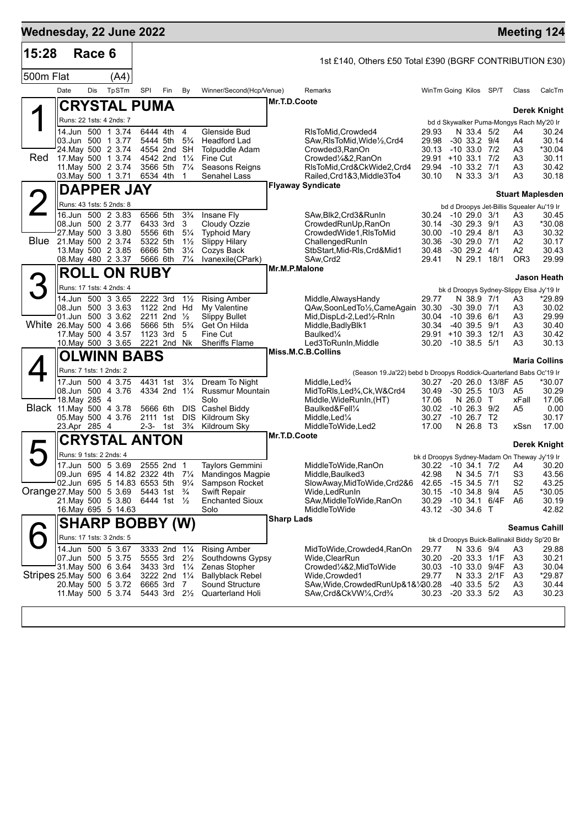| 1st £140, Others £50 Total £390 (BGRF CONTRIBUTION £30)<br>500m Flat<br>(A4)<br>Date<br>Dis<br>TpSTm<br><b>SPI</b><br>Fin<br>By<br>Winner/Second(Hcp/Venue)<br>WinTm Going Kilos SP/T<br>Remarks<br>Mr.T.D.Coote<br>CRYSTAL PUMA<br>Runs: 22 1sts: 4 2nds: 7<br>bd d Skywalker Puma-Mongys Rach My'20 Ir<br>14.Jun 500 1 3.74<br>6444 4th<br>Glenside Bud<br>4<br>RIsToMid, Crowded4<br>29.93<br>N 33.4 5/2<br>03.Jun 500 1 3.77<br>5444 5th<br>$5\frac{3}{4}$<br><b>Headford Lad</b><br>SAw, RIsToMid, Wide 1/2, Crd4<br>29.98<br>$-30$ 33.2 $9/4$<br>24. May 500 2 3.74<br>4554 2nd SH<br><b>Tolpuddle Adam</b><br>Crowded3, RanOn<br>30.13<br>$-10$ 33.0 $7/2$<br>A3<br>Red<br>17 May 500 1 3.74<br>4542 2nd 11/4<br>Fine Cut<br>Crowded1/4&2.RanOn<br>29.91<br>$+10$ 33.1 7/2<br>11. May 500 2 3.74<br>3566 5th<br>$7\frac{1}{4}$<br>Seasons Reigns<br>RIsToMid, Crd&CkWide2, Crd4<br>29.94<br>$-10$ 33.2 $7/1$<br>03. May 500 1 3.71<br>6534 4th<br>Senahel Lass<br>Railed, Crd1&3, Middle3To4<br>30.10<br>N 33.3 3/1<br>-1<br><b>Flyaway Syndicate</b><br><b>DAPPER JAY</b><br>2<br>Runs: 43 1sts: 5 2nds: 8<br>bd d Droopys Jet-Billis Squealer Au'19 Ir<br>16.Jun 500 2 3.83<br>6566 5th<br>$3\frac{3}{4}$<br>Insane Fly<br>SAw, Blk2, Crd3& RunIn<br>30.24<br>$-1029.03/1$<br>08.Jun 500 2 3.77<br>6433 3rd<br>-30 29.3 9/1<br>3<br>Cloudy Ozzie<br>CrowdedRunUp, RanOn<br>A3<br>30.14<br>27. May 500 3 3.80<br>5556 6th<br>$5\frac{1}{4}$<br><b>Typhoid Mary</b><br>CrowdedWide1, RIsToMid<br>30.00<br>$-10$ 29.4 $8/1$<br>Blue 21. May 500 2 3.74<br>5322 5th<br>$1\frac{1}{2}$<br><b>Slippy Hilary</b><br>ChallengedRunIn<br>30.36<br>$-30$ 29.0 $7/1$<br>13. May 500 2 3.85<br>6666 5th<br>$3\frac{1}{4}$<br>Cozys Back<br>StbStart, Mid-RIs, Crd&Mid1<br>30.48<br>$-30$ 29.2 $4/1$<br>A2<br>08. May 480 2 3.37<br>N 29.1 18/1<br>5666 6th<br>$7\frac{1}{4}$<br>Ivanexile(CPark)<br>SAw, Crd2<br>29.41<br>Mr.M.P.Malone<br><b>ROLL ON RUBY</b><br>3<br>Runs: 17 1sts: 4 2nds: 4<br>bk d Droopys Sydney-Slippy Elsa Jy'19 Ir<br>14.Jun 500 3 3.65<br>2222 3rd<br>$1\frac{1}{2}$<br><b>Rising Amber</b><br>29.77<br>N 38.9 7/1<br>Middle, Always Handy<br>08.Jun 500 3 3.63<br>1122 2nd Hd<br>QAw,SoonLedTo1/2,CameAgain 30.30<br>$-30$ 39.0 $7/1$<br>My Valentine<br>01.Jun 500 3 3.62<br>2211 2nd $\frac{1}{2}$<br><b>Slippy Bullet</b><br>30.04<br>$-10$ 39.6 6/1<br>Mid,DispLd-2,Led½-RnIn<br>A3<br>White 26. May 500 4 3.66<br>5666 5th<br>$5\frac{3}{4}$<br>Get On Hilda<br>30.34<br>-40 39.5 9/1<br>Middle, Badly Blk1<br>17 May 500 4 3.57<br>1123 3rd<br>5<br>Fine Cut<br>Baulked <sup>1/4</sup><br>29.91<br>$+10$ 39.3 12/1<br>10.May 500 3 3.65<br>2221 2nd Nk<br><b>Sheriffs Flame</b><br>Led3ToRunIn, Middle<br>30.20<br>$-10, 38.5, 5/1$<br>A3<br>Miss.M.C.B.Collins<br>OLWINN BABS<br>Runs: 7 1sts: 1 2nds: 2<br>(Season 19.Ja'22) bebd b Droopys Roddick-Quarterland Babs Oc'19 Ir<br>$3\frac{1}{4}$<br>17.Jun 500 4 3.75<br>4431 1st<br>Dream To Night<br>Middle, Led%<br>-20 26.0 13/8F A5<br>30.27<br>08.Jun 500 4 3.76<br>4334 2nd 11/4<br><b>Russmur Mountain</b><br>MidToRIs, Led <sup>3</sup> / <sub>4</sub> , Ck, W&Crd4<br>30.49<br>$-30\,25.5$<br>10/3<br>18. May 285 4<br>Solo<br>17.06<br>N 26.0 T<br>Middle, WideRunIn, (HT)<br>Black 11 May 500 4 3.78<br>5666 6th<br>DIS Cashel Biddy<br>30.02<br>$-10$ 26.3 $9/2$<br>Baulked&Fell <sup>1</sup> /4<br>A5<br>Kildroum Sky<br>30.27<br>$-10$ 26.7 T <sub>2</sub><br>05. May 500 4 3.76<br>2111 1st DIS<br>Middle, Led <sup>1</sup> / <sub>4</sub><br>23.Apr 285 4<br>2-3-<br>1st 3 <sup>3</sup> / <sub>4</sub><br>17.00<br>N 26.8 T3<br>Kildroum Sky<br>MiddleToWide,Led2<br>Mr.T.D.Coote<br><b>CRYSTAL ANTON</b><br>Runs: 9 1sts: 2 2nds: 4<br>bk d Droopys Sydney-Madam On Theway Jy'19 Ir<br>17.Jun 500 5 3.69<br>2555 2nd 1<br><b>Taylors Gemmini</b><br>MiddleToWide, RanOn<br>30.22 -10 34.1 7/2<br>S <sub>3</sub><br>09.Jun 695 4 14.82 2322 4th 71/4<br><b>Mandingos Magpie</b><br>Middle, Baulked3<br>42.98<br>N 34.5 7/1<br>02.Jun 695 5 14.83 6553 5th 91/4<br>Sampson Rocket<br>$-15$ 34.5 $7/1$<br>SlowAway, MidToWide, Crd2&6<br>42.65<br>5443 1st <sup>3</sup> / <sub>4</sub><br><b>Swift Repair</b><br>$-10$ 34.8 $9/4$<br>Wide,LedRunIn<br>30.15<br>21. May 500 5 3.80<br>6444 1st 1/2<br><b>Enchanted Sioux</b><br>SAw, Middle To Wide, RanOn<br>30.29<br>-10 34.1 6/4F<br>A6<br>16. May 695 5 14.63<br>Solo<br>MiddleToWide<br>-30 34.6 T<br>43.12<br><b>Sharp Lads</b><br><b>SHARP BOBBY (W)</b><br>Runs: 17 1sts: 3 2nds: 5<br>bk d Droopys Buick-Ballinakil Biddy Sp'20 Br<br>14.Jun 500 5 3.67<br>3333 2nd 11/4<br><b>Rising Amber</b><br>N 33.6 9/4<br>MidToWide,Crowded4,RanOn<br>29.77<br>07.Jun 500 5 3.75<br>5555 3rd<br>Wide, ClearRun<br>30.20<br>-20 33.3 1/1F<br>$2\frac{1}{2}$<br>Southdowns Gypsy<br>31 May 500 6 3.64<br>3433 3rd<br>Zenas Stopher<br>30.03<br>-10 33.0 9/4F<br>$1\frac{1}{4}$<br>Crowded%&2,MidToWide<br><b>Ballyblack Rebel</b><br>3222 2nd 1 <sup>1</sup> / <sub>4</sub><br>Wide,Crowded1<br>29.77<br>N 33.3 2/1F<br>20. May 500 5 3.72<br>7<br>Sound Structure<br>$-40$ 33.5 $5/2$<br>6665 3rd<br>SAw,Wide,CrowdedRunUp&1&1/20.28<br>11 May 500 5 3.74<br>5443 3rd 21/2<br>Quarterland Holi<br>SAw,Crd&CkVW¼,Crd¾<br>30.23<br>$-20$ 33.3 $5/2$ | 15:28 | Race 6 |  |  |  |  |  |                      |                         |
|-----------------------------------------------------------------------------------------------------------------------------------------------------------------------------------------------------------------------------------------------------------------------------------------------------------------------------------------------------------------------------------------------------------------------------------------------------------------------------------------------------------------------------------------------------------------------------------------------------------------------------------------------------------------------------------------------------------------------------------------------------------------------------------------------------------------------------------------------------------------------------------------------------------------------------------------------------------------------------------------------------------------------------------------------------------------------------------------------------------------------------------------------------------------------------------------------------------------------------------------------------------------------------------------------------------------------------------------------------------------------------------------------------------------------------------------------------------------------------------------------------------------------------------------------------------------------------------------------------------------------------------------------------------------------------------------------------------------------------------------------------------------------------------------------------------------------------------------------------------------------------------------------------------------------------------------------------------------------------------------------------------------------------------------------------------------------------------------------------------------------------------------------------------------------------------------------------------------------------------------------------------------------------------------------------------------------------------------------------------------------------------------------------------------------------------------------------------------------------------------------------------------------------------------------------------------------------------------------------------------------------------------------------------------------------------------------------------------------------------------------------------------------------------------------------------------------------------------------------------------------------------------------------------------------------------------------------------------------------------------------------------------------------------------------------------------------------------------------------------------------------------------------------------------------------------------------------------------------------------------------------------------------------------------------------------------------------------------------------------------------------------------------------------------------------------------------------------------------------------------------------------------------------------------------------------------------------------------------------------------------------------------------------------------------------------------------------------------------------------------------------------------------------------------------------------------------------------------------------------------------------------------------------------------------------------------------------------------------------------------------------------------------------------------------------------------------------------------------------------------------------------------------------------------------------------------------------------------------------------------------------------------------------------------------------------------------------------------------------------------------------------------------------------------------------------------------------------------------------------------------------------------------------------------------------------------------------------------------------------------------------------------------------------------------------------------------------------------------------------------------------------------------------------------------------------------------------------------------------------------------------------------------------------------------------------------------------------------------------------------------------------------------------------------------------------------------------------------------------------------------------------------------------------------------------------------------------------------------------------------------------------------------------------------------|-------|--------|--|--|--|--|--|----------------------|-------------------------|
|                                                                                                                                                                                                                                                                                                                                                                                                                                                                                                                                                                                                                                                                                                                                                                                                                                                                                                                                                                                                                                                                                                                                                                                                                                                                                                                                                                                                                                                                                                                                                                                                                                                                                                                                                                                                                                                                                                                                                                                                                                                                                                                                                                                                                                                                                                                                                                                                                                                                                                                                                                                                                                                                                                                                                                                                                                                                                                                                                                                                                                                                                                                                                                                                                                                                                                                                                                                                                                                                                                                                                                                                                                                                                                                                                                                                                                                                                                                                                                                                                                                                                                                                                                                                                                                                                                                                                                                                                                                                                                                                                                                                                                                                                                                                                                                                                                                                                                                                                                                                                                                                                                                                                                                                                                                                                               |       |        |  |  |  |  |  |                      |                         |
|                                                                                                                                                                                                                                                                                                                                                                                                                                                                                                                                                                                                                                                                                                                                                                                                                                                                                                                                                                                                                                                                                                                                                                                                                                                                                                                                                                                                                                                                                                                                                                                                                                                                                                                                                                                                                                                                                                                                                                                                                                                                                                                                                                                                                                                                                                                                                                                                                                                                                                                                                                                                                                                                                                                                                                                                                                                                                                                                                                                                                                                                                                                                                                                                                                                                                                                                                                                                                                                                                                                                                                                                                                                                                                                                                                                                                                                                                                                                                                                                                                                                                                                                                                                                                                                                                                                                                                                                                                                                                                                                                                                                                                                                                                                                                                                                                                                                                                                                                                                                                                                                                                                                                                                                                                                                                               |       |        |  |  |  |  |  | Class                | CalcTm                  |
|                                                                                                                                                                                                                                                                                                                                                                                                                                                                                                                                                                                                                                                                                                                                                                                                                                                                                                                                                                                                                                                                                                                                                                                                                                                                                                                                                                                                                                                                                                                                                                                                                                                                                                                                                                                                                                                                                                                                                                                                                                                                                                                                                                                                                                                                                                                                                                                                                                                                                                                                                                                                                                                                                                                                                                                                                                                                                                                                                                                                                                                                                                                                                                                                                                                                                                                                                                                                                                                                                                                                                                                                                                                                                                                                                                                                                                                                                                                                                                                                                                                                                                                                                                                                                                                                                                                                                                                                                                                                                                                                                                                                                                                                                                                                                                                                                                                                                                                                                                                                                                                                                                                                                                                                                                                                                               |       |        |  |  |  |  |  |                      |                         |
|                                                                                                                                                                                                                                                                                                                                                                                                                                                                                                                                                                                                                                                                                                                                                                                                                                                                                                                                                                                                                                                                                                                                                                                                                                                                                                                                                                                                                                                                                                                                                                                                                                                                                                                                                                                                                                                                                                                                                                                                                                                                                                                                                                                                                                                                                                                                                                                                                                                                                                                                                                                                                                                                                                                                                                                                                                                                                                                                                                                                                                                                                                                                                                                                                                                                                                                                                                                                                                                                                                                                                                                                                                                                                                                                                                                                                                                                                                                                                                                                                                                                                                                                                                                                                                                                                                                                                                                                                                                                                                                                                                                                                                                                                                                                                                                                                                                                                                                                                                                                                                                                                                                                                                                                                                                                                               |       |        |  |  |  |  |  |                      | <b>Derek Knight</b>     |
| Stripes 25 May 500 6 3.64                                                                                                                                                                                                                                                                                                                                                                                                                                                                                                                                                                                                                                                                                                                                                                                                                                                                                                                                                                                                                                                                                                                                                                                                                                                                                                                                                                                                                                                                                                                                                                                                                                                                                                                                                                                                                                                                                                                                                                                                                                                                                                                                                                                                                                                                                                                                                                                                                                                                                                                                                                                                                                                                                                                                                                                                                                                                                                                                                                                                                                                                                                                                                                                                                                                                                                                                                                                                                                                                                                                                                                                                                                                                                                                                                                                                                                                                                                                                                                                                                                                                                                                                                                                                                                                                                                                                                                                                                                                                                                                                                                                                                                                                                                                                                                                                                                                                                                                                                                                                                                                                                                                                                                                                                                                                     |       |        |  |  |  |  |  | A4                   | 30.24                   |
|                                                                                                                                                                                                                                                                                                                                                                                                                                                                                                                                                                                                                                                                                                                                                                                                                                                                                                                                                                                                                                                                                                                                                                                                                                                                                                                                                                                                                                                                                                                                                                                                                                                                                                                                                                                                                                                                                                                                                                                                                                                                                                                                                                                                                                                                                                                                                                                                                                                                                                                                                                                                                                                                                                                                                                                                                                                                                                                                                                                                                                                                                                                                                                                                                                                                                                                                                                                                                                                                                                                                                                                                                                                                                                                                                                                                                                                                                                                                                                                                                                                                                                                                                                                                                                                                                                                                                                                                                                                                                                                                                                                                                                                                                                                                                                                                                                                                                                                                                                                                                                                                                                                                                                                                                                                                                               |       |        |  |  |  |  |  | A4                   | 30.14                   |
|                                                                                                                                                                                                                                                                                                                                                                                                                                                                                                                                                                                                                                                                                                                                                                                                                                                                                                                                                                                                                                                                                                                                                                                                                                                                                                                                                                                                                                                                                                                                                                                                                                                                                                                                                                                                                                                                                                                                                                                                                                                                                                                                                                                                                                                                                                                                                                                                                                                                                                                                                                                                                                                                                                                                                                                                                                                                                                                                                                                                                                                                                                                                                                                                                                                                                                                                                                                                                                                                                                                                                                                                                                                                                                                                                                                                                                                                                                                                                                                                                                                                                                                                                                                                                                                                                                                                                                                                                                                                                                                                                                                                                                                                                                                                                                                                                                                                                                                                                                                                                                                                                                                                                                                                                                                                                               |       |        |  |  |  |  |  | A3                   | *30.04<br>30.11         |
|                                                                                                                                                                                                                                                                                                                                                                                                                                                                                                                                                                                                                                                                                                                                                                                                                                                                                                                                                                                                                                                                                                                                                                                                                                                                                                                                                                                                                                                                                                                                                                                                                                                                                                                                                                                                                                                                                                                                                                                                                                                                                                                                                                                                                                                                                                                                                                                                                                                                                                                                                                                                                                                                                                                                                                                                                                                                                                                                                                                                                                                                                                                                                                                                                                                                                                                                                                                                                                                                                                                                                                                                                                                                                                                                                                                                                                                                                                                                                                                                                                                                                                                                                                                                                                                                                                                                                                                                                                                                                                                                                                                                                                                                                                                                                                                                                                                                                                                                                                                                                                                                                                                                                                                                                                                                                               |       |        |  |  |  |  |  | A3                   | 30.42                   |
|                                                                                                                                                                                                                                                                                                                                                                                                                                                                                                                                                                                                                                                                                                                                                                                                                                                                                                                                                                                                                                                                                                                                                                                                                                                                                                                                                                                                                                                                                                                                                                                                                                                                                                                                                                                                                                                                                                                                                                                                                                                                                                                                                                                                                                                                                                                                                                                                                                                                                                                                                                                                                                                                                                                                                                                                                                                                                                                                                                                                                                                                                                                                                                                                                                                                                                                                                                                                                                                                                                                                                                                                                                                                                                                                                                                                                                                                                                                                                                                                                                                                                                                                                                                                                                                                                                                                                                                                                                                                                                                                                                                                                                                                                                                                                                                                                                                                                                                                                                                                                                                                                                                                                                                                                                                                                               |       |        |  |  |  |  |  | A3                   | 30.18                   |
|                                                                                                                                                                                                                                                                                                                                                                                                                                                                                                                                                                                                                                                                                                                                                                                                                                                                                                                                                                                                                                                                                                                                                                                                                                                                                                                                                                                                                                                                                                                                                                                                                                                                                                                                                                                                                                                                                                                                                                                                                                                                                                                                                                                                                                                                                                                                                                                                                                                                                                                                                                                                                                                                                                                                                                                                                                                                                                                                                                                                                                                                                                                                                                                                                                                                                                                                                                                                                                                                                                                                                                                                                                                                                                                                                                                                                                                                                                                                                                                                                                                                                                                                                                                                                                                                                                                                                                                                                                                                                                                                                                                                                                                                                                                                                                                                                                                                                                                                                                                                                                                                                                                                                                                                                                                                                               |       |        |  |  |  |  |  |                      | <b>Stuart Maplesden</b> |
|                                                                                                                                                                                                                                                                                                                                                                                                                                                                                                                                                                                                                                                                                                                                                                                                                                                                                                                                                                                                                                                                                                                                                                                                                                                                                                                                                                                                                                                                                                                                                                                                                                                                                                                                                                                                                                                                                                                                                                                                                                                                                                                                                                                                                                                                                                                                                                                                                                                                                                                                                                                                                                                                                                                                                                                                                                                                                                                                                                                                                                                                                                                                                                                                                                                                                                                                                                                                                                                                                                                                                                                                                                                                                                                                                                                                                                                                                                                                                                                                                                                                                                                                                                                                                                                                                                                                                                                                                                                                                                                                                                                                                                                                                                                                                                                                                                                                                                                                                                                                                                                                                                                                                                                                                                                                                               |       |        |  |  |  |  |  |                      |                         |
|                                                                                                                                                                                                                                                                                                                                                                                                                                                                                                                                                                                                                                                                                                                                                                                                                                                                                                                                                                                                                                                                                                                                                                                                                                                                                                                                                                                                                                                                                                                                                                                                                                                                                                                                                                                                                                                                                                                                                                                                                                                                                                                                                                                                                                                                                                                                                                                                                                                                                                                                                                                                                                                                                                                                                                                                                                                                                                                                                                                                                                                                                                                                                                                                                                                                                                                                                                                                                                                                                                                                                                                                                                                                                                                                                                                                                                                                                                                                                                                                                                                                                                                                                                                                                                                                                                                                                                                                                                                                                                                                                                                                                                                                                                                                                                                                                                                                                                                                                                                                                                                                                                                                                                                                                                                                                               |       |        |  |  |  |  |  | A3                   | 30.45<br>*30.08         |
|                                                                                                                                                                                                                                                                                                                                                                                                                                                                                                                                                                                                                                                                                                                                                                                                                                                                                                                                                                                                                                                                                                                                                                                                                                                                                                                                                                                                                                                                                                                                                                                                                                                                                                                                                                                                                                                                                                                                                                                                                                                                                                                                                                                                                                                                                                                                                                                                                                                                                                                                                                                                                                                                                                                                                                                                                                                                                                                                                                                                                                                                                                                                                                                                                                                                                                                                                                                                                                                                                                                                                                                                                                                                                                                                                                                                                                                                                                                                                                                                                                                                                                                                                                                                                                                                                                                                                                                                                                                                                                                                                                                                                                                                                                                                                                                                                                                                                                                                                                                                                                                                                                                                                                                                                                                                                               |       |        |  |  |  |  |  | A3                   | 30.32                   |
|                                                                                                                                                                                                                                                                                                                                                                                                                                                                                                                                                                                                                                                                                                                                                                                                                                                                                                                                                                                                                                                                                                                                                                                                                                                                                                                                                                                                                                                                                                                                                                                                                                                                                                                                                                                                                                                                                                                                                                                                                                                                                                                                                                                                                                                                                                                                                                                                                                                                                                                                                                                                                                                                                                                                                                                                                                                                                                                                                                                                                                                                                                                                                                                                                                                                                                                                                                                                                                                                                                                                                                                                                                                                                                                                                                                                                                                                                                                                                                                                                                                                                                                                                                                                                                                                                                                                                                                                                                                                                                                                                                                                                                                                                                                                                                                                                                                                                                                                                                                                                                                                                                                                                                                                                                                                                               |       |        |  |  |  |  |  | A2                   | 30.17<br>30.43          |
|                                                                                                                                                                                                                                                                                                                                                                                                                                                                                                                                                                                                                                                                                                                                                                                                                                                                                                                                                                                                                                                                                                                                                                                                                                                                                                                                                                                                                                                                                                                                                                                                                                                                                                                                                                                                                                                                                                                                                                                                                                                                                                                                                                                                                                                                                                                                                                                                                                                                                                                                                                                                                                                                                                                                                                                                                                                                                                                                                                                                                                                                                                                                                                                                                                                                                                                                                                                                                                                                                                                                                                                                                                                                                                                                                                                                                                                                                                                                                                                                                                                                                                                                                                                                                                                                                                                                                                                                                                                                                                                                                                                                                                                                                                                                                                                                                                                                                                                                                                                                                                                                                                                                                                                                                                                                                               |       |        |  |  |  |  |  | OR <sub>3</sub>      | 29.99                   |
|                                                                                                                                                                                                                                                                                                                                                                                                                                                                                                                                                                                                                                                                                                                                                                                                                                                                                                                                                                                                                                                                                                                                                                                                                                                                                                                                                                                                                                                                                                                                                                                                                                                                                                                                                                                                                                                                                                                                                                                                                                                                                                                                                                                                                                                                                                                                                                                                                                                                                                                                                                                                                                                                                                                                                                                                                                                                                                                                                                                                                                                                                                                                                                                                                                                                                                                                                                                                                                                                                                                                                                                                                                                                                                                                                                                                                                                                                                                                                                                                                                                                                                                                                                                                                                                                                                                                                                                                                                                                                                                                                                                                                                                                                                                                                                                                                                                                                                                                                                                                                                                                                                                                                                                                                                                                                               |       |        |  |  |  |  |  |                      | Jason Heath             |
|                                                                                                                                                                                                                                                                                                                                                                                                                                                                                                                                                                                                                                                                                                                                                                                                                                                                                                                                                                                                                                                                                                                                                                                                                                                                                                                                                                                                                                                                                                                                                                                                                                                                                                                                                                                                                                                                                                                                                                                                                                                                                                                                                                                                                                                                                                                                                                                                                                                                                                                                                                                                                                                                                                                                                                                                                                                                                                                                                                                                                                                                                                                                                                                                                                                                                                                                                                                                                                                                                                                                                                                                                                                                                                                                                                                                                                                                                                                                                                                                                                                                                                                                                                                                                                                                                                                                                                                                                                                                                                                                                                                                                                                                                                                                                                                                                                                                                                                                                                                                                                                                                                                                                                                                                                                                                               |       |        |  |  |  |  |  |                      |                         |
|                                                                                                                                                                                                                                                                                                                                                                                                                                                                                                                                                                                                                                                                                                                                                                                                                                                                                                                                                                                                                                                                                                                                                                                                                                                                                                                                                                                                                                                                                                                                                                                                                                                                                                                                                                                                                                                                                                                                                                                                                                                                                                                                                                                                                                                                                                                                                                                                                                                                                                                                                                                                                                                                                                                                                                                                                                                                                                                                                                                                                                                                                                                                                                                                                                                                                                                                                                                                                                                                                                                                                                                                                                                                                                                                                                                                                                                                                                                                                                                                                                                                                                                                                                                                                                                                                                                                                                                                                                                                                                                                                                                                                                                                                                                                                                                                                                                                                                                                                                                                                                                                                                                                                                                                                                                                                               |       |        |  |  |  |  |  | A3                   | *29.89                  |
|                                                                                                                                                                                                                                                                                                                                                                                                                                                                                                                                                                                                                                                                                                                                                                                                                                                                                                                                                                                                                                                                                                                                                                                                                                                                                                                                                                                                                                                                                                                                                                                                                                                                                                                                                                                                                                                                                                                                                                                                                                                                                                                                                                                                                                                                                                                                                                                                                                                                                                                                                                                                                                                                                                                                                                                                                                                                                                                                                                                                                                                                                                                                                                                                                                                                                                                                                                                                                                                                                                                                                                                                                                                                                                                                                                                                                                                                                                                                                                                                                                                                                                                                                                                                                                                                                                                                                                                                                                                                                                                                                                                                                                                                                                                                                                                                                                                                                                                                                                                                                                                                                                                                                                                                                                                                                               |       |        |  |  |  |  |  | A3                   | 30.02<br>29.99          |
|                                                                                                                                                                                                                                                                                                                                                                                                                                                                                                                                                                                                                                                                                                                                                                                                                                                                                                                                                                                                                                                                                                                                                                                                                                                                                                                                                                                                                                                                                                                                                                                                                                                                                                                                                                                                                                                                                                                                                                                                                                                                                                                                                                                                                                                                                                                                                                                                                                                                                                                                                                                                                                                                                                                                                                                                                                                                                                                                                                                                                                                                                                                                                                                                                                                                                                                                                                                                                                                                                                                                                                                                                                                                                                                                                                                                                                                                                                                                                                                                                                                                                                                                                                                                                                                                                                                                                                                                                                                                                                                                                                                                                                                                                                                                                                                                                                                                                                                                                                                                                                                                                                                                                                                                                                                                                               |       |        |  |  |  |  |  | A3                   | 30.40                   |
|                                                                                                                                                                                                                                                                                                                                                                                                                                                                                                                                                                                                                                                                                                                                                                                                                                                                                                                                                                                                                                                                                                                                                                                                                                                                                                                                                                                                                                                                                                                                                                                                                                                                                                                                                                                                                                                                                                                                                                                                                                                                                                                                                                                                                                                                                                                                                                                                                                                                                                                                                                                                                                                                                                                                                                                                                                                                                                                                                                                                                                                                                                                                                                                                                                                                                                                                                                                                                                                                                                                                                                                                                                                                                                                                                                                                                                                                                                                                                                                                                                                                                                                                                                                                                                                                                                                                                                                                                                                                                                                                                                                                                                                                                                                                                                                                                                                                                                                                                                                                                                                                                                                                                                                                                                                                                               |       |        |  |  |  |  |  | A3                   | 30.42                   |
|                                                                                                                                                                                                                                                                                                                                                                                                                                                                                                                                                                                                                                                                                                                                                                                                                                                                                                                                                                                                                                                                                                                                                                                                                                                                                                                                                                                                                                                                                                                                                                                                                                                                                                                                                                                                                                                                                                                                                                                                                                                                                                                                                                                                                                                                                                                                                                                                                                                                                                                                                                                                                                                                                                                                                                                                                                                                                                                                                                                                                                                                                                                                                                                                                                                                                                                                                                                                                                                                                                                                                                                                                                                                                                                                                                                                                                                                                                                                                                                                                                                                                                                                                                                                                                                                                                                                                                                                                                                                                                                                                                                                                                                                                                                                                                                                                                                                                                                                                                                                                                                                                                                                                                                                                                                                                               |       |        |  |  |  |  |  |                      | 30.13                   |
|                                                                                                                                                                                                                                                                                                                                                                                                                                                                                                                                                                                                                                                                                                                                                                                                                                                                                                                                                                                                                                                                                                                                                                                                                                                                                                                                                                                                                                                                                                                                                                                                                                                                                                                                                                                                                                                                                                                                                                                                                                                                                                                                                                                                                                                                                                                                                                                                                                                                                                                                                                                                                                                                                                                                                                                                                                                                                                                                                                                                                                                                                                                                                                                                                                                                                                                                                                                                                                                                                                                                                                                                                                                                                                                                                                                                                                                                                                                                                                                                                                                                                                                                                                                                                                                                                                                                                                                                                                                                                                                                                                                                                                                                                                                                                                                                                                                                                                                                                                                                                                                                                                                                                                                                                                                                                               |       |        |  |  |  |  |  |                      | <b>Maria Collins</b>    |
|                                                                                                                                                                                                                                                                                                                                                                                                                                                                                                                                                                                                                                                                                                                                                                                                                                                                                                                                                                                                                                                                                                                                                                                                                                                                                                                                                                                                                                                                                                                                                                                                                                                                                                                                                                                                                                                                                                                                                                                                                                                                                                                                                                                                                                                                                                                                                                                                                                                                                                                                                                                                                                                                                                                                                                                                                                                                                                                                                                                                                                                                                                                                                                                                                                                                                                                                                                                                                                                                                                                                                                                                                                                                                                                                                                                                                                                                                                                                                                                                                                                                                                                                                                                                                                                                                                                                                                                                                                                                                                                                                                                                                                                                                                                                                                                                                                                                                                                                                                                                                                                                                                                                                                                                                                                                                               |       |        |  |  |  |  |  |                      | *30.07                  |
| Orange 27. May 500 5 3.69                                                                                                                                                                                                                                                                                                                                                                                                                                                                                                                                                                                                                                                                                                                                                                                                                                                                                                                                                                                                                                                                                                                                                                                                                                                                                                                                                                                                                                                                                                                                                                                                                                                                                                                                                                                                                                                                                                                                                                                                                                                                                                                                                                                                                                                                                                                                                                                                                                                                                                                                                                                                                                                                                                                                                                                                                                                                                                                                                                                                                                                                                                                                                                                                                                                                                                                                                                                                                                                                                                                                                                                                                                                                                                                                                                                                                                                                                                                                                                                                                                                                                                                                                                                                                                                                                                                                                                                                                                                                                                                                                                                                                                                                                                                                                                                                                                                                                                                                                                                                                                                                                                                                                                                                                                                                     |       |        |  |  |  |  |  | A5                   | 30.29                   |
|                                                                                                                                                                                                                                                                                                                                                                                                                                                                                                                                                                                                                                                                                                                                                                                                                                                                                                                                                                                                                                                                                                                                                                                                                                                                                                                                                                                                                                                                                                                                                                                                                                                                                                                                                                                                                                                                                                                                                                                                                                                                                                                                                                                                                                                                                                                                                                                                                                                                                                                                                                                                                                                                                                                                                                                                                                                                                                                                                                                                                                                                                                                                                                                                                                                                                                                                                                                                                                                                                                                                                                                                                                                                                                                                                                                                                                                                                                                                                                                                                                                                                                                                                                                                                                                                                                                                                                                                                                                                                                                                                                                                                                                                                                                                                                                                                                                                                                                                                                                                                                                                                                                                                                                                                                                                                               |       |        |  |  |  |  |  | xFall                | 17.06<br>0.00           |
|                                                                                                                                                                                                                                                                                                                                                                                                                                                                                                                                                                                                                                                                                                                                                                                                                                                                                                                                                                                                                                                                                                                                                                                                                                                                                                                                                                                                                                                                                                                                                                                                                                                                                                                                                                                                                                                                                                                                                                                                                                                                                                                                                                                                                                                                                                                                                                                                                                                                                                                                                                                                                                                                                                                                                                                                                                                                                                                                                                                                                                                                                                                                                                                                                                                                                                                                                                                                                                                                                                                                                                                                                                                                                                                                                                                                                                                                                                                                                                                                                                                                                                                                                                                                                                                                                                                                                                                                                                                                                                                                                                                                                                                                                                                                                                                                                                                                                                                                                                                                                                                                                                                                                                                                                                                                                               |       |        |  |  |  |  |  |                      | 30.17                   |
|                                                                                                                                                                                                                                                                                                                                                                                                                                                                                                                                                                                                                                                                                                                                                                                                                                                                                                                                                                                                                                                                                                                                                                                                                                                                                                                                                                                                                                                                                                                                                                                                                                                                                                                                                                                                                                                                                                                                                                                                                                                                                                                                                                                                                                                                                                                                                                                                                                                                                                                                                                                                                                                                                                                                                                                                                                                                                                                                                                                                                                                                                                                                                                                                                                                                                                                                                                                                                                                                                                                                                                                                                                                                                                                                                                                                                                                                                                                                                                                                                                                                                                                                                                                                                                                                                                                                                                                                                                                                                                                                                                                                                                                                                                                                                                                                                                                                                                                                                                                                                                                                                                                                                                                                                                                                                               |       |        |  |  |  |  |  | xSsn                 | 17.00                   |
|                                                                                                                                                                                                                                                                                                                                                                                                                                                                                                                                                                                                                                                                                                                                                                                                                                                                                                                                                                                                                                                                                                                                                                                                                                                                                                                                                                                                                                                                                                                                                                                                                                                                                                                                                                                                                                                                                                                                                                                                                                                                                                                                                                                                                                                                                                                                                                                                                                                                                                                                                                                                                                                                                                                                                                                                                                                                                                                                                                                                                                                                                                                                                                                                                                                                                                                                                                                                                                                                                                                                                                                                                                                                                                                                                                                                                                                                                                                                                                                                                                                                                                                                                                                                                                                                                                                                                                                                                                                                                                                                                                                                                                                                                                                                                                                                                                                                                                                                                                                                                                                                                                                                                                                                                                                                                               |       |        |  |  |  |  |  |                      | Derek Knight            |
|                                                                                                                                                                                                                                                                                                                                                                                                                                                                                                                                                                                                                                                                                                                                                                                                                                                                                                                                                                                                                                                                                                                                                                                                                                                                                                                                                                                                                                                                                                                                                                                                                                                                                                                                                                                                                                                                                                                                                                                                                                                                                                                                                                                                                                                                                                                                                                                                                                                                                                                                                                                                                                                                                                                                                                                                                                                                                                                                                                                                                                                                                                                                                                                                                                                                                                                                                                                                                                                                                                                                                                                                                                                                                                                                                                                                                                                                                                                                                                                                                                                                                                                                                                                                                                                                                                                                                                                                                                                                                                                                                                                                                                                                                                                                                                                                                                                                                                                                                                                                                                                                                                                                                                                                                                                                                               |       |        |  |  |  |  |  |                      |                         |
|                                                                                                                                                                                                                                                                                                                                                                                                                                                                                                                                                                                                                                                                                                                                                                                                                                                                                                                                                                                                                                                                                                                                                                                                                                                                                                                                                                                                                                                                                                                                                                                                                                                                                                                                                                                                                                                                                                                                                                                                                                                                                                                                                                                                                                                                                                                                                                                                                                                                                                                                                                                                                                                                                                                                                                                                                                                                                                                                                                                                                                                                                                                                                                                                                                                                                                                                                                                                                                                                                                                                                                                                                                                                                                                                                                                                                                                                                                                                                                                                                                                                                                                                                                                                                                                                                                                                                                                                                                                                                                                                                                                                                                                                                                                                                                                                                                                                                                                                                                                                                                                                                                                                                                                                                                                                                               |       |        |  |  |  |  |  |                      | A4 30.20<br>43.56       |
|                                                                                                                                                                                                                                                                                                                                                                                                                                                                                                                                                                                                                                                                                                                                                                                                                                                                                                                                                                                                                                                                                                                                                                                                                                                                                                                                                                                                                                                                                                                                                                                                                                                                                                                                                                                                                                                                                                                                                                                                                                                                                                                                                                                                                                                                                                                                                                                                                                                                                                                                                                                                                                                                                                                                                                                                                                                                                                                                                                                                                                                                                                                                                                                                                                                                                                                                                                                                                                                                                                                                                                                                                                                                                                                                                                                                                                                                                                                                                                                                                                                                                                                                                                                                                                                                                                                                                                                                                                                                                                                                                                                                                                                                                                                                                                                                                                                                                                                                                                                                                                                                                                                                                                                                                                                                                               |       |        |  |  |  |  |  | S <sub>2</sub>       | 43.25                   |
|                                                                                                                                                                                                                                                                                                                                                                                                                                                                                                                                                                                                                                                                                                                                                                                                                                                                                                                                                                                                                                                                                                                                                                                                                                                                                                                                                                                                                                                                                                                                                                                                                                                                                                                                                                                                                                                                                                                                                                                                                                                                                                                                                                                                                                                                                                                                                                                                                                                                                                                                                                                                                                                                                                                                                                                                                                                                                                                                                                                                                                                                                                                                                                                                                                                                                                                                                                                                                                                                                                                                                                                                                                                                                                                                                                                                                                                                                                                                                                                                                                                                                                                                                                                                                                                                                                                                                                                                                                                                                                                                                                                                                                                                                                                                                                                                                                                                                                                                                                                                                                                                                                                                                                                                                                                                                               |       |        |  |  |  |  |  | A5                   | *30.05                  |
|                                                                                                                                                                                                                                                                                                                                                                                                                                                                                                                                                                                                                                                                                                                                                                                                                                                                                                                                                                                                                                                                                                                                                                                                                                                                                                                                                                                                                                                                                                                                                                                                                                                                                                                                                                                                                                                                                                                                                                                                                                                                                                                                                                                                                                                                                                                                                                                                                                                                                                                                                                                                                                                                                                                                                                                                                                                                                                                                                                                                                                                                                                                                                                                                                                                                                                                                                                                                                                                                                                                                                                                                                                                                                                                                                                                                                                                                                                                                                                                                                                                                                                                                                                                                                                                                                                                                                                                                                                                                                                                                                                                                                                                                                                                                                                                                                                                                                                                                                                                                                                                                                                                                                                                                                                                                                               |       |        |  |  |  |  |  |                      | 30.19<br>42.82          |
|                                                                                                                                                                                                                                                                                                                                                                                                                                                                                                                                                                                                                                                                                                                                                                                                                                                                                                                                                                                                                                                                                                                                                                                                                                                                                                                                                                                                                                                                                                                                                                                                                                                                                                                                                                                                                                                                                                                                                                                                                                                                                                                                                                                                                                                                                                                                                                                                                                                                                                                                                                                                                                                                                                                                                                                                                                                                                                                                                                                                                                                                                                                                                                                                                                                                                                                                                                                                                                                                                                                                                                                                                                                                                                                                                                                                                                                                                                                                                                                                                                                                                                                                                                                                                                                                                                                                                                                                                                                                                                                                                                                                                                                                                                                                                                                                                                                                                                                                                                                                                                                                                                                                                                                                                                                                                               |       |        |  |  |  |  |  |                      |                         |
|                                                                                                                                                                                                                                                                                                                                                                                                                                                                                                                                                                                                                                                                                                                                                                                                                                                                                                                                                                                                                                                                                                                                                                                                                                                                                                                                                                                                                                                                                                                                                                                                                                                                                                                                                                                                                                                                                                                                                                                                                                                                                                                                                                                                                                                                                                                                                                                                                                                                                                                                                                                                                                                                                                                                                                                                                                                                                                                                                                                                                                                                                                                                                                                                                                                                                                                                                                                                                                                                                                                                                                                                                                                                                                                                                                                                                                                                                                                                                                                                                                                                                                                                                                                                                                                                                                                                                                                                                                                                                                                                                                                                                                                                                                                                                                                                                                                                                                                                                                                                                                                                                                                                                                                                                                                                                               |       |        |  |  |  |  |  |                      | <b>Seamus Cahill</b>    |
|                                                                                                                                                                                                                                                                                                                                                                                                                                                                                                                                                                                                                                                                                                                                                                                                                                                                                                                                                                                                                                                                                                                                                                                                                                                                                                                                                                                                                                                                                                                                                                                                                                                                                                                                                                                                                                                                                                                                                                                                                                                                                                                                                                                                                                                                                                                                                                                                                                                                                                                                                                                                                                                                                                                                                                                                                                                                                                                                                                                                                                                                                                                                                                                                                                                                                                                                                                                                                                                                                                                                                                                                                                                                                                                                                                                                                                                                                                                                                                                                                                                                                                                                                                                                                                                                                                                                                                                                                                                                                                                                                                                                                                                                                                                                                                                                                                                                                                                                                                                                                                                                                                                                                                                                                                                                                               |       |        |  |  |  |  |  | A3                   | 29.88                   |
|                                                                                                                                                                                                                                                                                                                                                                                                                                                                                                                                                                                                                                                                                                                                                                                                                                                                                                                                                                                                                                                                                                                                                                                                                                                                                                                                                                                                                                                                                                                                                                                                                                                                                                                                                                                                                                                                                                                                                                                                                                                                                                                                                                                                                                                                                                                                                                                                                                                                                                                                                                                                                                                                                                                                                                                                                                                                                                                                                                                                                                                                                                                                                                                                                                                                                                                                                                                                                                                                                                                                                                                                                                                                                                                                                                                                                                                                                                                                                                                                                                                                                                                                                                                                                                                                                                                                                                                                                                                                                                                                                                                                                                                                                                                                                                                                                                                                                                                                                                                                                                                                                                                                                                                                                                                                                               |       |        |  |  |  |  |  | A3                   | 30.21                   |
|                                                                                                                                                                                                                                                                                                                                                                                                                                                                                                                                                                                                                                                                                                                                                                                                                                                                                                                                                                                                                                                                                                                                                                                                                                                                                                                                                                                                                                                                                                                                                                                                                                                                                                                                                                                                                                                                                                                                                                                                                                                                                                                                                                                                                                                                                                                                                                                                                                                                                                                                                                                                                                                                                                                                                                                                                                                                                                                                                                                                                                                                                                                                                                                                                                                                                                                                                                                                                                                                                                                                                                                                                                                                                                                                                                                                                                                                                                                                                                                                                                                                                                                                                                                                                                                                                                                                                                                                                                                                                                                                                                                                                                                                                                                                                                                                                                                                                                                                                                                                                                                                                                                                                                                                                                                                                               |       |        |  |  |  |  |  | A3<br>A <sub>3</sub> | 30.04<br>*29.87         |
|                                                                                                                                                                                                                                                                                                                                                                                                                                                                                                                                                                                                                                                                                                                                                                                                                                                                                                                                                                                                                                                                                                                                                                                                                                                                                                                                                                                                                                                                                                                                                                                                                                                                                                                                                                                                                                                                                                                                                                                                                                                                                                                                                                                                                                                                                                                                                                                                                                                                                                                                                                                                                                                                                                                                                                                                                                                                                                                                                                                                                                                                                                                                                                                                                                                                                                                                                                                                                                                                                                                                                                                                                                                                                                                                                                                                                                                                                                                                                                                                                                                                                                                                                                                                                                                                                                                                                                                                                                                                                                                                                                                                                                                                                                                                                                                                                                                                                                                                                                                                                                                                                                                                                                                                                                                                                               |       |        |  |  |  |  |  | A <sub>3</sub>       | 30.44                   |
|                                                                                                                                                                                                                                                                                                                                                                                                                                                                                                                                                                                                                                                                                                                                                                                                                                                                                                                                                                                                                                                                                                                                                                                                                                                                                                                                                                                                                                                                                                                                                                                                                                                                                                                                                                                                                                                                                                                                                                                                                                                                                                                                                                                                                                                                                                                                                                                                                                                                                                                                                                                                                                                                                                                                                                                                                                                                                                                                                                                                                                                                                                                                                                                                                                                                                                                                                                                                                                                                                                                                                                                                                                                                                                                                                                                                                                                                                                                                                                                                                                                                                                                                                                                                                                                                                                                                                                                                                                                                                                                                                                                                                                                                                                                                                                                                                                                                                                                                                                                                                                                                                                                                                                                                                                                                                               |       |        |  |  |  |  |  | A <sub>3</sub>       | 30.23                   |
|                                                                                                                                                                                                                                                                                                                                                                                                                                                                                                                                                                                                                                                                                                                                                                                                                                                                                                                                                                                                                                                                                                                                                                                                                                                                                                                                                                                                                                                                                                                                                                                                                                                                                                                                                                                                                                                                                                                                                                                                                                                                                                                                                                                                                                                                                                                                                                                                                                                                                                                                                                                                                                                                                                                                                                                                                                                                                                                                                                                                                                                                                                                                                                                                                                                                                                                                                                                                                                                                                                                                                                                                                                                                                                                                                                                                                                                                                                                                                                                                                                                                                                                                                                                                                                                                                                                                                                                                                                                                                                                                                                                                                                                                                                                                                                                                                                                                                                                                                                                                                                                                                                                                                                                                                                                                                               |       |        |  |  |  |  |  |                      |                         |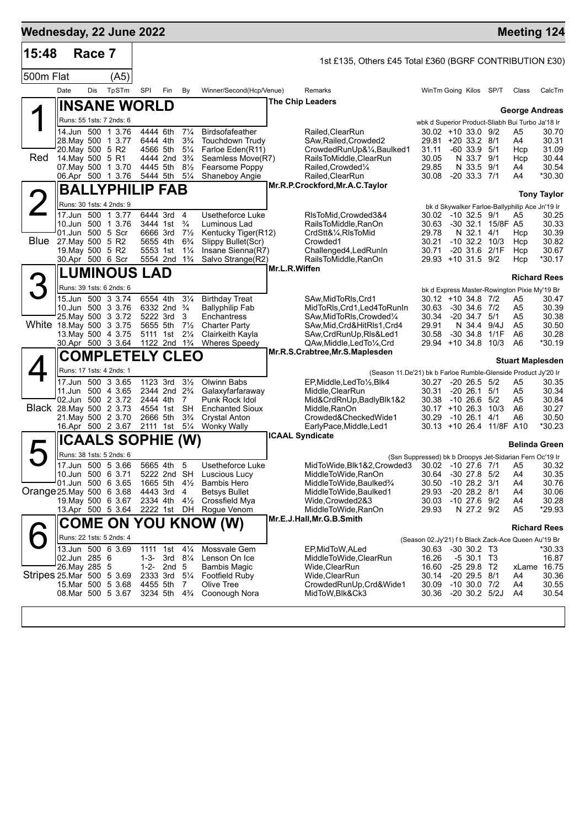| Wednesday, 22 June 2022   |                  |        |                                         |                   |                                                    |                                      |                                            |                        |                                                                                                |                              |                                       |                       | <b>Meeting 124</b>                                       |                    |
|---------------------------|------------------|--------|-----------------------------------------|-------------------|----------------------------------------------------|--------------------------------------|--------------------------------------------|------------------------|------------------------------------------------------------------------------------------------|------------------------------|---------------------------------------|-----------------------|----------------------------------------------------------|--------------------|
| 15:48                     |                  | Race 7 |                                         |                   |                                                    |                                      |                                            |                        | 1st £135, Others £45 Total £360 (BGRF CONTRIBUTION £30)                                        |                              |                                       |                       |                                                          |                    |
| 500m Flat                 |                  |        | (A5)                                    |                   |                                                    |                                      |                                            |                        |                                                                                                |                              |                                       |                       |                                                          |                    |
|                           | Date             | Dis    | TpSTm                                   | SPI               | Fin                                                | By                                   | Winner/Second(Hcp/Venue)                   |                        | Remarks                                                                                        | WinTm Going Kilos SP/T       |                                       |                       | Class                                                    | CalcTm             |
|                           |                  |        | <b>INSANE WORLD</b>                     |                   |                                                    |                                      |                                            |                        | The Chip Leaders                                                                               |                              |                                       |                       | <b>George Andreas</b>                                    |                    |
|                           |                  |        | Runs: 55 1sts: 7 2nds: 6                |                   |                                                    |                                      |                                            |                        |                                                                                                |                              |                                       |                       | wbk d Superior Product-Sliabh Bui Turbo Ja'18 Ir         |                    |
|                           |                  |        | 14.Jun 500 1 3.76                       |                   | 4444 6th                                           | $7\frac{1}{4}$                       | <b>Birdsofafeather</b>                     |                        | Railed, ClearRun                                                                               | $30.02 + 10.33.0$ 9/2        |                                       |                       | A5                                                       | 30.70              |
|                           | 20. May 500 5 R2 |        | 28. May 500 1 3.77                      |                   | 6444 4th<br>4566 5th                               | $3\frac{3}{4}$<br>$5\frac{1}{4}$     | <b>Touchdown Trudy</b><br>Farloe Eden(R11) |                        | SAw, Railed, Crowded2<br>CrowdedRunUp&1/4,Baulked1                                             | 29.81 +20 33.2 8/1<br>31.11  | $-60$ 33.9 $5/1$                      |                       | A4<br>Hcp                                                | 30.31<br>31.09     |
| Red                       | 14. May 500 5 R1 |        |                                         |                   | 4444 2nd 3 <sup>3</sup> / <sub>4</sub>             |                                      | Seamless Move(R7)                          |                        | RailsToMiddle,ClearRun                                                                         | 30.05                        | N 33.7 9/1                            |                       | Hcp                                                      | 30.44              |
|                           |                  |        | 07. May 500 1 3.70<br>06.Apr 500 1 3.76 |                   | 4445 5th 81/2<br>5444 5th                          | $5\frac{1}{4}$                       | Fearsome Poppy<br>Shaneboy Angie           |                        | Railed, Crowded <sup>1/4</sup><br>Railed, ClearRun                                             | 29.85<br>30.08               | N 33.5 9/1<br>$-20$ 33.3 $7/1$        |                       | A4<br>A4                                                 | 30.54<br>*30.30    |
|                           |                  |        | <b>BALLYPHILIP FAB</b>                  |                   |                                                    |                                      |                                            |                        | Mr.R.P.Crockford, Mr.A.C. Taylor                                                               |                              |                                       |                       |                                                          |                    |
|                           |                  |        | Runs: 30 1sts: 4 2nds: 9                |                   |                                                    |                                      |                                            |                        |                                                                                                |                              |                                       |                       |                                                          | <b>Tony Taylor</b> |
|                           |                  |        | 17.Jun 500 1 3.77                       |                   | 6444 3rd                                           | $\overline{4}$                       | Usetheforce Luke                           |                        | RIsToMid, Crowded 3&4                                                                          | 30.02 -10 32.5 9/1           |                                       |                       | bk d Skywalker Farloe-Ballyphilip Ace Jn'19 Ir<br>A5     | 30.25              |
|                           |                  |        | 10.Jun 500 1 3.76                       |                   | 3444 1st                                           | $\frac{3}{4}$                        | Luminous Lad                               |                        | RailsToMiddle, RanOn                                                                           | 30.63                        |                                       | -30 32.1 15/8F A5     |                                                          | 30.33              |
| Blue                      | 27. May 500 5 R2 |        | 01.Jun 500 5 Scr                        |                   | 6666 3rd<br>5655 4th                               | $7\frac{1}{2}$<br>$6\frac{3}{4}$     | Kentucky Tiger(R12)<br>Slippy Bullet(Scr)  |                        | CrdStt&1/ <sub>4</sub> , RIsToMid<br>Crowded1                                                  | 29.78<br>30.21               | N 32.1 4/1                            | $-10$ 32.2 $10/3$     | Hcp<br>Hcp                                               | 30.39<br>30.82     |
|                           | 19. May 500 5 R2 |        |                                         |                   | 5553 1st                                           | $1\frac{1}{4}$                       | Insane Sienna(R7)                          |                        | Challenged4, LedRunIn                                                                          | 30.71                        |                                       | -20 31.6 2/1F         | Hcp                                                      | 30.67              |
|                           |                  |        | 30.Apr 500 6 Scr                        |                   | 5554 2nd 1 <sup>3</sup> / <sub>4</sub>             |                                      | Salvo Strange(R2)                          |                        | RailsToMiddle, RanOn                                                                           | 29.93 +10 31.5 9/2           |                                       |                       | Hcp                                                      | $*30.17$           |
|                           |                  |        | <b>LUMINOUS LAD</b>                     |                   |                                                    |                                      |                                            | Mr.L.R.Wiffen          |                                                                                                |                              |                                       |                       | <b>Richard Rees</b>                                      |                    |
| 3                         |                  |        | Runs: 39 1sts: 6 2nds: 6                |                   |                                                    |                                      |                                            |                        |                                                                                                |                              |                                       |                       | bk d Express Master-Rowington Pixie My'19 Br             |                    |
|                           |                  |        | 15.Jun 500 3 3.74                       |                   | 6554 4th                                           | $3\frac{1}{4}$                       | <b>Birthday Treat</b>                      |                        | SAw, MidToRIs, Crd1                                                                            | $30.12 + 10.34.8$ 7/2        |                                       |                       | A5                                                       | 30.47              |
|                           |                  |        | 10.Jun 500 3 3.76<br>25. May 500 3 3.72 |                   | 6332 2nd <sup>3</sup> / <sub>4</sub><br>5222 3rd   | 3                                    | <b>Ballyphilip Fab</b><br>Enchantress      |                        | MidToRIs, Crd1, Led4ToRunIn<br>SAw, MidToRIs, Crowded 1/4                                      | 30.63<br>30.34               | $-30$ 34.6 $7/2$<br>$-20$ 34.7 $5/1$  |                       | A5<br>A5                                                 | 30.39<br>30.38     |
| White 18. May 500 3 3.75  |                  |        |                                         |                   | 5655 5th                                           | $7\frac{1}{2}$                       | <b>Charter Party</b>                       |                        | SAw, Mid, Crd&HitRIs1, Crd4                                                                    | 29.91                        | N 34.4                                | 9/4J                  | A5                                                       | 30.50              |
|                           |                  |        | 13. May 500 4 3.75<br>30.Apr 500 3 3.64 |                   | 5111 1st<br>1122 2nd 1 <sup>3</sup> / <sub>4</sub> | $2\frac{1}{4}$                       | Clairkeith Kayla<br><b>Wheres Speedy</b>   |                        | SAw, Crd Run Up, RIs & Led 1                                                                   | 30.58<br>29.94 +10 34.8      |                                       | -30 34.8 1/1F<br>10/3 | A6<br>A <sub>6</sub>                                     | 30.28<br>*30.19    |
|                           |                  |        | <b>COMPLETELY CLEO</b>                  |                   |                                                    |                                      |                                            |                        | QAw,Middle,LedTo¼,Crd<br>Mr.R.S.Crabtree, Mr.S.Maplesden                                       |                              |                                       |                       |                                                          |                    |
|                           |                  |        | Runs: 17 1sts: 4 2nds: 1                |                   |                                                    |                                      |                                            |                        |                                                                                                |                              |                                       |                       | <b>Stuart Maplesden</b>                                  |                    |
|                           |                  |        | 17.Jun 500 3 3.65                       |                   | 1123 3rd                                           | $3\frac{1}{2}$                       | Olwinn Babs                                |                        | (Season 11.De'21) bk b Farloe Rumble-Glenside Product Jy'20 Ir<br>EP, Middle, Led To 1/2, Blk4 | 30.27                        | $-20$ 26.5 $5/2$                      |                       | A5                                                       | 30.35              |
|                           |                  |        | 11.Jun 500 4 3.65                       |                   | 2344 2nd 2 <sup>3</sup> / <sub>4</sub>             |                                      | Galaxyfarfaraway                           |                        | Middle, ClearRun                                                                               | 30.31                        | $-20$ 26.1 $5/1$                      |                       | A5                                                       | 30.34              |
|                           |                  |        | 02.Jun 500 2 3.72                       |                   | 2444 4th                                           | 7                                    | Punk Rock Idol                             |                        | Mid&CrdRnUp, BadlyBlk1&2                                                                       | 30.38                        | $-10266$ 5/2                          |                       | A5                                                       | 30.84              |
| Black 28. May 500 2 3.73  |                  |        | 21. May 500 2 3.70                      |                   | 4554 1st<br>2666 5th                               | <b>SH</b><br>$3\frac{3}{4}$          | <b>Enchanted Sioux</b><br>Crystal Anton    |                        | Middle, RanOn<br>Crowded&CheckedWide1                                                          | 30.17 +10 26.3 10/3<br>30.29 | $-10$ 26.1 $4/1$                      |                       | A6<br>A6                                                 | 30.27<br>30.50     |
|                           |                  |        | 16.Apr 500 2 3.67                       |                   | 2111 1st                                           | $5\frac{1}{4}$                       | <b>Wonky Wally</b>                         |                        | EarlyPace, Middle, Led1                                                                        | 30.13 +10 26.4 11/8F A10     |                                       |                       |                                                          | *30.23             |
|                           |                  |        | ICAALS SOPHIE (W)                       |                   |                                                    |                                      |                                            | <b>ICAAL Syndicate</b> |                                                                                                |                              |                                       |                       | <b>Belinda Green</b>                                     |                    |
|                           |                  |        | Runs: 38 1sts: 5 2nds: 6                |                   |                                                    |                                      |                                            |                        |                                                                                                |                              |                                       |                       | (Ssn Suppressed) bk b Droopys Jet-Sidarian Fern Oc'19 Ir |                    |
|                           |                  |        | 17.Jun 500 5 3.66                       |                   | 5665 4th                                           | 5                                    | Usetheforce Luke                           |                        | MidToWide, Blk1&2, Crowded 3 30.02 -10 27.6 7/1                                                |                              |                                       |                       | <b>A5</b>                                                | 30.32              |
|                           |                  |        | 10.Jun 500 6 3.71<br>01.Jun 500 6 3.65  |                   | 5222 2nd SH<br>1665 5th                            | $4\frac{1}{2}$                       | Luscious Lucy<br><b>Bambis Hero</b>        |                        | MiddleToWide, RanOn<br>MiddleToWide,Baulked%                                                   | 30.64<br>30.50               | $-30$ 27.8 $5/2$<br>$-10$ 28.2 $3/1$  |                       | A4<br>A4                                                 | 30.35<br>30.76     |
| Orange 25. May 500 6 3.68 |                  |        |                                         |                   | 4443 3rd                                           | -4                                   | <b>Betsys Bullet</b>                       |                        | MiddleToWide,Baulked1                                                                          | 29.93                        | $-20$ 28.2 $8/1$                      |                       | A4                                                       | 30.06              |
|                           |                  |        | 19. May 500 6 3.67                      |                   | 2334 4th 41/2                                      |                                      | Crossfield Mya                             |                        | Wide,Crowded2&3                                                                                | 30.03                        | $-10$ 27.6 $9/2$                      |                       | A4                                                       | 30.28              |
|                           |                  |        | 13.Apr 500 5 3.64                       |                   | 2222 1st DH                                        |                                      | Rogue Venom                                |                        | MiddleToWide, RanOn<br>Mr.E.J.Hall, Mr.G.B.Smith                                               | 29.93                        | N 27.2 9/2                            |                       | A <sub>5</sub>                                           | *29.93             |
|                           |                  |        |                                         |                   |                                                    |                                      | COME ON YOU KNOW (W)                       |                        |                                                                                                |                              |                                       |                       | <b>Richard Rees</b>                                      |                    |
|                           |                  |        | Runs: 22 1sts: 5 2nds: 4                |                   |                                                    |                                      |                                            |                        |                                                                                                |                              |                                       |                       | (Season 02.Jy'21) f b Black Zack-Ace Queen Au'19 Br      |                    |
|                           | 02.Jun 285 6     |        | 13.Jun 500 6 3.69                       | 1111<br>$1 - 3 -$ | 1st                                                | $4\frac{1}{4}$<br>3rd $8\frac{1}{4}$ | Mossvale Gem<br>Lenson On Ice              |                        | EP, MidToW, ALed<br>MiddleToWide,ClearRun                                                      | 30.63<br>16.26               | $-30$ 30.2 T3<br>$-530.1$ T3          |                       |                                                          | *30.33<br>16.87    |
|                           | 26. May 285 5    |        |                                         | $1 - 2 -$         | 2nd 5                                              |                                      | Bambis Magic                               |                        | Wide,ClearRun                                                                                  | 16.60                        | -25 29.8 T2                           |                       | xLame                                                    | 16.75              |
| Stripes 25.Mar 500 5 3.69 |                  |        |                                         |                   | 2333 3rd                                           | $5\frac{1}{4}$                       | <b>Footfield Ruby</b>                      |                        | Wide, ClearRun                                                                                 | 30.14                        | $-20$ 29.5 $8/1$                      |                       | A4                                                       | 30.36              |
|                           |                  |        | 15.Mar 500 5 3.68<br>08. Mar 500 5 3.67 |                   | 4455 5th<br>3234 5th                               | 7<br>$4\frac{3}{4}$                  | Olive Tree<br>Coonough Nora                |                        | CrowdedRunUp,Crd&Wide1<br>MidToW, Blk&Ck3                                                      | 30.09<br>30.36               | $-10$ 30.0 $7/2$<br>$-20$ 30.2 $5/2J$ |                       | A4<br>A4                                                 | 30.55<br>30.54     |
|                           |                  |        |                                         |                   |                                                    |                                      |                                            |                        |                                                                                                |                              |                                       |                       |                                                          |                    |
|                           |                  |        |                                         |                   |                                                    |                                      |                                            |                        |                                                                                                |                              |                                       |                       |                                                          |                    |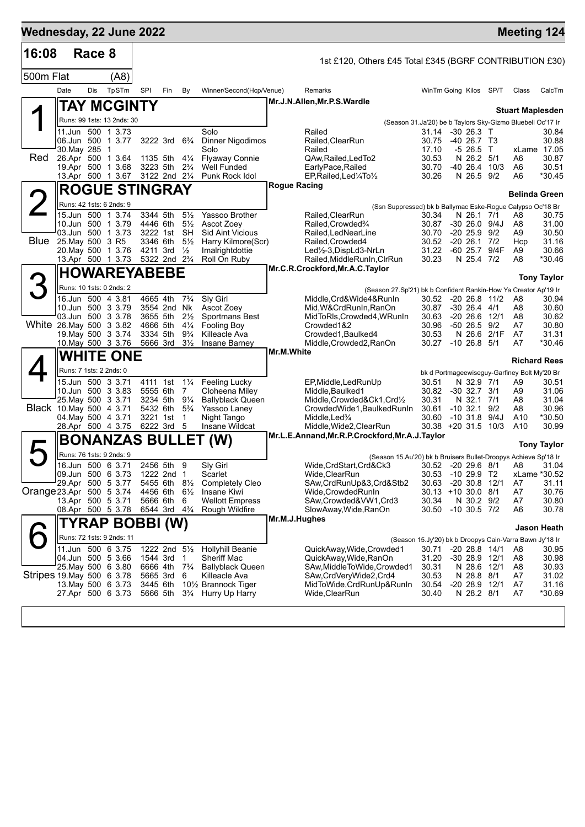| Wednesday, 22 June 2022   |                                            |        |                                        |                                                    |                                        |                                  |                                               |            |                                                                                 |                                                                  |                                         |      | <b>Meeting 124</b>                           |                       |
|---------------------------|--------------------------------------------|--------|----------------------------------------|----------------------------------------------------|----------------------------------------|----------------------------------|-----------------------------------------------|------------|---------------------------------------------------------------------------------|------------------------------------------------------------------|-----------------------------------------|------|----------------------------------------------|-----------------------|
| 16:08                     |                                            | Race 8 |                                        |                                                    |                                        |                                  |                                               |            | 1st £120, Others £45 Total £345 (BGRF CONTRIBUTION £30)                         |                                                                  |                                         |      |                                              |                       |
| 500m Flat                 |                                            |        | (A8)                                   |                                                    |                                        |                                  |                                               |            |                                                                                 |                                                                  |                                         |      |                                              |                       |
|                           | Date                                       | Dis    | TpSTm                                  | SPI                                                | Fin                                    | By                               | Winner/Second(Hcp/Venue)                      |            | Remarks                                                                         | WinTm Going Kilos SP/T                                           |                                         |      | Class                                        | CalcTm                |
|                           |                                            |        | TAY MCGINTY                            |                                                    |                                        |                                  |                                               |            | Mr.J.N.Allen, Mr.P.S. Wardle                                                    |                                                                  |                                         |      |                                              |                       |
|                           |                                            |        | Runs: 99 1sts: 13 2nds: 30             |                                                    |                                        |                                  |                                               |            |                                                                                 | (Season 31.Ja'20) be b Taylors Sky-Gizmo Bluebell Oc'17 Ir       |                                         |      | <b>Stuart Maplesden</b>                      |                       |
|                           |                                            |        | 11.Jun 500 1 3.73                      |                                                    |                                        |                                  | Solo                                          |            | Railed                                                                          | 31.14                                                            | -30 26.3 T                              |      |                                              | 30.84                 |
|                           | 06.Jun 500 1 3.77<br>30. May 285 1         |        |                                        |                                                    | 3222 3rd 6 <sup>3</sup> / <sub>4</sub> |                                  | <b>Dinner Nigodimos</b><br>Solo               |            | Railed, ClearRun<br>Railed                                                      | 30.75<br>17.10                                                   | $-40$ 26.7 T <sub>3</sub><br>$-526.5$ T |      |                                              | 30.88<br>xLame 17.05  |
| Red                       | 26.Apr 500 1 3.64                          |        |                                        |                                                    | 1135 5th 41/4                          |                                  | <b>Flyaway Connie</b>                         |            | QAw, Railed, Led To2                                                            | 30.53                                                            | N 26.2 5/1                              |      | A6                                           | 30.87                 |
|                           |                                            |        | 19.Apr 500 1 3.68<br>13.Apr 500 1 3.67 |                                                    | 3223 5th<br>3122 2nd 21/4              | $2\frac{3}{4}$                   | Well Funded<br>Punk Rock Idol                 |            | EarlyPace, Railed<br>EP, Railed, Led 1/4 To 1/2                                 | 30.70<br>30.26                                                   | -40 26.4<br>N 26.5 9/2                  | 10/3 | A6<br>A6                                     | 30.51<br>*30.45       |
|                           |                                            |        | <b>ROGUE STINGRAY</b>                  |                                                    |                                        |                                  |                                               |            | Rogue Racing                                                                    |                                                                  |                                         |      |                                              |                       |
|                           |                                            |        |                                        |                                                    |                                        |                                  |                                               |            |                                                                                 |                                                                  |                                         |      | <b>Belinda Green</b>                         |                       |
|                           | Runs: 42 1sts: 6 2nds: 9                   |        | 15.Jun 500 1 3.74                      | 3344 5th                                           |                                        | $5\frac{1}{2}$                   | Yassoo Brother                                |            | (Ssn Suppressed) bk b Ballymac Eske-Rogue Calypso Oc'18 Br<br>Railed, Clear Run | 30.34                                                            | N 26.1 7/1                              |      | A8                                           | 30.75                 |
|                           |                                            |        | 10.Jun 500 1 3.79                      | 4446 6th                                           |                                        | $5\frac{1}{2}$                   | Ascot Zoev                                    |            | Railed, Crowded 3/4                                                             | 30.87                                                            | $-30$ 26.0 $9/4J$                       |      | A8                                           | 31.00                 |
|                           | 03.Jun 500 1 3.73<br>Blue 25. May 500 3 R5 |        |                                        | 3222 1st<br>3346 6th                               |                                        | SH<br>$5\frac{1}{2}$             | <b>Sid Aint Vicious</b><br>Harry Kilmore(Scr) |            | Railed, LedNearLine<br>Railed, Crowded4                                         | 30.70<br>30.52                                                   | $-20\,25.9$<br>$-20$ 26.1 $7/2$         | 9/2  | A9<br>Hcp                                    | 30.50<br>31.16        |
|                           | 20. May 500 1 3.76                         |        |                                        | 4211 3rd                                           |                                        | $\frac{1}{2}$                    | Imalrightdottie                               |            | $Led\frac{1}{2}$ -3, DispLd3-NrLn                                               | 31.22                                                            | $-6025.7$                               | 9/4F | A9                                           | 30.66                 |
|                           |                                            |        | 13.Apr 500 1 3.73                      | 5322 2nd 2 <sup>3</sup> / <sub>4</sub>             |                                        |                                  | Roll On Ruby                                  |            | Railed, MiddleRunIn, CIrRun<br>Mr.C.R.Crockford, Mr.A.C. Taylor                 | 30.23                                                            | N 25.4 7/2                              |      | A8                                           | *30.46                |
|                           |                                            |        | <b>HOWAREYABEBE</b>                    |                                                    |                                        |                                  |                                               |            |                                                                                 |                                                                  |                                         |      |                                              | <b>Tony Taylor</b>    |
| З                         |                                            |        | Runs: 10 1sts: 0 2nds: 2               |                                                    |                                        |                                  |                                               |            | (Season 27.Sp'21) bk b Confident Rankin-How Ya Creator Ap'19 Ir                 |                                                                  |                                         |      |                                              |                       |
|                           | 16.Jun 500 4 3.81                          |        | 10.Jun 500 3 3.79                      | 4665 4th                                           | 3554 2nd Nk                            | $7\frac{3}{4}$                   | Sly Girl<br>Ascot Zoey                        |            | Middle, Crd& Wide4& RunIn<br>Mid, W& Crd Run In, Ran On                         | 30.52<br>30.87                                                   | $-20$ 26.8 $11/2$<br>$-30$ 26.4 $4/1$   |      | A8<br>A8                                     | 30.94<br>30.60        |
|                           | 03.Jun 500 3 3.78                          |        |                                        | 3655 5th                                           |                                        | $2\frac{1}{2}$                   | Sportmans Best                                |            | MidToRIs, Crowded4, WRunIn                                                      | 30.63                                                            | $-20$ 26.6 12/1                         |      | A8                                           | 30.62                 |
| White 26. May 500 3 3.82  |                                            |        | 19 May 500 3 3 74                      | 4666 5th<br>3334 5th                               |                                        | $4\frac{1}{4}$<br>$9\frac{3}{4}$ | <b>Fooling Boy</b><br>Killeacle Ava           |            | Crowded1&2<br>Crowded1, Baulked4                                                | 30.96<br>30.53                                                   | $-50$ 26.5 $9/2$<br>N 26.6 2/1F         |      | A7<br>A7                                     | 30.80<br>31.31        |
|                           |                                            |        | 10. May 500 3 3.76                     | 5666 3rd                                           |                                        | $3\frac{1}{2}$                   | Insane Barney                                 |            | Middle,Crowded2,RanOn                                                           | 30.27                                                            | $-10$ 26.8 $5/1$                        |      | A7                                           | *30.46                |
|                           |                                            |        | <b>WHITE ONE</b>                       |                                                    |                                        |                                  |                                               | Mr.M.White |                                                                                 |                                                                  |                                         |      |                                              | <b>Richard Rees</b>   |
|                           | Runs: 7 1sts: 2 2nds: 0                    |        |                                        |                                                    |                                        |                                  |                                               |            |                                                                                 |                                                                  |                                         |      | bk d Portmageewiseguy-Garfiney Bolt My'20 Br |                       |
|                           |                                            |        | 15.Jun 500 3 3.71                      | 4111 1st                                           |                                        | $1\frac{1}{4}$                   | <b>Feeling Lucky</b>                          |            | EP, Middle, LedRunUp                                                            | 30.51                                                            | N 32.9 7/1                              |      | A9                                           | 30.51                 |
|                           | 25. May 500 3 3.71                         |        | 10.Jun 500 3 3.83                      | 5555 6th                                           | 3234 5th 91/4                          | 7                                | Cloheena Miley<br><b>Ballyblack Queen</b>     |            | Middle, Baulked1<br>Middle, Crowded&Ck1, Crd1/2                                 | 30.82<br>30.31                                                   | $-30$ 32.7 $3/1$<br>N 32.1 7/1          |      | A9<br>A8                                     | 31.06<br>31.04        |
| Black 10. May 500 4 3.71  |                                            |        |                                        | 5432 6th                                           |                                        | $5\frac{3}{4}$                   | Yassoo Laney                                  |            | CrowdedWide1, BaulkedRunIn                                                      | 30.61                                                            | $-10, 32.1$                             | 9/2  | A8                                           | 30.96                 |
|                           | 04. May 500 4 3.71<br>28.Apr 500 4 3.75    |        |                                        | 3221 1st<br>6222 3rd                               |                                        | $\mathbf{1}$<br>-5               | Night Tango<br>Insane Wildcat                 |            | Middle, Led <sup>3</sup> /4<br>Middle, Wide 2, Clear Run                        | 30.60<br>$30.38 + 20.31.5$                                       | $-10$ 31.8 $9/4J$                       | 10/3 | A10<br>A <sub>10</sub>                       | *30.50<br>30.99       |
|                           |                                            |        | <b>BONANZAS BULLET</b>                 |                                                    |                                        |                                  | (W)                                           |            | Mr.L.E.Annand, Mr.R.P.Crockford, Mr.A.J.Taylor                                  |                                                                  |                                         |      |                                              |                       |
|                           |                                            |        | Runs: 76 1sts: 9 2nds: 9               |                                                    |                                        |                                  |                                               |            | (Season 15.Au'20) bk b Bruisers Bullet-Droopys Achieve Sp'18 Ir                 |                                                                  |                                         |      |                                              | <b>Tony Taylor</b>    |
|                           |                                            |        | 16.Jun 500 6 3.71                      | 2456 5th                                           |                                        | 9                                | Sly Girl                                      |            | Wide, CrdStart, Crd&Ck3                                                         |                                                                  |                                         |      | 30.52 -20 29.6 8/1 A8                        | 31.04                 |
|                           | 09.Jun 500 6 3.73<br>29.Apr 500 5 3.77     |        |                                        |                                                    | 1222 2nd 1<br>5455 6th 81/2            |                                  | Scarlet<br><b>Completely Cleo</b>             |            | Wide, ClearRun<br>SAw, CrdRunUp&3, Crd&Stb2                                     | 30.53<br>30.63                                                   | $-1029.9$ T2<br>$-20$ 30.8 12/1         |      | A7                                           | xLame *30.52<br>31.11 |
| Orange 23.Apr 500 5 3.74  |                                            |        |                                        | 4456 6th                                           |                                        | $6\frac{1}{2}$                   | Insane Kiwi                                   |            | Wide, Crowded Run In                                                            | 30.13 +10 30.0 8/1                                               |                                         |      | A7                                           | 30.76                 |
|                           | 13.Apr 500 5 3.71<br>08.Apr 500 5 3.78     |        |                                        | 5666 6th<br>6544 3rd 4 <sup>3</sup> / <sub>4</sub> |                                        | - 6                              | <b>Wellott Empress</b><br>Rough Wildfire      |            | SAw,Crowded&VW1,Crd3<br>SlowAway, Wide, RanOn                                   | 30.34<br>30.50                                                   | N 30.2 9/2<br>$-10$ 30.5 $7/2$          |      | A7<br>A6                                     | 30.80<br>30.78        |
|                           |                                            |        |                                        |                                                    |                                        |                                  |                                               |            | Mr.M.J.Hughes                                                                   |                                                                  |                                         |      |                                              |                       |
|                           |                                            |        | TYRAP BOBBI (W)                        |                                                    |                                        |                                  |                                               |            |                                                                                 |                                                                  |                                         |      |                                              | Jason Heath           |
|                           | 11.Jun 500 6 3.75                          |        | Runs: 72 1sts: 9 2nds: 11              |                                                    | 1222 2nd 51/2                          |                                  | <b>Hollyhill Beanie</b>                       |            | QuickAway, Wide, Crowded1                                                       | (Season 15.Jy'20) bk b Droopys Cain-Varra Bawn Jy'18 Ir<br>30.71 | $-20$ 28.8 $14/1$                       |      | A8                                           | 30.95                 |
|                           | 04.Jun 500 5 3.66                          |        |                                        | 1544 3rd                                           |                                        | -1                               | Sheriff Mac                                   |            | QuickAway, Wide, RanOn                                                          | 31.20                                                            | -30 28.9 12/1                           |      | A8                                           | 30.98                 |
| Stripes 19 May 500 6 3.78 | 25. May 500 6 3.80                         |        |                                        | 6666 4th<br>5665 3rd                               |                                        | $7\frac{3}{4}$<br>6              | <b>Ballyblack Queen</b><br>Killeacle Ava      |            | SAw, Middle To Wide, Crowded1<br>SAw,CrdVeryWide2,Crd4                          | 30.31<br>30.53                                                   | N 28.6 12/1<br>N 28.8 8/1               |      | A8<br>A7                                     | 30.93<br>31.02        |
|                           | 13. May 500 6 3.73                         |        |                                        | 3445 6th                                           |                                        |                                  | 101/2 Brannock Tiger                          |            | MidToWide,CrdRunUp&RunIn                                                        | 30.54                                                            | $-20$ 28.9 12/1                         |      | A7                                           | 31.16                 |
|                           | 27.Apr 500 6 3.73                          |        |                                        | 5666 5th                                           |                                        | $3\frac{3}{4}$                   | Hurry Up Harry                                |            | Wide, ClearRun                                                                  | 30.40                                                            | N 28.2 8/1                              |      | A7                                           | *30.69                |
|                           |                                            |        |                                        |                                                    |                                        |                                  |                                               |            |                                                                                 |                                                                  |                                         |      |                                              |                       |
|                           |                                            |        |                                        |                                                    |                                        |                                  |                                               |            |                                                                                 |                                                                  |                                         |      |                                              |                       |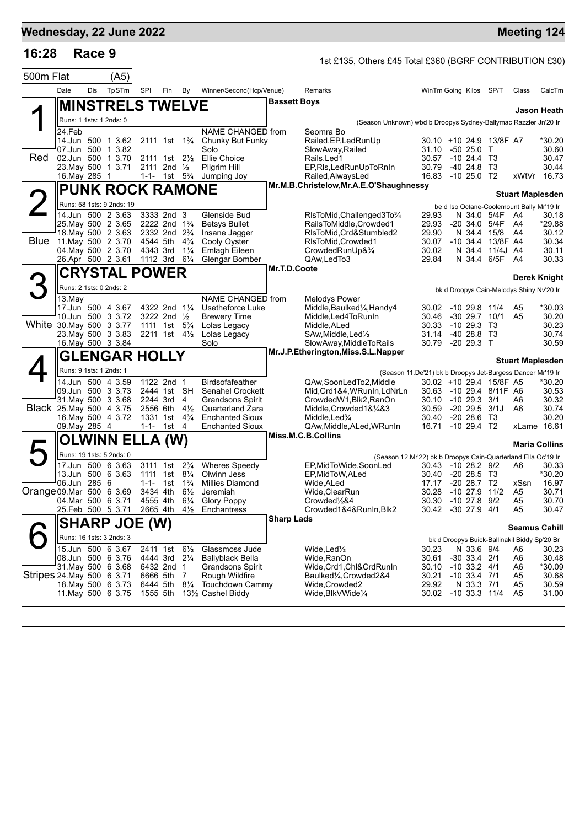| 16:28<br>Race 9<br>500m Flat<br>(A5)<br>TpSTm<br>Date<br>Dis<br><b>MINSTRELS TWELVE</b><br>Runs: 1 1sts: 1 2nds: 0<br>24.Feb<br>14.Jun 500 1 3.62<br>07.Jun 500 1 3.82<br>Red<br>02.Jun 500 1 3.70<br>23. May 500 1 3.71<br>16. May 285 1<br><b>PUNK ROCK RAMONE</b><br>Runs: 58 1sts: 9 2nds: 19<br>14.Jun 500 2 3.63<br>25. May 500 2 3.65<br>18. May 500 2 3.63<br>Blue<br>11. May 500 2 3.70<br>04. May 500 2 3.70<br>26.Apr 500 2 3.61<br><b>CRYSTAL POWER</b><br>Runs: 2 1sts: 0 2nds: 2<br>$13$ . May<br>17.Jun 500 4 3.67<br>10.Jun 500 3 3.72<br>White 30. May 500 3 3.77<br>23. May 500 3 3.83<br>16. May 500 3 3.84<br><b>GLENGAR HOLLY</b><br>Runs: 9 1sts: 1 2nds: 1<br>14.Jun 500 4 3.59<br>09.Jun 500 3 3.73<br>31. May 500 3 3.68<br>Black 25. May 500 4 3.75<br>16. May 500 4 3.72<br>09. May 285 4<br>OLWINN ELLA (W)<br>Runs: 19 1sts: 5 2nds: 0<br>17.Jun 500 6 3.63<br>13.Jun 500 6 3.63<br>06.Jun 285 6<br>04.Mar 500 6 3.71 | SPI<br>Fin<br>By<br>Winner/Second(Hcp/Venue)<br>NAME CHANGED from<br>2111 1st 1 <sup>3</sup> / <sub>4</sub><br>Chunky But Funky<br>Solo<br>2111 1st 21/ <sub>2</sub><br><b>Ellie Choice</b><br>2111 2nd $\frac{1}{2}$<br>Pilgrim Hill<br>1-1- 1st $5\frac{1}{4}$<br>Jumping Joy<br>3333 2nd 3<br>Glenside Bud<br>2222 2nd 1 <sup>3</sup> / <sub>4</sub><br><b>Betsys Bullet</b><br>2332 2nd 2 <sup>3</sup> / <sub>4</sub><br>Insane Jagger<br>4544 5th<br>$4\frac{3}{4}$<br>Cooly Oyster<br>4343 3rd<br>Emlagh Eileen<br>$1\frac{1}{4}$<br>1112 3rd<br>$6\frac{1}{4}$<br>Glengar Bomber | 1st £135, Others £45 Total £360 (BGRF CONTRIBUTION £30)<br>Remarks<br>WinTm Going Kilos SP/T<br>CalcTm<br>Class<br>Bassett Boys<br>Jason Heath<br>(Season Unknown) wbd b Droopys Sydney-Ballymac Razzler Jn'20 Ir<br>Seomra Bo<br>Railed, EP, Led Run Up<br>30.10 +10 24.9 13/8F A7<br>*30.20<br>SlowAway, Railed<br>31.10 -50 25.0 T<br>30.60<br>Rails, Led1<br>30.57 -10 24.4 T3<br>30.47<br>EP, RIs, Led Run Up To Rn In<br>30.79<br>-40 24.8 T3<br>30.44<br>Railed, AlwaysLed<br>16.83 -10 25.0 T2<br>xWtVr 16.73<br>Mr.M.B.Christelow, Mr.A.E.O'Shaughnessy<br><b>Stuart Maplesden</b><br>be d Iso Octane-Coolemount Bally Mr'19 Ir<br>30.18<br>RIsToMid, Challenged 3To 3/4<br>29.93<br>N 34.0 5/4F<br>A4<br>RailsToMiddle, Crowded1<br>29.93<br>-20 34.0 5/4F<br>*29.88<br>A4<br>RIsToMid.Crd&Stumbled2<br>29.90<br>N 34.4 15/8<br>30.12<br>- A4<br>30.34<br>RIsToMid, Crowded1<br>30.07<br>-10 34.4 13/8F A4<br>30.02<br>30.11<br>CrowdedRunUp&3/4<br>N 34.4 11/4J A4<br>29.84<br>30.33<br>QAw,LedTo3<br>N 34.4 6/5F<br>- A4<br>Mr.T.D.Coote |
|----------------------------------------------------------------------------------------------------------------------------------------------------------------------------------------------------------------------------------------------------------------------------------------------------------------------------------------------------------------------------------------------------------------------------------------------------------------------------------------------------------------------------------------------------------------------------------------------------------------------------------------------------------------------------------------------------------------------------------------------------------------------------------------------------------------------------------------------------------------------------------------------------------------------------------------------------|-----------------------------------------------------------------------------------------------------------------------------------------------------------------------------------------------------------------------------------------------------------------------------------------------------------------------------------------------------------------------------------------------------------------------------------------------------------------------------------------------------------------------------------------------------------------------------------------|------------------------------------------------------------------------------------------------------------------------------------------------------------------------------------------------------------------------------------------------------------------------------------------------------------------------------------------------------------------------------------------------------------------------------------------------------------------------------------------------------------------------------------------------------------------------------------------------------------------------------------------------------------------------------------------------------------------------------------------------------------------------------------------------------------------------------------------------------------------------------------------------------------------------------------------------------------------------------------------------------------------------------------------------------|
|                                                                                                                                                                                                                                                                                                                                                                                                                                                                                                                                                                                                                                                                                                                                                                                                                                                                                                                                                    |                                                                                                                                                                                                                                                                                                                                                                                                                                                                                                                                                                                         |                                                                                                                                                                                                                                                                                                                                                                                                                                                                                                                                                                                                                                                                                                                                                                                                                                                                                                                                                                                                                                                      |
|                                                                                                                                                                                                                                                                                                                                                                                                                                                                                                                                                                                                                                                                                                                                                                                                                                                                                                                                                    |                                                                                                                                                                                                                                                                                                                                                                                                                                                                                                                                                                                         |                                                                                                                                                                                                                                                                                                                                                                                                                                                                                                                                                                                                                                                                                                                                                                                                                                                                                                                                                                                                                                                      |
|                                                                                                                                                                                                                                                                                                                                                                                                                                                                                                                                                                                                                                                                                                                                                                                                                                                                                                                                                    |                                                                                                                                                                                                                                                                                                                                                                                                                                                                                                                                                                                         |                                                                                                                                                                                                                                                                                                                                                                                                                                                                                                                                                                                                                                                                                                                                                                                                                                                                                                                                                                                                                                                      |
|                                                                                                                                                                                                                                                                                                                                                                                                                                                                                                                                                                                                                                                                                                                                                                                                                                                                                                                                                    |                                                                                                                                                                                                                                                                                                                                                                                                                                                                                                                                                                                         |                                                                                                                                                                                                                                                                                                                                                                                                                                                                                                                                                                                                                                                                                                                                                                                                                                                                                                                                                                                                                                                      |
|                                                                                                                                                                                                                                                                                                                                                                                                                                                                                                                                                                                                                                                                                                                                                                                                                                                                                                                                                    |                                                                                                                                                                                                                                                                                                                                                                                                                                                                                                                                                                                         |                                                                                                                                                                                                                                                                                                                                                                                                                                                                                                                                                                                                                                                                                                                                                                                                                                                                                                                                                                                                                                                      |
|                                                                                                                                                                                                                                                                                                                                                                                                                                                                                                                                                                                                                                                                                                                                                                                                                                                                                                                                                    |                                                                                                                                                                                                                                                                                                                                                                                                                                                                                                                                                                                         |                                                                                                                                                                                                                                                                                                                                                                                                                                                                                                                                                                                                                                                                                                                                                                                                                                                                                                                                                                                                                                                      |
|                                                                                                                                                                                                                                                                                                                                                                                                                                                                                                                                                                                                                                                                                                                                                                                                                                                                                                                                                    |                                                                                                                                                                                                                                                                                                                                                                                                                                                                                                                                                                                         |                                                                                                                                                                                                                                                                                                                                                                                                                                                                                                                                                                                                                                                                                                                                                                                                                                                                                                                                                                                                                                                      |
|                                                                                                                                                                                                                                                                                                                                                                                                                                                                                                                                                                                                                                                                                                                                                                                                                                                                                                                                                    |                                                                                                                                                                                                                                                                                                                                                                                                                                                                                                                                                                                         |                                                                                                                                                                                                                                                                                                                                                                                                                                                                                                                                                                                                                                                                                                                                                                                                                                                                                                                                                                                                                                                      |
|                                                                                                                                                                                                                                                                                                                                                                                                                                                                                                                                                                                                                                                                                                                                                                                                                                                                                                                                                    |                                                                                                                                                                                                                                                                                                                                                                                                                                                                                                                                                                                         |                                                                                                                                                                                                                                                                                                                                                                                                                                                                                                                                                                                                                                                                                                                                                                                                                                                                                                                                                                                                                                                      |
|                                                                                                                                                                                                                                                                                                                                                                                                                                                                                                                                                                                                                                                                                                                                                                                                                                                                                                                                                    |                                                                                                                                                                                                                                                                                                                                                                                                                                                                                                                                                                                         |                                                                                                                                                                                                                                                                                                                                                                                                                                                                                                                                                                                                                                                                                                                                                                                                                                                                                                                                                                                                                                                      |
| Orange 09.Mar 500 6 3.69                                                                                                                                                                                                                                                                                                                                                                                                                                                                                                                                                                                                                                                                                                                                                                                                                                                                                                                           |                                                                                                                                                                                                                                                                                                                                                                                                                                                                                                                                                                                         |                                                                                                                                                                                                                                                                                                                                                                                                                                                                                                                                                                                                                                                                                                                                                                                                                                                                                                                                                                                                                                                      |
|                                                                                                                                                                                                                                                                                                                                                                                                                                                                                                                                                                                                                                                                                                                                                                                                                                                                                                                                                    |                                                                                                                                                                                                                                                                                                                                                                                                                                                                                                                                                                                         | Derek Knight                                                                                                                                                                                                                                                                                                                                                                                                                                                                                                                                                                                                                                                                                                                                                                                                                                                                                                                                                                                                                                         |
|                                                                                                                                                                                                                                                                                                                                                                                                                                                                                                                                                                                                                                                                                                                                                                                                                                                                                                                                                    | NAME CHANGED from                                                                                                                                                                                                                                                                                                                                                                                                                                                                                                                                                                       | bk d Droopys Cain-Melodys Shiny Nv'20 Ir<br><b>Melodys Power</b>                                                                                                                                                                                                                                                                                                                                                                                                                                                                                                                                                                                                                                                                                                                                                                                                                                                                                                                                                                                     |
|                                                                                                                                                                                                                                                                                                                                                                                                                                                                                                                                                                                                                                                                                                                                                                                                                                                                                                                                                    | 4322 2nd 11/4<br>Usetheforce Luke<br>3222 2nd $\frac{1}{2}$<br><b>Brewery Time</b><br>1111 1st 5 <sup>3</sup> / <sub>4</sub><br>Lolas Legacy<br>2211 1st $4\frac{1}{2}$<br>Lolas Legacy<br>Solo                                                                                                                                                                                                                                                                                                                                                                                         | *30.03<br>Middle, Baulked 1/4, Handy 4<br>30.02<br>-10 29.8 11/4<br>A5<br>30.46<br>$-30$ 29.7 $10/1$<br>A <sub>5</sub><br>30.20<br>Middle,Led4ToRunIn<br>30.33<br>$-1029.3$<br>30.23<br>Middle, ALed<br>- ТЗ<br>-40 28.8 T3<br>31.14<br>30.74<br>SAw, Middle, Led <sup>1</sup> / <sub>2</sub><br>-20 29.3 T<br>30.59<br>SlowAway, MiddleToRails<br>30.79                                                                                                                                                                                                                                                                                                                                                                                                                                                                                                                                                                                                                                                                                             |
|                                                                                                                                                                                                                                                                                                                                                                                                                                                                                                                                                                                                                                                                                                                                                                                                                                                                                                                                                    |                                                                                                                                                                                                                                                                                                                                                                                                                                                                                                                                                                                         | Mr.J.P.Etherington, Miss.S.L.Napper<br><b>Stuart Maplesden</b>                                                                                                                                                                                                                                                                                                                                                                                                                                                                                                                                                                                                                                                                                                                                                                                                                                                                                                                                                                                       |
|                                                                                                                                                                                                                                                                                                                                                                                                                                                                                                                                                                                                                                                                                                                                                                                                                                                                                                                                                    | 1122 2nd 1<br><b>Birdsofafeather</b><br>2444 1st SH<br>Senahel Crockett<br>2244 3rd 4<br>Grandsons Spirit<br>2556 6th 41/2<br><b>Quarterland Zara</b><br>1331 1st 4 <sup>3</sup> / <sub>4</sub><br><b>Enchanted Sioux</b><br>1-1- 1st 4<br><b>Enchanted Sioux</b>                                                                                                                                                                                                                                                                                                                       | (Season 11.De'21) bk b Droopys Jet-Burgess Dancer Mr'19 Ir<br>QAw,SoonLedTo2,Middle<br>30.02 +10 29.4 15/8F A5<br>*30.20<br>Mid, Crd1&4, WRunIn, LdNrLn<br>30.63 -10 29.4 8/11F A6<br>30.53<br>CrowdedW1, Blk2, RanOn<br>30.10 -10 29.3 3/1<br>30.32<br>A6<br>30.59<br>$-20$ 29.5 $3/1$<br>30.74<br>Middle,Crowded1&1⁄4&3<br>A6<br>$-20, 28.6$ T3<br>30.20<br>Middle, Led%<br>30.40<br>16.71<br>$-10$ 29.4 T2<br>xLame 16.61<br>QAw, Middle, ALed, WRunIn                                                                                                                                                                                                                                                                                                                                                                                                                                                                                                                                                                                            |
|                                                                                                                                                                                                                                                                                                                                                                                                                                                                                                                                                                                                                                                                                                                                                                                                                                                                                                                                                    |                                                                                                                                                                                                                                                                                                                                                                                                                                                                                                                                                                                         | Miss.M.C.B.Collins                                                                                                                                                                                                                                                                                                                                                                                                                                                                                                                                                                                                                                                                                                                                                                                                                                                                                                                                                                                                                                   |
|                                                                                                                                                                                                                                                                                                                                                                                                                                                                                                                                                                                                                                                                                                                                                                                                                                                                                                                                                    |                                                                                                                                                                                                                                                                                                                                                                                                                                                                                                                                                                                         | <b>Maria Collins</b><br>(Season 12.Mr'22) bk b Droopys Cain-Quarterland Ella Oc'19 Ir                                                                                                                                                                                                                                                                                                                                                                                                                                                                                                                                                                                                                                                                                                                                                                                                                                                                                                                                                                |
| 25. Feb 500 5 3.71                                                                                                                                                                                                                                                                                                                                                                                                                                                                                                                                                                                                                                                                                                                                                                                                                                                                                                                                 | 3111 1st 2 <sup>3</sup> / <sub>4</sub><br><b>Wheres Speedy</b><br>1111 1st 81/4<br>Olwinn Jess<br>$1\frac{3}{4}$<br><b>Millies Diamond</b><br>$1 - 1 -$<br>1st<br>3434 4th<br>$6\frac{1}{2}$<br>Jeremiah<br>4555 4th<br>$6\frac{1}{4}$<br><b>Glory Poppy</b><br>2665 4th<br>$4\frac{1}{2}$<br>Enchantress                                                                                                                                                                                                                                                                               | EP, MidToWide, SoonLed<br>30.43 -10 28.2 9/2<br>30.33<br>A6<br>EP, MidToW, ALed<br>$-20$ 28.5 T3<br>*30.20<br>30.40<br>-20 28.7 T2<br>16.97<br>Wide, ALed<br>17.17<br>xSsn<br>30.28<br>$-1027.9$<br>11/2<br>A <sub>5</sub><br>30.71<br>Wide, ClearRun<br>30.30<br>$-10$ 27.8 $9/2$<br>30.70<br>Crowded <sup>1</sup> / <sub>2</sub> &4<br>A5<br>30.42 -30 27.9 4/1<br>A <sub>5</sub><br>30.47<br>Crowded1&4&RunIn, Blk2                                                                                                                                                                                                                                                                                                                                                                                                                                                                                                                                                                                                                               |
| <b>SHARP JOE (W)</b>                                                                                                                                                                                                                                                                                                                                                                                                                                                                                                                                                                                                                                                                                                                                                                                                                                                                                                                               |                                                                                                                                                                                                                                                                                                                                                                                                                                                                                                                                                                                         | <b>Sharp Lads</b><br><b>Seamus Cahill</b>                                                                                                                                                                                                                                                                                                                                                                                                                                                                                                                                                                                                                                                                                                                                                                                                                                                                                                                                                                                                            |
| Runs: 16 1sts: 3 2nds: 3<br>15.Jun 500 6 3.67<br>08.Jun 500 6 3.76<br>31. May 500 6 3.68<br>Stripes 24 May 500 6 3 71                                                                                                                                                                                                                                                                                                                                                                                                                                                                                                                                                                                                                                                                                                                                                                                                                              | 2411 1st<br>$6\frac{1}{2}$<br>Glassmoss Jude<br>4444 3rd<br>$2\frac{1}{4}$<br>Ballyblack Bella                                                                                                                                                                                                                                                                                                                                                                                                                                                                                          | bk d Droopys Buick-Ballinakil Biddy Sp'20 Br<br>Wide, Led <sup>1</sup> / <sub>2</sub><br>N 33.6 9/4<br>30.23<br>30.23<br>A6<br>30.61<br>$-30$ 33.4 $2/1$<br>30.48<br>Wide,RanOn<br>A6<br>$-10$ 33.2 $4/1$<br>*30.09<br>Wide, Crd1, Chl&CrdRunIn<br>30.10<br>A6<br>30.21<br>$-10$ 33.4 $7/1$<br>30.68<br>Baulked1⁄4, Crowded2&4<br>A5                                                                                                                                                                                                                                                                                                                                                                                                                                                                                                                                                                                                                                                                                                                 |
| 18. May 500 6 3.73<br>6444 5th<br>11 May 500 6 3.75<br>1555 5th                                                                                                                                                                                                                                                                                                                                                                                                                                                                                                                                                                                                                                                                                                                                                                                                                                                                                    | 6432 2nd<br>$\overline{\mathbf{1}}$<br>Grandsons Spirit<br>6666 5th<br>Rough Wildfire<br>-7                                                                                                                                                                                                                                                                                                                                                                                                                                                                                             | 29.92<br>N 33.3 7/1<br>30.59<br><b>Touchdown Cammy</b><br>Wide,Crowded2<br>A5<br>30.02<br>$-10$ 33.3 $11/4$<br>A <sub>5</sub><br>31.00<br>Wide, Blk V Wide <sup>1</sup> / <sub>4</sub>                                                                                                                                                                                                                                                                                                                                                                                                                                                                                                                                                                                                                                                                                                                                                                                                                                                               |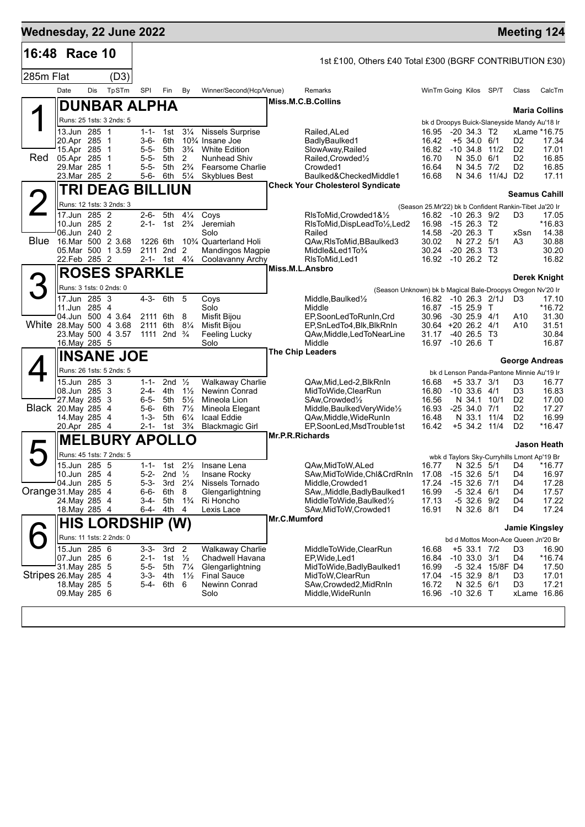| Wednesday, 22 June 2022  |                                |     |                                              |                        |                                                    |                                  |                                                                            |                 |                                                                           |                |                                                          |          |                                  | <b>Meeting 124</b>   |
|--------------------------|--------------------------------|-----|----------------------------------------------|------------------------|----------------------------------------------------|----------------------------------|----------------------------------------------------------------------------|-----------------|---------------------------------------------------------------------------|----------------|----------------------------------------------------------|----------|----------------------------------|----------------------|
| 16:48 Race 10            |                                |     |                                              |                        |                                                    |                                  |                                                                            |                 | 1st £100, Others £40 Total £300 (BGRF CONTRIBUTION £30)                   |                |                                                          |          |                                  |                      |
| 285m Flat                |                                |     | (D3)                                         |                        |                                                    |                                  |                                                                            |                 |                                                                           |                |                                                          |          |                                  |                      |
|                          | Date                           | Dis | TpSTm                                        | SPI                    | Fin                                                | By                               | Winner/Second(Hcp/Venue)                                                   |                 | Remarks                                                                   |                | WinTm Going Kilos SP/T                                   |          | Class                            | CalcTm               |
|                          |                                |     | DUNBAR ALPHA                                 |                        |                                                    |                                  |                                                                            |                 | Miss.M.C.B.Collins                                                        |                |                                                          |          |                                  |                      |
|                          |                                |     | Runs: 25 1sts: 3 2nds: 5                     |                        |                                                    |                                  |                                                                            |                 |                                                                           |                | bk d Droopys Buick-Slaneyside Mandy Au'18 Ir             |          |                                  | <b>Maria Collins</b> |
|                          | 13.Jun 285 1                   |     |                                              |                        | $1-1-1$ st                                         | $3\frac{1}{4}$                   | <b>Nissels Surprise</b>                                                    |                 | Railed, ALed                                                              | 16.95          | $-20, 34.3, T2$                                          |          |                                  | xLame *16.75         |
|                          | 20.Apr 285 1                   |     |                                              | 3-6-                   | 6th                                                |                                  | 10 <sup>3</sup> / <sub>4</sub> Insane Joe                                  |                 | BadlyBaulked1                                                             | 16.42<br>16.82 | $+5$ 34.0 6/1                                            |          | D <sub>2</sub>                   | 17.34                |
| Red                      | 15.Apr 285 1<br>05.Apr 285 1   |     |                                              | 5-5-<br>$5 - 5 -$      | 5th<br>5th                                         | $3\frac{3}{4}$<br>2              | <b>White Edition</b><br><b>Nunhead Shiv</b>                                |                 | SlowAway, Railed<br>Railed, Crowded <sup>1/2</sup>                        | 16.70          | $-10, 34.8$<br>N 35.0 6/1                                | 11/2     | D <sub>2</sub><br>D <sub>2</sub> | 17.01<br>16.85       |
|                          | 29. Mar 285 1                  |     |                                              | $5 - 5 -$              | 5th                                                | $2\frac{3}{4}$                   | Fearsome Charlie                                                           |                 | Crowded1                                                                  | 16.64          | N 34.5                                                   | 7/2      | D <sub>2</sub>                   | 16.85                |
|                          | 23. Mar 285 2                  |     |                                              |                        | 5-6- 6th                                           | $5\frac{1}{4}$                   | <b>Skyblues Best</b>                                                       |                 | Baulked&CheckedMiddle1<br><b>Check Your Cholesterol Syndicate</b>         | 16.68          | N 34.6 11/4J D2                                          |          |                                  | 17.11                |
|                          |                                |     | <b>TRI DEAG BILLIUN</b>                      |                        |                                                    |                                  |                                                                            |                 |                                                                           |                |                                                          |          | <b>Seamus Cahill</b>             |                      |
|                          |                                |     | Runs: 12 1sts: 3 2nds: 3                     |                        |                                                    |                                  |                                                                            |                 |                                                                           |                | (Season 25.Mr'22) bk b Confident Rankin-Tibet Ja'20 Ir   |          |                                  |                      |
|                          | 17.Jun 285 2<br>10.Jun 285 2   |     |                                              |                        | 2-6- 5th<br>2-1- 1st 2 <sup>3</sup> / <sub>4</sub> | $4\frac{1}{4}$                   | Coys<br>Jeremiah                                                           |                 | RIsToMid, Crowded 1&1/2<br>RIsToMid, DispLeadTo1/2, Led2                  | 16.98          | 16.82 -10 26.3 9/2<br>$-1526.3$ T2                       |          | D3                               | 17.05<br>$*16.83$    |
|                          | 06.Jun 240 2                   |     |                                              |                        |                                                    |                                  | Solo                                                                       |                 | Railed                                                                    | 14.58          | $-20, 26.3$ T                                            |          | xSsn                             | 14.38                |
|                          |                                |     | Blue 16.Mar 500 2 3.68<br>05. Mar 500 1 3.59 |                        | 1226 6th<br>2111 2nd 2                             |                                  | 10 <sup>3</sup> / <sub>4</sub> Quarterland Holi<br><b>Mandingos Magpie</b> |                 | QAw, RIs To Mid, BBaulked 3<br>Middle&Led1To <sup>3</sup> /4              | 30.02<br>30.24 | N 27.2 5/1<br>$-20$ 26.3 T3                              |          | A3                               | 30.88<br>30.20       |
|                          | 22. Feb 285 2                  |     |                                              |                        | 2-1- 1st $4\frac{1}{4}$                            |                                  | Coolavanny Archy                                                           |                 | RIsToMid.Led1                                                             |                | 16.92 -10 26.2 T2                                        |          |                                  | 16.82                |
|                          |                                |     | <b>ROSES SPARKLE</b>                         |                        |                                                    |                                  |                                                                            |                 | Miss.M.L.Ansbro                                                           |                |                                                          |          |                                  | Derek Knight         |
|                          | Runs: 3 1sts: 0 2nds: 0        |     |                                              |                        |                                                    |                                  |                                                                            |                 | (Season Unknown) bk b Magical Bale-Droopys Oregon Nv'20 Ir                |                |                                                          |          |                                  |                      |
|                          | 17.Jun 285 3                   |     |                                              | 4-3-                   | 6th 5                                              |                                  | Coys                                                                       |                 | Middle, Baulked <sup>1</sup> / <sub>2</sub>                               | 16.82          | $-10$ 26.3 2/1J                                          |          | D <sub>3</sub>                   | 17.10                |
|                          | 11.Jun 285 4                   |     | 04.Jun 500 4 3.64                            |                        | 2111 6th 8                                         |                                  | Solo<br>Misfit Bijou                                                       |                 | Middle<br>EP,SoonLedToRunIn,Crd                                           | 30.96          | 16.87 -15 25.9<br>$-30$ 25.9 $4/1$                       | $\top$   | A10                              | $*16.72$<br>31.30    |
| White 28. May 500 4 3.68 |                                |     |                                              |                        | 2111 6th                                           | $8\frac{1}{4}$                   | Misfit Bijou                                                               |                 | EP, SnLedTo4, Blk, BlkRnIn                                                |                | 30.64 +20 26.2 4/1                                       |          | A10                              | 31.51                |
|                          |                                |     | 23. May 500 4 3.57                           | 1111                   | 2nd $\frac{3}{4}$                                  |                                  | Feeling Lucky<br>Solo                                                      |                 | QAw, Middle, Led To Near Line<br>Middle                                   | 31.17<br>16.97 | $-40, 26.5$ T <sub>3</sub><br>$-1026.6$ T                |          |                                  | 30.84<br>16.87       |
|                          | 16. May 285 5                  |     | <b>INSANE JOE</b>                            |                        |                                                    |                                  |                                                                            |                 | <b>The Chip Leaders</b>                                                   |                |                                                          |          |                                  |                      |
|                          |                                |     |                                              |                        |                                                    |                                  |                                                                            |                 |                                                                           |                |                                                          |          | George Andreas                   |                      |
|                          | 15.Jun 285 3                   |     | Runs: 26 1sts: 5 2nds: 5                     | $1 - 1 -$              | 2nd $\frac{1}{2}$                                  |                                  | <b>Walkaway Charlie</b>                                                    |                 | QAw, Mid, Led-2, BlkRnIn                                                  | 16.68          | bk d Lenson Panda-Pantone Minnie Au'19 Ir<br>+5 33.7 3/1 |          | D3                               | 16.77                |
|                          | 08.Jun 285 3                   |     |                                              | $2 - 4 -$              | 4th                                                | $1\frac{1}{2}$                   | Newinn Conrad                                                              |                 | MidToWide, ClearRun                                                       | 16.80          | $-10, 33.6, 4/1$                                         |          | D3                               | 16.83                |
| Black 20. May 285 4      | 27. May 285 3                  |     |                                              | 5-6-                   | 6-5- 5th<br>6th                                    | $5\frac{1}{2}$<br>$7\frac{1}{2}$ | Mineola Lion<br>Mineola Elegant                                            |                 | SAw, Crowded <sup>1</sup> / <sub>2</sub><br>Middle, Baulked Very Wide 1/2 | 16.56<br>16.93 | N 34.1 10/1<br>$-2534.07/1$                              |          | D <sub>2</sub><br>D <sub>2</sub> | 17.00<br>17.27       |
|                          | 14. May 285 4                  |     |                                              | $1 - 3 -$              | 5th                                                | $6\frac{1}{4}$                   | Icaal Eddie                                                                |                 | QAw, Middle, Wide Run In                                                  | 16.48          | N 33.1 11/4                                              |          | D <sub>2</sub>                   | 16.99                |
|                          | 20.Apr 285 4                   |     |                                              |                        | 2-1- 1st                                           | $3\frac{3}{4}$                   | <b>Blackmagic Girl</b>                                                     |                 | EP,SoonLed,MsdTrouble1st                                                  | 16.42          | +5 34.2 11/4                                             |          | D <sub>2</sub>                   | *16.47               |
|                          |                                |     | <b>MELBURY APOLLO</b>                        |                        |                                                    |                                  |                                                                            | Mr.P.R.Richards |                                                                           |                |                                                          |          |                                  | Jason Heath          |
|                          |                                |     | Runs: 45 1sts: 7 2nds: 5                     |                        |                                                    |                                  |                                                                            |                 |                                                                           |                | wbk d Taylors Sky-Curryhills Lmont Ap'19 Br              |          |                                  |                      |
|                          | 15.Jun 285 5<br>10.Jun 285 4   |     |                                              | $1 - 1 -$<br>$5 - 2 -$ | 1st<br>2nd $\frac{1}{2}$                           | $2\frac{1}{2}$                   | Insane Lena<br>Insane Rocky                                                |                 | QAw, MidToW, ALed<br>SAw, MidToWide, Chl&CrdRnIn                          | 16.77<br>17.08 | N 32.5 5/1<br>$-1532.6$                                  | 5/1      | D4<br>D <sub>4</sub>             | *16.77<br>16.97      |
|                          | 04.Jun 285 5                   |     |                                              | $5 - 3 -$              |                                                    | 3rd 21/4                         | Nissels Tornado                                                            |                 | Middle, Crowded1                                                          | 17.24          | $-15$ 32.6 $7/1$                                         |          | D4                               | 17.28                |
| Orange 31. May 285 4     |                                |     |                                              | 6-6-                   | 6th                                                | 8                                | Glengarlightning                                                           |                 | SAw,,Middle,BadlyBaulked1                                                 | 16.99          | $-5$ 32.4 $6/1$                                          |          | D4                               | 17.57                |
|                          | 24. May 285 4<br>18. May 285 4 |     |                                              | 3-4-<br>6-4-           | 5th<br>4th                                         | $1\frac{3}{4}$<br>4              | Ri Honcho<br>Lexis Lace                                                    |                 | MiddleToWide, Baulked1/2<br>SAw, MidToW, Crowded1                         | 17.13<br>16.91 | $-5$ 32.6 $9/2$<br>N 32.6 8/1                            |          | D4<br>D4                         | 17.22<br>17.24       |
|                          |                                |     | <b>HIS LORDSHIP (W)</b>                      |                        |                                                    |                                  |                                                                            | Mr.C.Mumford    |                                                                           |                |                                                          |          |                                  |                      |
|                          |                                |     | Runs: 11 1sts: 2 2nds: 0                     |                        |                                                    |                                  |                                                                            |                 |                                                                           |                |                                                          |          | <b>Jamie Kingsley</b>            |                      |
|                          | 15.Jun 285 6                   |     |                                              | $3 - 3 -$              | 3rd <sub>2</sub>                                   |                                  | <b>Walkaway Charlie</b>                                                    |                 | MiddleToWide,ClearRun                                                     | 16.68          | bd d Mottos Moon-Ace Queen Jn'20 Br<br>+5 33.1 7/2       |          | D <sub>3</sub>                   | 16.90                |
|                          | 07.Jun 285 6                   |     |                                              | $2 - 1 -$              | 1st                                                | $\frac{1}{2}$                    | Chadwell Havana                                                            |                 | EP, Wide, Led1                                                            | 16.84          | $-10, 33.0$                                              | 3/1      | D4                               | $*16.74$             |
| Stripes 26 May 285 4     | 31. May 285 5                  |     |                                              |                        | 5-5- 5th<br>3-3- 4th                               | $7\frac{1}{4}$<br>$1\frac{1}{2}$ | Glengarlightning<br><b>Final Sauce</b>                                     |                 | MidToWide, Badly Baulked1<br>MidToW,ClearRun                              | 16.99<br>17.04 | $-5$ 32.4<br>$-1532.98/1$                                | 15/8F D4 | D3                               | 17.50<br>17.01       |
|                          | 18. May 285 5                  |     |                                              | $5 - 4 -$              | 6th                                                | 6                                | <b>Newinn Conrad</b>                                                       |                 | SAw,Crowded2,MidRnIn                                                      | 16.72          | N 32.5 6/1                                               |          | D <sub>3</sub>                   | 17.21                |
|                          | 09. May 285 6                  |     |                                              |                        |                                                    |                                  | Solo                                                                       |                 | Middle, WideRunIn                                                         | 16.96          | $-10$ 32.6 T                                             |          |                                  | xLame 16.86          |
|                          |                                |     |                                              |                        |                                                    |                                  |                                                                            |                 |                                                                           |                |                                                          |          |                                  |                      |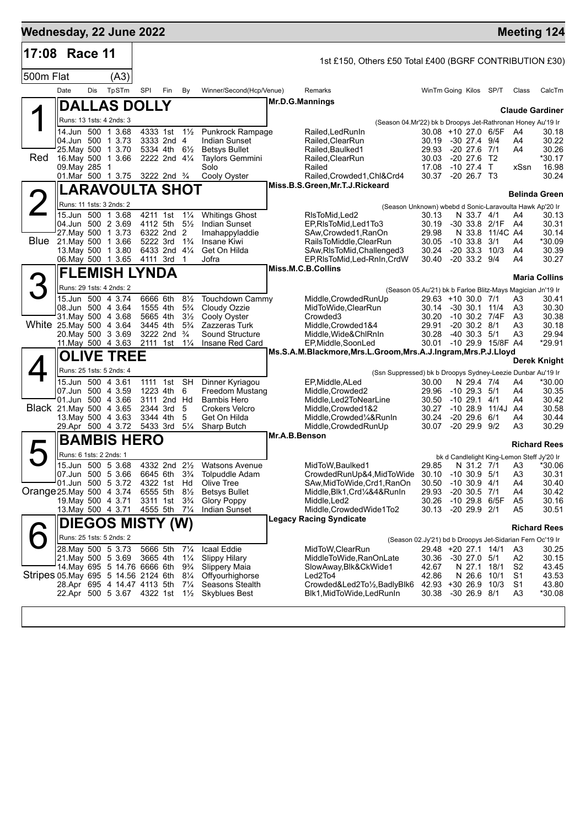| Wednesday, 22 June 2022             |                         |     |                                                     |            |                                                         |                                  |                                                |               |                                                                                     |                                                           |                                      |                   |                      | <b>Meeting 124</b>                                   |
|-------------------------------------|-------------------------|-----|-----------------------------------------------------|------------|---------------------------------------------------------|----------------------------------|------------------------------------------------|---------------|-------------------------------------------------------------------------------------|-----------------------------------------------------------|--------------------------------------|-------------------|----------------------|------------------------------------------------------|
| 17:08 Race 11                       |                         |     |                                                     |            |                                                         |                                  |                                                |               | 1st £150, Others £50 Total £400 (BGRF CONTRIBUTION £30)                             |                                                           |                                      |                   |                      |                                                      |
| 500m Flat                           |                         |     | (A3)                                                |            |                                                         |                                  |                                                |               |                                                                                     |                                                           |                                      |                   |                      |                                                      |
|                                     | Date                    | Dis | TpSTm                                               | <b>SPI</b> | Fin                                                     | By                               | Winner/Second(Hcp/Venue)                       |               | Remarks                                                                             | WinTm Going Kilos SP/T                                    |                                      |                   | Class                | CalcTm                                               |
|                                     |                         |     | <b>DALLAS DOLLY</b>                                 |            |                                                         |                                  |                                                |               | Mr.D.G.Mannings                                                                     |                                                           |                                      |                   |                      |                                                      |
|                                     |                         |     | Runs: 13 1sts: 4 2nds: 3                            |            |                                                         |                                  |                                                |               | (Season 04.Mr'22) bk b Droopys Jet-Rathronan Honey Au'19 Ir                         |                                                           |                                      |                   |                      | <b>Claude Gardiner</b>                               |
|                                     |                         |     | 14.Jun 500 1 3.68                                   |            | 4333 1st 1½                                             |                                  | Punkrock Rampage                               |               | Railed, Led Run In                                                                  | 30.08 +10 27.0 6/5F                                       |                                      |                   | - A4                 | 30.18                                                |
|                                     |                         |     | 04.Jun 500 1 3.73                                   |            | 3333 2nd 4                                              |                                  | <b>Indian Sunset</b>                           |               | Railed, ClearRun                                                                    | 30.19                                                     | -30 27.4 9/4                         |                   | A4                   | 30.22                                                |
| Red                                 |                         |     | 25. May 500 1 3.70<br>16. May 500 1 3.66            |            | 5334 4th 61/2<br>2222 2nd 41/4                          |                                  | <b>Betsys Bullet</b><br><b>Taylors Gemmini</b> |               | Railed, Baulked1<br>Railed, ClearRun                                                | 29.93<br>30.03                                            | $-20$ 27.6 $7/1$<br>-20 27.6 T2      |                   | A4                   | 30.26<br>*30.17                                      |
|                                     | 09. May 285 1           |     |                                                     |            |                                                         |                                  | Solo                                           |               | Railed                                                                              | 17.08                                                     | $-10$ 27.4 T                         |                   | xSsn                 | 16.98                                                |
|                                     |                         |     | 01.Mar 500 1 3.75 3222 2nd 3/4                      |            |                                                         |                                  | Cooly Oyster                                   |               | Railed, Crowded1, Chl&Crd4<br>Miss.B.S.Green, Mr.T.J.Rickeard                       | 30.37 -20 26.7 T3                                         |                                      |                   |                      | 30.24                                                |
|                                     |                         |     | LARAVOULTA SHOT                                     |            |                                                         |                                  |                                                |               |                                                                                     |                                                           |                                      |                   |                      | <b>Belinda Green</b>                                 |
| 2                                   |                         |     | Runs: 11 1sts: 3 2nds: 2                            |            |                                                         |                                  |                                                |               | (Season Unknown) wbebd d Sonic-Laravoulta Hawk Ap'20 Ir                             |                                                           |                                      |                   |                      |                                                      |
|                                     |                         |     | 15.Jun 500 1 3.68<br>04.Jun 500 2 3.69              | 4211 1st   | 4112 5th                                                | $1\frac{1}{4}$<br>$5\frac{1}{2}$ | <b>Whitings Ghost</b><br>Indian Sunset         |               | RIsToMid, Led2<br>EP, RIs To Mid, Led 1 To 3                                        | 30.13<br>30.19                                            | N 33.7 4/1                           | -30 33.8 2/1F A4  | A4                   | 30.13<br>30.31                                       |
|                                     |                         |     | 27. May 500 1 3.73                                  |            | 6322 2nd 2                                              |                                  | Imahappyladdie                                 |               | SAw,Crowded1,RanOn                                                                  | 29.98                                                     |                                      | N 33.8 11/4C A4   |                      | 30.14                                                |
| Blue                                |                         |     | 21. May 500 1 3.66                                  |            | 5222 3rd 1 <sup>3</sup> / <sub>4</sub><br>6433 2nd 41/4 |                                  | Insane Kiwi                                    |               | RailsToMiddle,ClearRun                                                              | 30.05                                                     | $-10$ 33.8 $3/1$                     |                   | A4                   | *30.09                                               |
|                                     |                         |     | 13. May 500 1 3.80<br>06. May 500 1 3.65 4111 3rd 1 |            |                                                         |                                  | Get On Hilda<br>Jofra                          |               | SAw, RIsToMid, Challenged 3<br>EP, RIsToMid, Led-RnIn, CrdW                         | 30.24<br>30.40                                            | $-20$ 33.3 10/3<br>$-20$ 33.2 $9/4$  |                   | A4<br>A4             | 30.39<br>30.27                                       |
|                                     |                         |     | <b>FLEMISH LYNDA</b>                                |            |                                                         |                                  |                                                |               | Miss.M.C.B.Collins                                                                  |                                                           |                                      |                   |                      |                                                      |
| З                                   |                         |     | Runs: 29 1sts: 4 2nds: 2                            |            |                                                         |                                  |                                                |               |                                                                                     |                                                           |                                      |                   |                      | <b>Maria Collins</b>                                 |
|                                     |                         |     | 15.Jun 500 4 3.74                                   |            | 6666 6th                                                | $8\frac{1}{2}$                   | <b>Touchdown Cammy</b>                         |               | (Season 05.Au'21) bk b Farloe Blitz-Mays Magician Jn'19 Ir<br>Middle, Crowded RunUp | 29.63 +10 30.0 7/1                                        |                                      |                   | A3                   | 30.41                                                |
|                                     |                         |     | 08.Jun 500 4 3.64                                   |            | 1555 4th                                                | $5\frac{3}{4}$                   | Cloudy Ozzie                                   |               | MidToWide, ClearRun                                                                 | 30.14 -30 30.1 11/4                                       |                                      |                   | A3                   | 30.30                                                |
| White 25. May 500 4 3.64            |                         |     | 31 May 500 4 3.68                                   |            | 5665 4th<br>3445 4th                                    | $3\frac{1}{2}$<br>$5\frac{3}{4}$ | Cooly Oyster<br>Zazzeras Turk                  |               | Crowded <sub>3</sub><br>Middle, Crowded 1&4                                         | 30.20<br>29.91                                            | $-20$ 30.2 $8/1$                     | -10 30.2 7/4F     | A3<br>A <sub>3</sub> | 30.38<br>30.18                                       |
|                                     |                         |     | 20. May 500 3 3.69                                  |            | 3222 2nd                                                | $\frac{3}{4}$                    | Sound Structure                                |               | Middle, Wide&ChlRnIn                                                                | 30.28                                                     | $-40$ 30.3 $5/1$                     |                   | A <sub>3</sub>       | 29.94                                                |
|                                     |                         |     | 11. May 500 4 3.63                                  | 2111 1st   |                                                         | $1\frac{1}{4}$                   | Insane Red Card                                |               | EP, Middle, SoonLed                                                                 | 30.01                                                     |                                      | -10 29.9 15/8F A4 |                      | *29.91                                               |
|                                     |                         |     | <b>OLIVE TREE</b>                                   |            |                                                         |                                  |                                                |               | Ms.S.A.M.Blackmore, Mrs.L.Groom, Mrs.A.J.Ingram, Mrs.P.J.Lloyd                      |                                                           |                                      |                   |                      | <b>Derek Knight</b>                                  |
|                                     |                         |     | Runs: 25 1sts: 5 2nds: 4                            |            |                                                         |                                  |                                                |               | (Ssn Suppressed) bk b Droopys Sydney-Leezie Dunbar Au'19 Ir                         |                                                           |                                      |                   |                      |                                                      |
|                                     |                         |     | 15.Jun 500 4 3.61                                   |            | 1111 1st SH                                             |                                  | Dinner Kyriagou                                |               | EP, Middle, ALed                                                                    | 30.00                                                     | N 29.4 7/4                           |                   | A4                   | $*30.00$                                             |
|                                     |                         |     | 07.Jun 500 4 3.59<br>01.Jun 500 4 3.66              |            | 1223 4th<br>3111 2nd Hd                                 | 6                                | <b>Freedom Mustang</b><br><b>Bambis Hero</b>   |               | Middle, Crowded2<br>Middle, Led2ToNearLine                                          | 29.96<br>30.50                                            | $-1029.351$<br>$-10$ 29.1 $4/1$      |                   | A4<br>A4             | 30.35<br>30.42                                       |
| Black 21. May 500 4 3.65            |                         |     |                                                     |            | 2344 3rd                                                | 5                                | <b>Crokers Velcro</b>                          |               | Middle, Crowded 1&2                                                                 | 30.27                                                     |                                      | -10 28.9 11/4J A4 |                      | 30.58                                                |
|                                     |                         |     | 13. May 500 4 3.63<br>29.Apr 500 4 3.72             | 3344 4th   | 5433 3rd                                                | 5<br>$5\frac{1}{4}$              | Get On Hilda<br>Sharp Butch                    |               | Middle,Crowded1/4&RunIn<br>Middle, Crowded RunUp                                    | 30.24<br>30.07                                            | $-20$ 29.6 $6/1$<br>$-20$ 29.9 $9/2$ |                   | A4<br>A3             | 30.44<br>30.29                                       |
|                                     |                         |     | <b>BAMBIS HERO</b>                                  |            |                                                         |                                  |                                                | Mr.A.B.Benson |                                                                                     |                                                           |                                      |                   |                      |                                                      |
|                                     |                         |     |                                                     |            |                                                         |                                  |                                                |               |                                                                                     |                                                           |                                      |                   |                      | <b>Richard Rees</b>                                  |
|                                     | Runs: 6 1sts: 2 2nds: 1 |     | 15.Jun 500 5 3.68                                   |            |                                                         |                                  | 4332 2nd 21/2 Watsons Avenue                   |               | MidToW, Baulked1                                                                    | 29.85                                                     |                                      | N 31.2 7/1 A3     |                      | bk d Candlelight King-Lemon Steff Jy'20 Ir<br>*30.06 |
|                                     |                         |     | 07.Jun 500 5 3.66                                   |            | 6645 6th                                                | $3\frac{3}{4}$                   | <b>Tolpuddle Adam</b>                          |               | CrowdedRunUp&4,MidToWide                                                            | 30.10                                                     | $-10, 30.9, 5/1$                     |                   | A <sub>3</sub>       | 30.31                                                |
|                                     |                         |     | 01.Jun 500 5 3.72                                   |            | 4322 1st Hd                                             |                                  | Olive Tree                                     |               | SAw, MidToWide, Crd1, RanOn                                                         | 30.50                                                     | $-10$ 30.9 $4/1$                     |                   | A4                   | 30.40                                                |
| Orange 25. May 500 4 3.74           |                         |     | 19. May 500 4 3.71                                  |            | 6555 5th<br>3311 1st 3 <sup>3</sup> / <sub>4</sub>      | $8\frac{1}{2}$                   | <b>Betsys Bullet</b><br>Glory Poppy            |               | Middle, Blk1, Crd1/4&4&RunIn<br>Middle, Led <sub>2</sub>                            | 29.93<br>30.26                                            | $-20$ 30.5 $7/1$                     | -10 29.8 6/5F     | A4<br>A <sub>5</sub> | 30.42<br>30.16                                       |
|                                     |                         |     | 13. May 500 4 3.71                                  |            | 4555 5th 71/4                                           |                                  | Indian Sunset                                  |               | Middle, Crowded Wide1To2                                                            | 30.13                                                     | $-20$ 29.9 $2/1$                     |                   | A <sub>5</sub>       | 30.51                                                |
|                                     |                         |     | DIEGOS MISTY (W)                                    |            |                                                         |                                  |                                                |               | Legacy Racing Syndicate                                                             |                                                           |                                      |                   |                      | <b>Richard Rees</b>                                  |
|                                     |                         |     | Runs: 25 1sts: 5 2nds: 2                            |            |                                                         |                                  |                                                |               |                                                                                     | (Season 02.Jy'21) bd b Droopys Jet-Sidarian Fern Oc'19 Ir |                                      |                   |                      |                                                      |
|                                     |                         |     | 28. May 500 5 3.73                                  | 5666 5th   |                                                         | $7\frac{1}{4}$                   | Icaal Eddie                                    |               | MidToW, ClearRun                                                                    | 29.48 +20 27.1 14/1                                       |                                      |                   | A3                   | 30.25                                                |
|                                     |                         |     | 21. May 500 5 3.69<br>14. May 695 5 14.76 6666 6th  | 3665 4th   |                                                         | $1\frac{1}{4}$<br>$9\frac{3}{4}$ | <b>Slippy Hilary</b><br>Slippery Maia          |               | MiddleToWide, RanOnLate<br>SlowAway, Blk&CkWide1                                    | 30.36<br>42.67                                            | $-30$ 27.0 $5/1$<br>N 27.1           | 18/1              | A2<br>S <sub>2</sub> | 30.15<br>43.45                                       |
| Stripes 05 May 695 5 14.56 2124 6th |                         |     |                                                     |            |                                                         | $8\frac{1}{4}$                   | Offyourhighorse                                |               | Led2To4                                                                             | 42.86                                                     | N 26.6                               | 10/1              | S <sub>1</sub>       | 43.53                                                |
|                                     |                         |     | 28.Apr 695 4 14.47 4113 5th                         |            |                                                         | $7\frac{1}{4}$                   | Seasons Stealth                                |               | Crowded&Led2To1/2,BadlyBlk6                                                         | 42.93 +30 26.9                                            |                                      | 10/3              | S1                   | 43.80                                                |
|                                     |                         |     | 22.Apr 500 5 3.67                                   | 4322 1st   |                                                         | $1\frac{1}{2}$                   | <b>Skyblues Best</b>                           |               | Blk1,MidToWide,LedRunIn                                                             | 30.38                                                     | $-30$ 26.9 $8/1$                     |                   | A <sub>3</sub>       | *30.08                                               |
|                                     |                         |     |                                                     |            |                                                         |                                  |                                                |               |                                                                                     |                                                           |                                      |                   |                      |                                                      |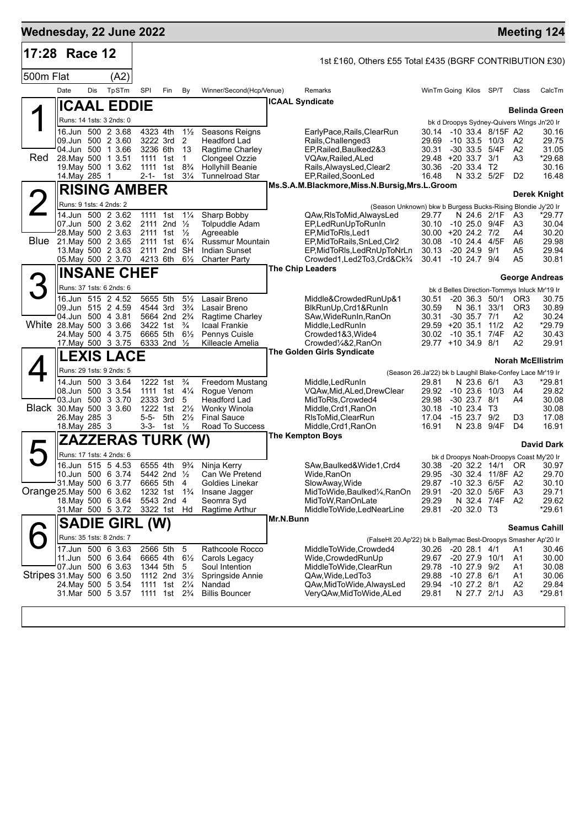| 17:28 Race 12<br>1st £160, Others £55 Total £435 (BGRF CONTRIBUTION £30)<br>500m Flat<br>(A2)<br>Date<br>Dis<br>TpSTm<br>SPI<br>Fin<br>Winner/Second(Hcp/Venue)<br>By<br>Remarks<br>WinTm Going Kilos SP/T<br>Class<br>CalcTm<br>ICAAL Syndicate<br><b>ICAAL EDDIE</b><br><b>Belinda Green</b><br>Runs: 14 1sts: 3 2nds: 0<br>bk d Droopys Sydney-Quivers Wings Jn'20 Ir<br>4323 4th<br>$1\frac{1}{2}$<br>16.Jun 500 2 3.68<br>Seasons Reigns<br>30.14 -10 33.4 8/15F A2<br>30.16<br>EarlyPace,Rails,ClearRun<br>09.Jun 500 2 3.60<br>3222 3rd<br>-2<br><b>Headford Lad</b><br>Rails, Challenged 3<br>29.69<br>$-10$ 33.5 $10/3$<br>29.75<br>A <sub>2</sub><br>04.Jun 500 1 3.66<br>3236 6th<br>- 13<br>Ragtime Charley<br>EP, Railed, Baulked 2&3<br>30.31<br>$-30$ 33.5 $5/4F$<br>A2<br>31.05<br>Red<br>28. May 500 1 3.51<br>1111 1st<br>$\overline{1}$<br>Clongeel Ozzie<br>VQAw, Railed, ALed<br>29.48<br>$+20$ 33.7 3/1<br>A3<br>*29.68<br>$8\frac{3}{4}$<br>19. May 500 1 3.62<br>1111 1st<br><b>Hollyhill Beanie</b><br>Rails, AlwaysLed, Clear2<br>30.36<br>$-2033.4$ T2<br>30.16<br>$3\frac{1}{4}$<br><b>Tunnelroad Star</b><br>EP, Railed, SoonLed<br>16.48<br>N 33.2 5/2F<br>16.48<br>14. May 285 1<br>2-1- 1st<br>D <sub>2</sub><br>Ms.S.A.M.Blackmore, Miss.N.Bursig, Mrs.L.Groom<br><b>RISING AMBER</b><br>Derek Knight<br>Runs: 9 1sts: 4 2nds: 2<br>(Season Unknown) bkw b Burgess Bucks-Rising Blondie Jy'20 Ir<br>14.Jun 500 2 3.62<br>1111 1st<br>$1\frac{1}{4}$<br>Sharp Bobby<br>N 24.6 2/1F<br>*29.77<br>QAw,RIsToMid,AlwaysLed<br>29.77<br>A3<br>07.Jun 500 2 3.62<br>2111 2nd $\frac{1}{2}$<br><b>Tolpuddle Adam</b><br>EP,LedRunUpToRunIn<br>30.10<br>-10 25.0 9/4F<br>A3<br>30.04<br>28. May 500 2 3.63<br>2111 1st $\frac{1}{2}$<br>Agreeable<br>EP, MidToRIs, Led1<br>30.00 +20 24.2 7/2<br>30.20<br>A4<br>Blue 21. May 500 2 3.65<br>2111 1st 61/4<br>Russmur Mountain<br>EP, MidToRails, SnLed, Clr2<br>30.08<br>-10 24.4 4/5F<br>A6<br>29.98<br>13. May 500 2 3.63<br>$-20$ 24.9 $9/1$<br>29.94<br>2111 2nd<br>SH<br><b>Indian Sunset</b><br>EP, MidToRIs, LedRnUpToNrLn<br>30.13<br>A5<br>05. May 500 2 3.70 4213 6th<br>30.41<br>30.81<br>$6\frac{1}{2}$<br><b>Charter Party</b><br>Crowded1,Led2To3,Crd&Ck3/4<br>$-10$ 24.7 $9/4$<br>A5<br><b>The Chip Leaders</b><br><b>INSANE CHEF</b><br><b>George Andreas</b><br>Runs: 37 1sts: 6 2nds: 6<br>bk d Belles Direction-Tommys Inluck Mr'19 Ir<br>16.Jun 515 2 4.52<br>5655 5th<br>$5\frac{1}{2}$<br>Lasair Breno<br>Middle&CrowdedRunUp&1<br>$-20, 36.3, 50/1$<br>OR <sub>3</sub><br>30.75<br>30.51<br>09.Jun 515 2 4.59<br>$3\frac{3}{4}$<br>4544 3rd<br>Lasair Breno<br>BlkRunUp, Crd1&RunIn<br>30.59<br>N 36.1<br>33/1<br>OR <sub>3</sub><br>30.89<br>04.Jun 500 4 3.81<br>5664 2nd 2 <sup>3</sup> / <sub>4</sub><br>Ragtime Charley<br>$-30$ 35.7 $7/1$<br>A2<br>30.24<br>SAw,WideRunIn,RanOn<br>30.31<br>White 28. May 500 3 3.66<br>3422 1st<br>$\frac{3}{4}$<br>$+20.35.1$<br>Icaal Frankie<br>29.59<br>11/2<br>A2<br>*29.79<br>Middle, Led Run In<br>-10 35.1 7/4F<br>30.43<br>24 May 500 4 3.75<br>6665 5th<br>$6\frac{1}{2}$<br>Pennys Cuisle<br>30.02<br>A2<br>Crowded1&3, Wide4<br>29.77 +10 34.9 8/1<br>29.91<br>17. May 500 3 3.75<br>6333 2nd 1/2<br>Killeacle Amelia<br>A2<br>Crowded¼&2,RanOn<br><b>The Golden Girls Syndicate</b><br><b>LEXIS LACE</b><br><b>Norah McEllistrim</b><br>Runs: 29 1sts: 9 2nds: 5<br>(Season 26.Ja'22) bk b Laughil Blake-Confey Lace Mr'19 Ir<br>1222 1st<br>$\frac{3}{4}$<br>14.Jun 500 3 3.64<br><b>Freedom Mustang</b><br>Middle, Led RunIn<br>29.81<br>N 23.6 6/1<br>*29.81<br>A3<br>1111 1st 41/4<br>08.Jun 500 3 3.54<br>Rogue Venom<br>VQAw, Mid, ALed, DrewClear<br>29.92<br>$-1023.610/3$<br>29.82<br>A4<br>03.Jun 500 3 3.70<br>2333 3rd<br>-5<br>Headford Lad<br>MidToRIs, Crowded4<br>29.98<br>$-30$ 23.7 $8/1$<br>30.08<br>A4<br>Black 30. May 500 3 3.60<br>1222 1st 21/2<br>Wonky Winola<br>Middle,Crd1,RanOn<br>30.18<br>$-1023.4$ T3<br>30.08<br>$5 - 5 -$<br>5th<br><b>Final Sauce</b><br>$-1523.79/2$<br>26. May 285 3<br>$2\frac{1}{2}$<br>RIsToMid, ClearRun<br>17.04<br>D3<br>17.08<br>3-3-<br>1st $\frac{1}{2}$<br>Road To Success<br>16.91<br>N 23.8<br>D4<br>16.91<br>18. May 285 3<br>Middle,Crd1,RanOn<br>9/4F<br><b>The Kempton Boys</b><br><b>ZAZZERAS TURK (W)</b><br><b>David Dark</b><br>Runs: 17 1sts: 4 2nds: 6<br>bk d Droopys Noah-Droopys Coast My'20 Ir<br>16.Jun 515 5 4.53<br>6555 4th<br>$9\frac{3}{4}$<br>SAw, Baulked& Wide 1, Crd4<br>30.38 -20 32.2 14/1 OR<br>Ninja Kerry<br>30.97<br>10.Jun 500 6 3.74<br>Wide, RanOn<br>5442 2nd 1/2<br>Can We Pretend<br>-30 32.4 11/8F A2<br>29.70<br>29.95<br>31. May 500 6 3.77<br>6665 5th 4<br>$-10$ 32.3<br>6/5F<br>A <sub>2</sub><br>30.10<br>Goldies Linekar<br>SlowAway, Wide<br>29.87<br>Orange 25 May 500 6 3.62<br>1232 1st 1 <sup>3</sup> / <sub>4</sub><br>29.91<br>$-2032.0$<br>29.71<br>Insane Jagger<br>MidToWide,Baulked¼,RanOn<br>5/6F<br>A3<br>18. May 500 6 3.64<br>5543 2nd 4<br>29.29<br>N 32.4 7/4F<br>- A2<br>29.62<br>Seomra Syd<br>MidToW, RanOnLate<br>31.Mar 500 5 3.72<br>MiddleToWide,LedNearLine<br>29.81<br>$-20$ 32.0 T3<br>*29.61<br>3322 1st Hd<br>Ragtime Arthur<br>Mr.N.Bunn<br><b>SADIE GIRL (W)</b><br><b>Seamus Cahill</b><br>Runs: 35 1sts: 8 2nds: 7<br>(FalseHt 20.Ap'22) bk b Ballymac Best-Droopys Smasher Ap'20 Ir<br>17.Jun 500 6 3.63<br>2566 5th<br>Rathcoole Rocco<br>30.26<br>$-20$ 28.1 $4/1$<br>5<br>MiddleToWide,Crowded4<br>A1<br>30.46<br>11.Jun 500 6 3.64<br>6665 4th<br>$6\frac{1}{2}$<br>29.67<br>-20 27.9 10/1<br>30.00<br>Carols Legacy<br>Wide, Crowded RunUp<br>A1<br>07.Jun 500 6 3.63<br>1344 5th<br>Soul Intention<br>29.78<br>$-10$ 27.9 $9/2$<br>30.08<br>5<br>MiddleToWide,ClearRun<br>A1<br>Stripes 31. May 500 6 3.50<br>1112 2nd 31/2<br>29.88<br>$-10$ 27.8 $6/1$<br>30.06<br>Springside Annie<br>QAw,Wide,LedTo3<br>A1<br>24. May 500 5 3.54<br>1111 1st 21/4<br>29.94<br>$-10$ 27.2 $8/1$<br>A <sub>2</sub><br>29.84<br>Nandad<br>QAw, MidToWide, Always Led<br>*29.81<br>31.Mar 500 5 3.57<br>1111 1st 2 <sup>3</sup> / <sub>4</sub><br><b>Billis Bouncer</b><br>VeryQAw,MidToWide,ALed<br>29.81<br>A <sub>3</sub><br>N 27.7 2/1J | Wednesday, 22 June 2022 |  |  |  |  |  |  |  | <b>Meeting 124</b> |
|-------------------------------------------------------------------------------------------------------------------------------------------------------------------------------------------------------------------------------------------------------------------------------------------------------------------------------------------------------------------------------------------------------------------------------------------------------------------------------------------------------------------------------------------------------------------------------------------------------------------------------------------------------------------------------------------------------------------------------------------------------------------------------------------------------------------------------------------------------------------------------------------------------------------------------------------------------------------------------------------------------------------------------------------------------------------------------------------------------------------------------------------------------------------------------------------------------------------------------------------------------------------------------------------------------------------------------------------------------------------------------------------------------------------------------------------------------------------------------------------------------------------------------------------------------------------------------------------------------------------------------------------------------------------------------------------------------------------------------------------------------------------------------------------------------------------------------------------------------------------------------------------------------------------------------------------------------------------------------------------------------------------------------------------------------------------------------------------------------------------------------------------------------------------------------------------------------------------------------------------------------------------------------------------------------------------------------------------------------------------------------------------------------------------------------------------------------------------------------------------------------------------------------------------------------------------------------------------------------------------------------------------------------------------------------------------------------------------------------------------------------------------------------------------------------------------------------------------------------------------------------------------------------------------------------------------------------------------------------------------------------------------------------------------------------------------------------------------------------------------------------------------------------------------------------------------------------------------------------------------------------------------------------------------------------------------------------------------------------------------------------------------------------------------------------------------------------------------------------------------------------------------------------------------------------------------------------------------------------------------------------------------------------------------------------------------------------------------------------------------------------------------------------------------------------------------------------------------------------------------------------------------------------------------------------------------------------------------------------------------------------------------------------------------------------------------------------------------------------------------------------------------------------------------------------------------------------------------------------------------------------------------------------------------------------------------------------------------------------------------------------------------------------------------------------------------------------------------------------------------------------------------------------------------------------------------------------------------------------------------------------------------------------------------------------------------------------------------------------------------------------------------------------------------------------------------------------------------------------------------------------------------------------------------------------------------------------------------------------------------------------------------------------------------------------------------------------------------------------------------------------------------------------------------------------------------------------------------------------------------------------------------------------------------------------------------------------------------------------------------------------------------------------------------------------------------------------------------------------------------------------------------------------------------------------------------------------------------------------------------------------------------------------------------------------------------------------------------------------------------------------------------------------------------------------------------------------------------------------------------------------------------------------------------------------------------------------------------------------------------------------------------------------------------------------------------------------------------------------------------------------------------------------------------------------------------------------------------------------------|-------------------------|--|--|--|--|--|--|--|--------------------|
|                                                                                                                                                                                                                                                                                                                                                                                                                                                                                                                                                                                                                                                                                                                                                                                                                                                                                                                                                                                                                                                                                                                                                                                                                                                                                                                                                                                                                                                                                                                                                                                                                                                                                                                                                                                                                                                                                                                                                                                                                                                                                                                                                                                                                                                                                                                                                                                                                                                                                                                                                                                                                                                                                                                                                                                                                                                                                                                                                                                                                                                                                                                                                                                                                                                                                                                                                                                                                                                                                                                                                                                                                                                                                                                                                                                                                                                                                                                                                                                                                                                                                                                                                                                                                                                                                                                                                                                                                                                                                                                                                                                                                                                                                                                                                                                                                                                                                                                                                                                                                                                                                                                                                                                                                                                                                                                                                                                                                                                                                                                                                                                                                                                                                                                                                                                                                                                                                                                                                                                                                                                                                                                                                                                                                                     |                         |  |  |  |  |  |  |  |                    |
|                                                                                                                                                                                                                                                                                                                                                                                                                                                                                                                                                                                                                                                                                                                                                                                                                                                                                                                                                                                                                                                                                                                                                                                                                                                                                                                                                                                                                                                                                                                                                                                                                                                                                                                                                                                                                                                                                                                                                                                                                                                                                                                                                                                                                                                                                                                                                                                                                                                                                                                                                                                                                                                                                                                                                                                                                                                                                                                                                                                                                                                                                                                                                                                                                                                                                                                                                                                                                                                                                                                                                                                                                                                                                                                                                                                                                                                                                                                                                                                                                                                                                                                                                                                                                                                                                                                                                                                                                                                                                                                                                                                                                                                                                                                                                                                                                                                                                                                                                                                                                                                                                                                                                                                                                                                                                                                                                                                                                                                                                                                                                                                                                                                                                                                                                                                                                                                                                                                                                                                                                                                                                                                                                                                                                                     |                         |  |  |  |  |  |  |  |                    |
|                                                                                                                                                                                                                                                                                                                                                                                                                                                                                                                                                                                                                                                                                                                                                                                                                                                                                                                                                                                                                                                                                                                                                                                                                                                                                                                                                                                                                                                                                                                                                                                                                                                                                                                                                                                                                                                                                                                                                                                                                                                                                                                                                                                                                                                                                                                                                                                                                                                                                                                                                                                                                                                                                                                                                                                                                                                                                                                                                                                                                                                                                                                                                                                                                                                                                                                                                                                                                                                                                                                                                                                                                                                                                                                                                                                                                                                                                                                                                                                                                                                                                                                                                                                                                                                                                                                                                                                                                                                                                                                                                                                                                                                                                                                                                                                                                                                                                                                                                                                                                                                                                                                                                                                                                                                                                                                                                                                                                                                                                                                                                                                                                                                                                                                                                                                                                                                                                                                                                                                                                                                                                                                                                                                                                                     |                         |  |  |  |  |  |  |  |                    |
|                                                                                                                                                                                                                                                                                                                                                                                                                                                                                                                                                                                                                                                                                                                                                                                                                                                                                                                                                                                                                                                                                                                                                                                                                                                                                                                                                                                                                                                                                                                                                                                                                                                                                                                                                                                                                                                                                                                                                                                                                                                                                                                                                                                                                                                                                                                                                                                                                                                                                                                                                                                                                                                                                                                                                                                                                                                                                                                                                                                                                                                                                                                                                                                                                                                                                                                                                                                                                                                                                                                                                                                                                                                                                                                                                                                                                                                                                                                                                                                                                                                                                                                                                                                                                                                                                                                                                                                                                                                                                                                                                                                                                                                                                                                                                                                                                                                                                                                                                                                                                                                                                                                                                                                                                                                                                                                                                                                                                                                                                                                                                                                                                                                                                                                                                                                                                                                                                                                                                                                                                                                                                                                                                                                                                                     |                         |  |  |  |  |  |  |  |                    |
|                                                                                                                                                                                                                                                                                                                                                                                                                                                                                                                                                                                                                                                                                                                                                                                                                                                                                                                                                                                                                                                                                                                                                                                                                                                                                                                                                                                                                                                                                                                                                                                                                                                                                                                                                                                                                                                                                                                                                                                                                                                                                                                                                                                                                                                                                                                                                                                                                                                                                                                                                                                                                                                                                                                                                                                                                                                                                                                                                                                                                                                                                                                                                                                                                                                                                                                                                                                                                                                                                                                                                                                                                                                                                                                                                                                                                                                                                                                                                                                                                                                                                                                                                                                                                                                                                                                                                                                                                                                                                                                                                                                                                                                                                                                                                                                                                                                                                                                                                                                                                                                                                                                                                                                                                                                                                                                                                                                                                                                                                                                                                                                                                                                                                                                                                                                                                                                                                                                                                                                                                                                                                                                                                                                                                                     |                         |  |  |  |  |  |  |  |                    |
|                                                                                                                                                                                                                                                                                                                                                                                                                                                                                                                                                                                                                                                                                                                                                                                                                                                                                                                                                                                                                                                                                                                                                                                                                                                                                                                                                                                                                                                                                                                                                                                                                                                                                                                                                                                                                                                                                                                                                                                                                                                                                                                                                                                                                                                                                                                                                                                                                                                                                                                                                                                                                                                                                                                                                                                                                                                                                                                                                                                                                                                                                                                                                                                                                                                                                                                                                                                                                                                                                                                                                                                                                                                                                                                                                                                                                                                                                                                                                                                                                                                                                                                                                                                                                                                                                                                                                                                                                                                                                                                                                                                                                                                                                                                                                                                                                                                                                                                                                                                                                                                                                                                                                                                                                                                                                                                                                                                                                                                                                                                                                                                                                                                                                                                                                                                                                                                                                                                                                                                                                                                                                                                                                                                                                                     |                         |  |  |  |  |  |  |  |                    |
|                                                                                                                                                                                                                                                                                                                                                                                                                                                                                                                                                                                                                                                                                                                                                                                                                                                                                                                                                                                                                                                                                                                                                                                                                                                                                                                                                                                                                                                                                                                                                                                                                                                                                                                                                                                                                                                                                                                                                                                                                                                                                                                                                                                                                                                                                                                                                                                                                                                                                                                                                                                                                                                                                                                                                                                                                                                                                                                                                                                                                                                                                                                                                                                                                                                                                                                                                                                                                                                                                                                                                                                                                                                                                                                                                                                                                                                                                                                                                                                                                                                                                                                                                                                                                                                                                                                                                                                                                                                                                                                                                                                                                                                                                                                                                                                                                                                                                                                                                                                                                                                                                                                                                                                                                                                                                                                                                                                                                                                                                                                                                                                                                                                                                                                                                                                                                                                                                                                                                                                                                                                                                                                                                                                                                                     |                         |  |  |  |  |  |  |  |                    |
|                                                                                                                                                                                                                                                                                                                                                                                                                                                                                                                                                                                                                                                                                                                                                                                                                                                                                                                                                                                                                                                                                                                                                                                                                                                                                                                                                                                                                                                                                                                                                                                                                                                                                                                                                                                                                                                                                                                                                                                                                                                                                                                                                                                                                                                                                                                                                                                                                                                                                                                                                                                                                                                                                                                                                                                                                                                                                                                                                                                                                                                                                                                                                                                                                                                                                                                                                                                                                                                                                                                                                                                                                                                                                                                                                                                                                                                                                                                                                                                                                                                                                                                                                                                                                                                                                                                                                                                                                                                                                                                                                                                                                                                                                                                                                                                                                                                                                                                                                                                                                                                                                                                                                                                                                                                                                                                                                                                                                                                                                                                                                                                                                                                                                                                                                                                                                                                                                                                                                                                                                                                                                                                                                                                                                                     |                         |  |  |  |  |  |  |  |                    |
|                                                                                                                                                                                                                                                                                                                                                                                                                                                                                                                                                                                                                                                                                                                                                                                                                                                                                                                                                                                                                                                                                                                                                                                                                                                                                                                                                                                                                                                                                                                                                                                                                                                                                                                                                                                                                                                                                                                                                                                                                                                                                                                                                                                                                                                                                                                                                                                                                                                                                                                                                                                                                                                                                                                                                                                                                                                                                                                                                                                                                                                                                                                                                                                                                                                                                                                                                                                                                                                                                                                                                                                                                                                                                                                                                                                                                                                                                                                                                                                                                                                                                                                                                                                                                                                                                                                                                                                                                                                                                                                                                                                                                                                                                                                                                                                                                                                                                                                                                                                                                                                                                                                                                                                                                                                                                                                                                                                                                                                                                                                                                                                                                                                                                                                                                                                                                                                                                                                                                                                                                                                                                                                                                                                                                                     |                         |  |  |  |  |  |  |  |                    |
|                                                                                                                                                                                                                                                                                                                                                                                                                                                                                                                                                                                                                                                                                                                                                                                                                                                                                                                                                                                                                                                                                                                                                                                                                                                                                                                                                                                                                                                                                                                                                                                                                                                                                                                                                                                                                                                                                                                                                                                                                                                                                                                                                                                                                                                                                                                                                                                                                                                                                                                                                                                                                                                                                                                                                                                                                                                                                                                                                                                                                                                                                                                                                                                                                                                                                                                                                                                                                                                                                                                                                                                                                                                                                                                                                                                                                                                                                                                                                                                                                                                                                                                                                                                                                                                                                                                                                                                                                                                                                                                                                                                                                                                                                                                                                                                                                                                                                                                                                                                                                                                                                                                                                                                                                                                                                                                                                                                                                                                                                                                                                                                                                                                                                                                                                                                                                                                                                                                                                                                                                                                                                                                                                                                                                                     |                         |  |  |  |  |  |  |  |                    |
|                                                                                                                                                                                                                                                                                                                                                                                                                                                                                                                                                                                                                                                                                                                                                                                                                                                                                                                                                                                                                                                                                                                                                                                                                                                                                                                                                                                                                                                                                                                                                                                                                                                                                                                                                                                                                                                                                                                                                                                                                                                                                                                                                                                                                                                                                                                                                                                                                                                                                                                                                                                                                                                                                                                                                                                                                                                                                                                                                                                                                                                                                                                                                                                                                                                                                                                                                                                                                                                                                                                                                                                                                                                                                                                                                                                                                                                                                                                                                                                                                                                                                                                                                                                                                                                                                                                                                                                                                                                                                                                                                                                                                                                                                                                                                                                                                                                                                                                                                                                                                                                                                                                                                                                                                                                                                                                                                                                                                                                                                                                                                                                                                                                                                                                                                                                                                                                                                                                                                                                                                                                                                                                                                                                                                                     |                         |  |  |  |  |  |  |  |                    |
|                                                                                                                                                                                                                                                                                                                                                                                                                                                                                                                                                                                                                                                                                                                                                                                                                                                                                                                                                                                                                                                                                                                                                                                                                                                                                                                                                                                                                                                                                                                                                                                                                                                                                                                                                                                                                                                                                                                                                                                                                                                                                                                                                                                                                                                                                                                                                                                                                                                                                                                                                                                                                                                                                                                                                                                                                                                                                                                                                                                                                                                                                                                                                                                                                                                                                                                                                                                                                                                                                                                                                                                                                                                                                                                                                                                                                                                                                                                                                                                                                                                                                                                                                                                                                                                                                                                                                                                                                                                                                                                                                                                                                                                                                                                                                                                                                                                                                                                                                                                                                                                                                                                                                                                                                                                                                                                                                                                                                                                                                                                                                                                                                                                                                                                                                                                                                                                                                                                                                                                                                                                                                                                                                                                                                                     |                         |  |  |  |  |  |  |  |                    |
|                                                                                                                                                                                                                                                                                                                                                                                                                                                                                                                                                                                                                                                                                                                                                                                                                                                                                                                                                                                                                                                                                                                                                                                                                                                                                                                                                                                                                                                                                                                                                                                                                                                                                                                                                                                                                                                                                                                                                                                                                                                                                                                                                                                                                                                                                                                                                                                                                                                                                                                                                                                                                                                                                                                                                                                                                                                                                                                                                                                                                                                                                                                                                                                                                                                                                                                                                                                                                                                                                                                                                                                                                                                                                                                                                                                                                                                                                                                                                                                                                                                                                                                                                                                                                                                                                                                                                                                                                                                                                                                                                                                                                                                                                                                                                                                                                                                                                                                                                                                                                                                                                                                                                                                                                                                                                                                                                                                                                                                                                                                                                                                                                                                                                                                                                                                                                                                                                                                                                                                                                                                                                                                                                                                                                                     |                         |  |  |  |  |  |  |  |                    |
|                                                                                                                                                                                                                                                                                                                                                                                                                                                                                                                                                                                                                                                                                                                                                                                                                                                                                                                                                                                                                                                                                                                                                                                                                                                                                                                                                                                                                                                                                                                                                                                                                                                                                                                                                                                                                                                                                                                                                                                                                                                                                                                                                                                                                                                                                                                                                                                                                                                                                                                                                                                                                                                                                                                                                                                                                                                                                                                                                                                                                                                                                                                                                                                                                                                                                                                                                                                                                                                                                                                                                                                                                                                                                                                                                                                                                                                                                                                                                                                                                                                                                                                                                                                                                                                                                                                                                                                                                                                                                                                                                                                                                                                                                                                                                                                                                                                                                                                                                                                                                                                                                                                                                                                                                                                                                                                                                                                                                                                                                                                                                                                                                                                                                                                                                                                                                                                                                                                                                                                                                                                                                                                                                                                                                                     |                         |  |  |  |  |  |  |  |                    |
|                                                                                                                                                                                                                                                                                                                                                                                                                                                                                                                                                                                                                                                                                                                                                                                                                                                                                                                                                                                                                                                                                                                                                                                                                                                                                                                                                                                                                                                                                                                                                                                                                                                                                                                                                                                                                                                                                                                                                                                                                                                                                                                                                                                                                                                                                                                                                                                                                                                                                                                                                                                                                                                                                                                                                                                                                                                                                                                                                                                                                                                                                                                                                                                                                                                                                                                                                                                                                                                                                                                                                                                                                                                                                                                                                                                                                                                                                                                                                                                                                                                                                                                                                                                                                                                                                                                                                                                                                                                                                                                                                                                                                                                                                                                                                                                                                                                                                                                                                                                                                                                                                                                                                                                                                                                                                                                                                                                                                                                                                                                                                                                                                                                                                                                                                                                                                                                                                                                                                                                                                                                                                                                                                                                                                                     |                         |  |  |  |  |  |  |  |                    |
|                                                                                                                                                                                                                                                                                                                                                                                                                                                                                                                                                                                                                                                                                                                                                                                                                                                                                                                                                                                                                                                                                                                                                                                                                                                                                                                                                                                                                                                                                                                                                                                                                                                                                                                                                                                                                                                                                                                                                                                                                                                                                                                                                                                                                                                                                                                                                                                                                                                                                                                                                                                                                                                                                                                                                                                                                                                                                                                                                                                                                                                                                                                                                                                                                                                                                                                                                                                                                                                                                                                                                                                                                                                                                                                                                                                                                                                                                                                                                                                                                                                                                                                                                                                                                                                                                                                                                                                                                                                                                                                                                                                                                                                                                                                                                                                                                                                                                                                                                                                                                                                                                                                                                                                                                                                                                                                                                                                                                                                                                                                                                                                                                                                                                                                                                                                                                                                                                                                                                                                                                                                                                                                                                                                                                                     |                         |  |  |  |  |  |  |  |                    |
|                                                                                                                                                                                                                                                                                                                                                                                                                                                                                                                                                                                                                                                                                                                                                                                                                                                                                                                                                                                                                                                                                                                                                                                                                                                                                                                                                                                                                                                                                                                                                                                                                                                                                                                                                                                                                                                                                                                                                                                                                                                                                                                                                                                                                                                                                                                                                                                                                                                                                                                                                                                                                                                                                                                                                                                                                                                                                                                                                                                                                                                                                                                                                                                                                                                                                                                                                                                                                                                                                                                                                                                                                                                                                                                                                                                                                                                                                                                                                                                                                                                                                                                                                                                                                                                                                                                                                                                                                                                                                                                                                                                                                                                                                                                                                                                                                                                                                                                                                                                                                                                                                                                                                                                                                                                                                                                                                                                                                                                                                                                                                                                                                                                                                                                                                                                                                                                                                                                                                                                                                                                                                                                                                                                                                                     |                         |  |  |  |  |  |  |  |                    |
|                                                                                                                                                                                                                                                                                                                                                                                                                                                                                                                                                                                                                                                                                                                                                                                                                                                                                                                                                                                                                                                                                                                                                                                                                                                                                                                                                                                                                                                                                                                                                                                                                                                                                                                                                                                                                                                                                                                                                                                                                                                                                                                                                                                                                                                                                                                                                                                                                                                                                                                                                                                                                                                                                                                                                                                                                                                                                                                                                                                                                                                                                                                                                                                                                                                                                                                                                                                                                                                                                                                                                                                                                                                                                                                                                                                                                                                                                                                                                                                                                                                                                                                                                                                                                                                                                                                                                                                                                                                                                                                                                                                                                                                                                                                                                                                                                                                                                                                                                                                                                                                                                                                                                                                                                                                                                                                                                                                                                                                                                                                                                                                                                                                                                                                                                                                                                                                                                                                                                                                                                                                                                                                                                                                                                                     |                         |  |  |  |  |  |  |  |                    |
|                                                                                                                                                                                                                                                                                                                                                                                                                                                                                                                                                                                                                                                                                                                                                                                                                                                                                                                                                                                                                                                                                                                                                                                                                                                                                                                                                                                                                                                                                                                                                                                                                                                                                                                                                                                                                                                                                                                                                                                                                                                                                                                                                                                                                                                                                                                                                                                                                                                                                                                                                                                                                                                                                                                                                                                                                                                                                                                                                                                                                                                                                                                                                                                                                                                                                                                                                                                                                                                                                                                                                                                                                                                                                                                                                                                                                                                                                                                                                                                                                                                                                                                                                                                                                                                                                                                                                                                                                                                                                                                                                                                                                                                                                                                                                                                                                                                                                                                                                                                                                                                                                                                                                                                                                                                                                                                                                                                                                                                                                                                                                                                                                                                                                                                                                                                                                                                                                                                                                                                                                                                                                                                                                                                                                                     |                         |  |  |  |  |  |  |  |                    |
|                                                                                                                                                                                                                                                                                                                                                                                                                                                                                                                                                                                                                                                                                                                                                                                                                                                                                                                                                                                                                                                                                                                                                                                                                                                                                                                                                                                                                                                                                                                                                                                                                                                                                                                                                                                                                                                                                                                                                                                                                                                                                                                                                                                                                                                                                                                                                                                                                                                                                                                                                                                                                                                                                                                                                                                                                                                                                                                                                                                                                                                                                                                                                                                                                                                                                                                                                                                                                                                                                                                                                                                                                                                                                                                                                                                                                                                                                                                                                                                                                                                                                                                                                                                                                                                                                                                                                                                                                                                                                                                                                                                                                                                                                                                                                                                                                                                                                                                                                                                                                                                                                                                                                                                                                                                                                                                                                                                                                                                                                                                                                                                                                                                                                                                                                                                                                                                                                                                                                                                                                                                                                                                                                                                                                                     |                         |  |  |  |  |  |  |  |                    |
|                                                                                                                                                                                                                                                                                                                                                                                                                                                                                                                                                                                                                                                                                                                                                                                                                                                                                                                                                                                                                                                                                                                                                                                                                                                                                                                                                                                                                                                                                                                                                                                                                                                                                                                                                                                                                                                                                                                                                                                                                                                                                                                                                                                                                                                                                                                                                                                                                                                                                                                                                                                                                                                                                                                                                                                                                                                                                                                                                                                                                                                                                                                                                                                                                                                                                                                                                                                                                                                                                                                                                                                                                                                                                                                                                                                                                                                                                                                                                                                                                                                                                                                                                                                                                                                                                                                                                                                                                                                                                                                                                                                                                                                                                                                                                                                                                                                                                                                                                                                                                                                                                                                                                                                                                                                                                                                                                                                                                                                                                                                                                                                                                                                                                                                                                                                                                                                                                                                                                                                                                                                                                                                                                                                                                                     |                         |  |  |  |  |  |  |  |                    |
|                                                                                                                                                                                                                                                                                                                                                                                                                                                                                                                                                                                                                                                                                                                                                                                                                                                                                                                                                                                                                                                                                                                                                                                                                                                                                                                                                                                                                                                                                                                                                                                                                                                                                                                                                                                                                                                                                                                                                                                                                                                                                                                                                                                                                                                                                                                                                                                                                                                                                                                                                                                                                                                                                                                                                                                                                                                                                                                                                                                                                                                                                                                                                                                                                                                                                                                                                                                                                                                                                                                                                                                                                                                                                                                                                                                                                                                                                                                                                                                                                                                                                                                                                                                                                                                                                                                                                                                                                                                                                                                                                                                                                                                                                                                                                                                                                                                                                                                                                                                                                                                                                                                                                                                                                                                                                                                                                                                                                                                                                                                                                                                                                                                                                                                                                                                                                                                                                                                                                                                                                                                                                                                                                                                                                                     |                         |  |  |  |  |  |  |  |                    |
|                                                                                                                                                                                                                                                                                                                                                                                                                                                                                                                                                                                                                                                                                                                                                                                                                                                                                                                                                                                                                                                                                                                                                                                                                                                                                                                                                                                                                                                                                                                                                                                                                                                                                                                                                                                                                                                                                                                                                                                                                                                                                                                                                                                                                                                                                                                                                                                                                                                                                                                                                                                                                                                                                                                                                                                                                                                                                                                                                                                                                                                                                                                                                                                                                                                                                                                                                                                                                                                                                                                                                                                                                                                                                                                                                                                                                                                                                                                                                                                                                                                                                                                                                                                                                                                                                                                                                                                                                                                                                                                                                                                                                                                                                                                                                                                                                                                                                                                                                                                                                                                                                                                                                                                                                                                                                                                                                                                                                                                                                                                                                                                                                                                                                                                                                                                                                                                                                                                                                                                                                                                                                                                                                                                                                                     |                         |  |  |  |  |  |  |  |                    |
|                                                                                                                                                                                                                                                                                                                                                                                                                                                                                                                                                                                                                                                                                                                                                                                                                                                                                                                                                                                                                                                                                                                                                                                                                                                                                                                                                                                                                                                                                                                                                                                                                                                                                                                                                                                                                                                                                                                                                                                                                                                                                                                                                                                                                                                                                                                                                                                                                                                                                                                                                                                                                                                                                                                                                                                                                                                                                                                                                                                                                                                                                                                                                                                                                                                                                                                                                                                                                                                                                                                                                                                                                                                                                                                                                                                                                                                                                                                                                                                                                                                                                                                                                                                                                                                                                                                                                                                                                                                                                                                                                                                                                                                                                                                                                                                                                                                                                                                                                                                                                                                                                                                                                                                                                                                                                                                                                                                                                                                                                                                                                                                                                                                                                                                                                                                                                                                                                                                                                                                                                                                                                                                                                                                                                                     |                         |  |  |  |  |  |  |  |                    |
|                                                                                                                                                                                                                                                                                                                                                                                                                                                                                                                                                                                                                                                                                                                                                                                                                                                                                                                                                                                                                                                                                                                                                                                                                                                                                                                                                                                                                                                                                                                                                                                                                                                                                                                                                                                                                                                                                                                                                                                                                                                                                                                                                                                                                                                                                                                                                                                                                                                                                                                                                                                                                                                                                                                                                                                                                                                                                                                                                                                                                                                                                                                                                                                                                                                                                                                                                                                                                                                                                                                                                                                                                                                                                                                                                                                                                                                                                                                                                                                                                                                                                                                                                                                                                                                                                                                                                                                                                                                                                                                                                                                                                                                                                                                                                                                                                                                                                                                                                                                                                                                                                                                                                                                                                                                                                                                                                                                                                                                                                                                                                                                                                                                                                                                                                                                                                                                                                                                                                                                                                                                                                                                                                                                                                                     |                         |  |  |  |  |  |  |  |                    |
|                                                                                                                                                                                                                                                                                                                                                                                                                                                                                                                                                                                                                                                                                                                                                                                                                                                                                                                                                                                                                                                                                                                                                                                                                                                                                                                                                                                                                                                                                                                                                                                                                                                                                                                                                                                                                                                                                                                                                                                                                                                                                                                                                                                                                                                                                                                                                                                                                                                                                                                                                                                                                                                                                                                                                                                                                                                                                                                                                                                                                                                                                                                                                                                                                                                                                                                                                                                                                                                                                                                                                                                                                                                                                                                                                                                                                                                                                                                                                                                                                                                                                                                                                                                                                                                                                                                                                                                                                                                                                                                                                                                                                                                                                                                                                                                                                                                                                                                                                                                                                                                                                                                                                                                                                                                                                                                                                                                                                                                                                                                                                                                                                                                                                                                                                                                                                                                                                                                                                                                                                                                                                                                                                                                                                                     |                         |  |  |  |  |  |  |  |                    |
|                                                                                                                                                                                                                                                                                                                                                                                                                                                                                                                                                                                                                                                                                                                                                                                                                                                                                                                                                                                                                                                                                                                                                                                                                                                                                                                                                                                                                                                                                                                                                                                                                                                                                                                                                                                                                                                                                                                                                                                                                                                                                                                                                                                                                                                                                                                                                                                                                                                                                                                                                                                                                                                                                                                                                                                                                                                                                                                                                                                                                                                                                                                                                                                                                                                                                                                                                                                                                                                                                                                                                                                                                                                                                                                                                                                                                                                                                                                                                                                                                                                                                                                                                                                                                                                                                                                                                                                                                                                                                                                                                                                                                                                                                                                                                                                                                                                                                                                                                                                                                                                                                                                                                                                                                                                                                                                                                                                                                                                                                                                                                                                                                                                                                                                                                                                                                                                                                                                                                                                                                                                                                                                                                                                                                                     |                         |  |  |  |  |  |  |  |                    |
|                                                                                                                                                                                                                                                                                                                                                                                                                                                                                                                                                                                                                                                                                                                                                                                                                                                                                                                                                                                                                                                                                                                                                                                                                                                                                                                                                                                                                                                                                                                                                                                                                                                                                                                                                                                                                                                                                                                                                                                                                                                                                                                                                                                                                                                                                                                                                                                                                                                                                                                                                                                                                                                                                                                                                                                                                                                                                                                                                                                                                                                                                                                                                                                                                                                                                                                                                                                                                                                                                                                                                                                                                                                                                                                                                                                                                                                                                                                                                                                                                                                                                                                                                                                                                                                                                                                                                                                                                                                                                                                                                                                                                                                                                                                                                                                                                                                                                                                                                                                                                                                                                                                                                                                                                                                                                                                                                                                                                                                                                                                                                                                                                                                                                                                                                                                                                                                                                                                                                                                                                                                                                                                                                                                                                                     |                         |  |  |  |  |  |  |  |                    |
|                                                                                                                                                                                                                                                                                                                                                                                                                                                                                                                                                                                                                                                                                                                                                                                                                                                                                                                                                                                                                                                                                                                                                                                                                                                                                                                                                                                                                                                                                                                                                                                                                                                                                                                                                                                                                                                                                                                                                                                                                                                                                                                                                                                                                                                                                                                                                                                                                                                                                                                                                                                                                                                                                                                                                                                                                                                                                                                                                                                                                                                                                                                                                                                                                                                                                                                                                                                                                                                                                                                                                                                                                                                                                                                                                                                                                                                                                                                                                                                                                                                                                                                                                                                                                                                                                                                                                                                                                                                                                                                                                                                                                                                                                                                                                                                                                                                                                                                                                                                                                                                                                                                                                                                                                                                                                                                                                                                                                                                                                                                                                                                                                                                                                                                                                                                                                                                                                                                                                                                                                                                                                                                                                                                                                                     |                         |  |  |  |  |  |  |  |                    |
|                                                                                                                                                                                                                                                                                                                                                                                                                                                                                                                                                                                                                                                                                                                                                                                                                                                                                                                                                                                                                                                                                                                                                                                                                                                                                                                                                                                                                                                                                                                                                                                                                                                                                                                                                                                                                                                                                                                                                                                                                                                                                                                                                                                                                                                                                                                                                                                                                                                                                                                                                                                                                                                                                                                                                                                                                                                                                                                                                                                                                                                                                                                                                                                                                                                                                                                                                                                                                                                                                                                                                                                                                                                                                                                                                                                                                                                                                                                                                                                                                                                                                                                                                                                                                                                                                                                                                                                                                                                                                                                                                                                                                                                                                                                                                                                                                                                                                                                                                                                                                                                                                                                                                                                                                                                                                                                                                                                                                                                                                                                                                                                                                                                                                                                                                                                                                                                                                                                                                                                                                                                                                                                                                                                                                                     |                         |  |  |  |  |  |  |  |                    |
|                                                                                                                                                                                                                                                                                                                                                                                                                                                                                                                                                                                                                                                                                                                                                                                                                                                                                                                                                                                                                                                                                                                                                                                                                                                                                                                                                                                                                                                                                                                                                                                                                                                                                                                                                                                                                                                                                                                                                                                                                                                                                                                                                                                                                                                                                                                                                                                                                                                                                                                                                                                                                                                                                                                                                                                                                                                                                                                                                                                                                                                                                                                                                                                                                                                                                                                                                                                                                                                                                                                                                                                                                                                                                                                                                                                                                                                                                                                                                                                                                                                                                                                                                                                                                                                                                                                                                                                                                                                                                                                                                                                                                                                                                                                                                                                                                                                                                                                                                                                                                                                                                                                                                                                                                                                                                                                                                                                                                                                                                                                                                                                                                                                                                                                                                                                                                                                                                                                                                                                                                                                                                                                                                                                                                                     |                         |  |  |  |  |  |  |  |                    |
|                                                                                                                                                                                                                                                                                                                                                                                                                                                                                                                                                                                                                                                                                                                                                                                                                                                                                                                                                                                                                                                                                                                                                                                                                                                                                                                                                                                                                                                                                                                                                                                                                                                                                                                                                                                                                                                                                                                                                                                                                                                                                                                                                                                                                                                                                                                                                                                                                                                                                                                                                                                                                                                                                                                                                                                                                                                                                                                                                                                                                                                                                                                                                                                                                                                                                                                                                                                                                                                                                                                                                                                                                                                                                                                                                                                                                                                                                                                                                                                                                                                                                                                                                                                                                                                                                                                                                                                                                                                                                                                                                                                                                                                                                                                                                                                                                                                                                                                                                                                                                                                                                                                                                                                                                                                                                                                                                                                                                                                                                                                                                                                                                                                                                                                                                                                                                                                                                                                                                                                                                                                                                                                                                                                                                                     |                         |  |  |  |  |  |  |  |                    |
|                                                                                                                                                                                                                                                                                                                                                                                                                                                                                                                                                                                                                                                                                                                                                                                                                                                                                                                                                                                                                                                                                                                                                                                                                                                                                                                                                                                                                                                                                                                                                                                                                                                                                                                                                                                                                                                                                                                                                                                                                                                                                                                                                                                                                                                                                                                                                                                                                                                                                                                                                                                                                                                                                                                                                                                                                                                                                                                                                                                                                                                                                                                                                                                                                                                                                                                                                                                                                                                                                                                                                                                                                                                                                                                                                                                                                                                                                                                                                                                                                                                                                                                                                                                                                                                                                                                                                                                                                                                                                                                                                                                                                                                                                                                                                                                                                                                                                                                                                                                                                                                                                                                                                                                                                                                                                                                                                                                                                                                                                                                                                                                                                                                                                                                                                                                                                                                                                                                                                                                                                                                                                                                                                                                                                                     |                         |  |  |  |  |  |  |  |                    |
|                                                                                                                                                                                                                                                                                                                                                                                                                                                                                                                                                                                                                                                                                                                                                                                                                                                                                                                                                                                                                                                                                                                                                                                                                                                                                                                                                                                                                                                                                                                                                                                                                                                                                                                                                                                                                                                                                                                                                                                                                                                                                                                                                                                                                                                                                                                                                                                                                                                                                                                                                                                                                                                                                                                                                                                                                                                                                                                                                                                                                                                                                                                                                                                                                                                                                                                                                                                                                                                                                                                                                                                                                                                                                                                                                                                                                                                                                                                                                                                                                                                                                                                                                                                                                                                                                                                                                                                                                                                                                                                                                                                                                                                                                                                                                                                                                                                                                                                                                                                                                                                                                                                                                                                                                                                                                                                                                                                                                                                                                                                                                                                                                                                                                                                                                                                                                                                                                                                                                                                                                                                                                                                                                                                                                                     |                         |  |  |  |  |  |  |  |                    |
|                                                                                                                                                                                                                                                                                                                                                                                                                                                                                                                                                                                                                                                                                                                                                                                                                                                                                                                                                                                                                                                                                                                                                                                                                                                                                                                                                                                                                                                                                                                                                                                                                                                                                                                                                                                                                                                                                                                                                                                                                                                                                                                                                                                                                                                                                                                                                                                                                                                                                                                                                                                                                                                                                                                                                                                                                                                                                                                                                                                                                                                                                                                                                                                                                                                                                                                                                                                                                                                                                                                                                                                                                                                                                                                                                                                                                                                                                                                                                                                                                                                                                                                                                                                                                                                                                                                                                                                                                                                                                                                                                                                                                                                                                                                                                                                                                                                                                                                                                                                                                                                                                                                                                                                                                                                                                                                                                                                                                                                                                                                                                                                                                                                                                                                                                                                                                                                                                                                                                                                                                                                                                                                                                                                                                                     |                         |  |  |  |  |  |  |  |                    |
|                                                                                                                                                                                                                                                                                                                                                                                                                                                                                                                                                                                                                                                                                                                                                                                                                                                                                                                                                                                                                                                                                                                                                                                                                                                                                                                                                                                                                                                                                                                                                                                                                                                                                                                                                                                                                                                                                                                                                                                                                                                                                                                                                                                                                                                                                                                                                                                                                                                                                                                                                                                                                                                                                                                                                                                                                                                                                                                                                                                                                                                                                                                                                                                                                                                                                                                                                                                                                                                                                                                                                                                                                                                                                                                                                                                                                                                                                                                                                                                                                                                                                                                                                                                                                                                                                                                                                                                                                                                                                                                                                                                                                                                                                                                                                                                                                                                                                                                                                                                                                                                                                                                                                                                                                                                                                                                                                                                                                                                                                                                                                                                                                                                                                                                                                                                                                                                                                                                                                                                                                                                                                                                                                                                                                                     |                         |  |  |  |  |  |  |  |                    |
|                                                                                                                                                                                                                                                                                                                                                                                                                                                                                                                                                                                                                                                                                                                                                                                                                                                                                                                                                                                                                                                                                                                                                                                                                                                                                                                                                                                                                                                                                                                                                                                                                                                                                                                                                                                                                                                                                                                                                                                                                                                                                                                                                                                                                                                                                                                                                                                                                                                                                                                                                                                                                                                                                                                                                                                                                                                                                                                                                                                                                                                                                                                                                                                                                                                                                                                                                                                                                                                                                                                                                                                                                                                                                                                                                                                                                                                                                                                                                                                                                                                                                                                                                                                                                                                                                                                                                                                                                                                                                                                                                                                                                                                                                                                                                                                                                                                                                                                                                                                                                                                                                                                                                                                                                                                                                                                                                                                                                                                                                                                                                                                                                                                                                                                                                                                                                                                                                                                                                                                                                                                                                                                                                                                                                                     |                         |  |  |  |  |  |  |  |                    |
|                                                                                                                                                                                                                                                                                                                                                                                                                                                                                                                                                                                                                                                                                                                                                                                                                                                                                                                                                                                                                                                                                                                                                                                                                                                                                                                                                                                                                                                                                                                                                                                                                                                                                                                                                                                                                                                                                                                                                                                                                                                                                                                                                                                                                                                                                                                                                                                                                                                                                                                                                                                                                                                                                                                                                                                                                                                                                                                                                                                                                                                                                                                                                                                                                                                                                                                                                                                                                                                                                                                                                                                                                                                                                                                                                                                                                                                                                                                                                                                                                                                                                                                                                                                                                                                                                                                                                                                                                                                                                                                                                                                                                                                                                                                                                                                                                                                                                                                                                                                                                                                                                                                                                                                                                                                                                                                                                                                                                                                                                                                                                                                                                                                                                                                                                                                                                                                                                                                                                                                                                                                                                                                                                                                                                                     |                         |  |  |  |  |  |  |  |                    |
|                                                                                                                                                                                                                                                                                                                                                                                                                                                                                                                                                                                                                                                                                                                                                                                                                                                                                                                                                                                                                                                                                                                                                                                                                                                                                                                                                                                                                                                                                                                                                                                                                                                                                                                                                                                                                                                                                                                                                                                                                                                                                                                                                                                                                                                                                                                                                                                                                                                                                                                                                                                                                                                                                                                                                                                                                                                                                                                                                                                                                                                                                                                                                                                                                                                                                                                                                                                                                                                                                                                                                                                                                                                                                                                                                                                                                                                                                                                                                                                                                                                                                                                                                                                                                                                                                                                                                                                                                                                                                                                                                                                                                                                                                                                                                                                                                                                                                                                                                                                                                                                                                                                                                                                                                                                                                                                                                                                                                                                                                                                                                                                                                                                                                                                                                                                                                                                                                                                                                                                                                                                                                                                                                                                                                                     |                         |  |  |  |  |  |  |  |                    |
|                                                                                                                                                                                                                                                                                                                                                                                                                                                                                                                                                                                                                                                                                                                                                                                                                                                                                                                                                                                                                                                                                                                                                                                                                                                                                                                                                                                                                                                                                                                                                                                                                                                                                                                                                                                                                                                                                                                                                                                                                                                                                                                                                                                                                                                                                                                                                                                                                                                                                                                                                                                                                                                                                                                                                                                                                                                                                                                                                                                                                                                                                                                                                                                                                                                                                                                                                                                                                                                                                                                                                                                                                                                                                                                                                                                                                                                                                                                                                                                                                                                                                                                                                                                                                                                                                                                                                                                                                                                                                                                                                                                                                                                                                                                                                                                                                                                                                                                                                                                                                                                                                                                                                                                                                                                                                                                                                                                                                                                                                                                                                                                                                                                                                                                                                                                                                                                                                                                                                                                                                                                                                                                                                                                                                                     |                         |  |  |  |  |  |  |  |                    |
|                                                                                                                                                                                                                                                                                                                                                                                                                                                                                                                                                                                                                                                                                                                                                                                                                                                                                                                                                                                                                                                                                                                                                                                                                                                                                                                                                                                                                                                                                                                                                                                                                                                                                                                                                                                                                                                                                                                                                                                                                                                                                                                                                                                                                                                                                                                                                                                                                                                                                                                                                                                                                                                                                                                                                                                                                                                                                                                                                                                                                                                                                                                                                                                                                                                                                                                                                                                                                                                                                                                                                                                                                                                                                                                                                                                                                                                                                                                                                                                                                                                                                                                                                                                                                                                                                                                                                                                                                                                                                                                                                                                                                                                                                                                                                                                                                                                                                                                                                                                                                                                                                                                                                                                                                                                                                                                                                                                                                                                                                                                                                                                                                                                                                                                                                                                                                                                                                                                                                                                                                                                                                                                                                                                                                                     |                         |  |  |  |  |  |  |  |                    |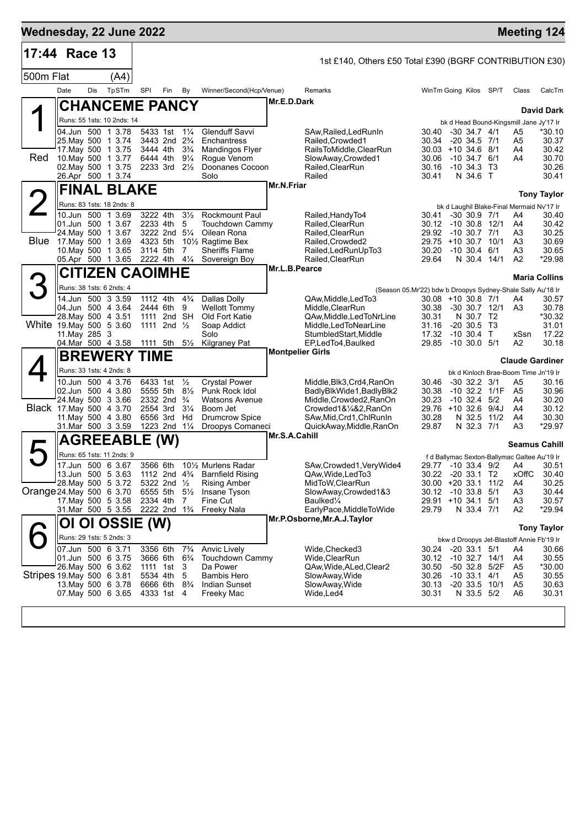|                           | 17:44 Race 13                           |     |                                          |          |                                                        |                      |                                                                     |               | 1st £140, Others £50 Total £390 (BGRF CONTRIBUTION £30) |                                                             |                         |                   |                                                 |                      |
|---------------------------|-----------------------------------------|-----|------------------------------------------|----------|--------------------------------------------------------|----------------------|---------------------------------------------------------------------|---------------|---------------------------------------------------------|-------------------------------------------------------------|-------------------------|-------------------|-------------------------------------------------|----------------------|
| 500m Flat                 |                                         |     | (A4)                                     |          |                                                        |                      |                                                                     |               |                                                         |                                                             |                         |                   |                                                 |                      |
|                           | Date                                    | Dis | TpSTm                                    | SPI      | Fin                                                    | By                   | Winner/Second(Hcp/Venue)                                            |               | Remarks                                                 | WinTm Going Kilos SP/T                                      |                         |                   | Class                                           | CalcTm               |
|                           |                                         |     | <b>CHANCEME PANCY</b>                    |          |                                                        |                      |                                                                     | Mr.E.D.Dark   |                                                         |                                                             |                         |                   |                                                 | <b>David Dark</b>    |
|                           |                                         |     | Runs: 55 1sts: 10 2nds: 14               |          |                                                        |                      |                                                                     |               |                                                         |                                                             |                         |                   | bk d Head Bound-Kingsmill Jane Jy'17 Ir         |                      |
|                           |                                         |     | 04.Jun 500 1 3.78                        |          | 5433 1st 11/4                                          |                      | Glenduff Savvi                                                      |               | SAw, Railed, Led Run In                                 | 30.40                                                       | $-30, 34.7, 4/1$        |                   | A5                                              | *30.10               |
|                           | 25. May 500 1 3.74                      |     | 17 May 500 1 3.75                        |          | 3443 2nd 2 <sup>3</sup> / <sub>4</sub><br>3444 4th     | $3\frac{3}{4}$       | Enchantress<br>Mandingos Flyer                                      |               | Railed.Crowded1<br>RailsToMiddle,ClearRun               | 30.34<br>$30.03 + 10.34.6$ 8/1                              | $-20, 34.5, 7/1$        |                   | A5<br>A4                                        | 30.37<br>30.42       |
| Red                       |                                         |     | 10. May 500 1 3.77                       | 6444 4th |                                                        | $9\frac{1}{4}$       | Rogue Venom                                                         |               | SlowAway, Crowded1                                      | 30.06                                                       | -10 34.7 6/1            |                   | A4                                              | 30.70                |
|                           | 26.Apr 500 1 3.74                       |     | 02. May 500 1 3.75                       |          | 2233 3rd $2\frac{1}{2}$                                |                      | Doonanes Cocoon<br>Solo                                             |               | Railed, ClearRun<br>Railed                              | 30.16<br>30.41                                              | -10 34.3 T3<br>N 34.6 T |                   |                                                 | 30.26<br>30.41       |
|                           |                                         |     | <b>FINAL BLAKE</b>                       |          |                                                        |                      |                                                                     | Mr.N.Friar    |                                                         |                                                             |                         |                   |                                                 |                      |
|                           |                                         |     | Runs: 83 1sts: 18 2nds: 8                |          |                                                        |                      |                                                                     |               |                                                         |                                                             |                         |                   |                                                 | <b>Tony Taylor</b>   |
|                           |                                         |     | 10.Jun 500 1 3.69                        | 3222 4th |                                                        | $3\frac{1}{2}$       | Rockmount Paul                                                      |               | Railed, Handy To4                                       | 30.41                                                       | $-30$ 30.9 $7/1$        |                   | bk d Laughil Blake-Final Mermaid Nv'17 Ir<br>A4 | 30.40                |
|                           |                                         |     | 01.Jun 500 1 3.67                        | 2233 4th |                                                        | 5                    | <b>Touchdown Cammy</b>                                              |               | Railed, ClearRun                                        | 30.12 -10 30.8 12/1                                         |                         |                   | A4                                              | 30.42                |
|                           | Blue 17 May 500 1 3.69                  |     | 24. May 500 1 3.67                       | 4323 5th | 3222 2nd 51/4                                          |                      | Oilean Rona                                                         |               | Railed, ClearRun                                        | 29.92<br>29.75 +10 30.7 10/1                                | $-10, 30.7, 7/1$        |                   | A3                                              | 30.25                |
|                           |                                         |     | 10. May 500 1 3.65                       | 3114 5th |                                                        | 7                    | 10 <sup>1</sup> / <sub>2</sub> Ragtime Bex<br><b>Sheriffs Flame</b> |               | Railed, Crowded2<br>Railed, Led Run Up To 3             | 30.20                                                       | $-10, 30.4, 6/1$        |                   | A3<br>A3                                        | 30.69<br>30.65       |
|                           |                                         |     | 05.Apr 500 1 3.65                        |          | 2222 4th 41/4                                          |                      | Sovereign Boy                                                       |               | Railed, ClearRun                                        | 29.64                                                       | N 30.4 14/1             |                   | A <sub>2</sub>                                  | *29.98               |
|                           |                                         |     | <b>CITIZEN CAOIMHE</b>                   |          |                                                        |                      |                                                                     | Mr.L.B.Pearce |                                                         |                                                             |                         |                   |                                                 | <b>Maria Collins</b> |
|                           |                                         |     | Runs: 38 1sts: 6 2nds: 4                 |          |                                                        |                      |                                                                     |               |                                                         | (Season 05.Mr'22) bdw b Droopys Sydney-Shale Sally Au'18 Ir |                         |                   |                                                 |                      |
|                           |                                         |     | 14.Jun 500 3 3.59                        | 1112 4th |                                                        | $4\frac{3}{4}$       | Dallas Dolly                                                        |               | QAw, Middle, Led To 3                                   | 30.08 +10 30.8 7/1                                          |                         |                   | A4                                              | 30.57                |
|                           | 04.Jun 500 4 3.64<br>28. May 500 4 3.51 |     |                                          |          | 2444 6th<br>1111 2nd SH                                | 9                    | <b>Wellott Tommy</b><br>Old Fort Katie                              |               | Middle.ClearRun<br>QAw, Middle, Led To Nr Line          | 30.38<br>30.31                                              | N 30.7 T2               | -30 30.7 12/1     | A3                                              | 30.78<br>*30.32      |
|                           | White 19 May 500 5 3.60                 |     |                                          |          | 1111 2nd $\frac{1}{2}$                                 |                      | Soap Addict                                                         |               | Middle, LedToNearLine                                   | 31.16                                                       | $-20$ 30.5 T3           |                   |                                                 | 31.01                |
|                           | 11.May 285 3                            |     |                                          |          |                                                        |                      | Solo                                                                |               | StumbledStart, Middle                                   | 17.32                                                       | $-10$ 30.4 T            |                   | xSsn                                            | 17.22                |
|                           |                                         |     | 04.Mar 500 4 3.58<br><b>BREWERY TIME</b> | 1111 5th |                                                        | $5\frac{1}{2}$       | <b>Kilgraney Pat</b>                                                |               | EP,LedTo4,Baulked<br><b>Montpelier Girls</b>            | 29.85                                                       | -10 30.0 5/1            |                   | A2                                              | 30.18                |
|                           |                                         |     | Runs: 33 1sts: 4 2nds: 8                 |          |                                                        |                      |                                                                     |               |                                                         |                                                             |                         |                   | <b>Claude Gardiner</b>                          |                      |
|                           |                                         |     | 10.Jun 500 4 3.76                        |          | 6433 1st                                               | $\frac{1}{2}$        | <b>Crystal Power</b>                                                |               | Middle, Blk3, Crd4, RanOn                               | 30.46                                                       | $-30$ 32.2 $3/1$        |                   | bk d Kinloch Brae-Boom Time Jn'19 Ir<br>A5      | 30.16                |
|                           |                                         |     | 02.Jun 500 4 3.80                        |          | 5555 5th 8½                                            |                      | Punk Rock Idol                                                      |               | BadlyBlkWide1, BadlyBlk2                                | 30.38                                                       |                         | $-10$ 32.2 $1/1F$ | A <sub>5</sub>                                  | 30.96                |
|                           | 24. May 500 3 3.66                      |     |                                          |          | 2332 2nd $\frac{3}{4}$                                 |                      | <b>Watsons Avenue</b>                                               |               | Middle, Crowded 2, RanOn                                | 30.23                                                       | $-10$ 32.4 $5/2$        |                   | A4                                              | 30.20                |
|                           | Black 17 May 500 4 3.70                 |     | 11. May 500 4 3.80                       |          | 2554 3rd<br>6556 3rd                                   | $3\frac{1}{4}$<br>Hd | Boom Jet<br><b>Drumcrow Spice</b>                                   |               | Crowded1&1/4&2, RanOn<br>SAw, Mid, Crd1, ChlRunIn       | 29.76 +10 32.6 9/4J<br>30.28                                |                         | N 32.5 11/2       | A4<br>A4                                        | 30.12<br>30.30       |
|                           |                                         |     | 31 Mar 500 3 3.59                        |          | 1223 2nd 11/4                                          |                      | Droopys Comaneci                                                    |               | QuickAway,Middle,RanOn                                  | 29.87                                                       | N 32.3 7/1              |                   | A3                                              | *29.97               |
|                           |                                         |     | <b>AGREEABLE</b>                         |          | (W)                                                    |                      |                                                                     | Mr.S.A.Cahill |                                                         |                                                             |                         |                   | <b>Seamus Cahill</b>                            |                      |
|                           |                                         |     | Runs: 65 1sts: 11 2nds: 9                |          |                                                        |                      |                                                                     |               |                                                         |                                                             |                         |                   | f d Ballymac Sexton-Ballymac Galtee Au'19 Ir    |                      |
|                           |                                         |     | 17.Jun 500 6 3.67                        |          | 3566 6th                                               |                      | 10 <sup>1</sup> / <sub>2</sub> Murlens Radar                        |               | SAw, Crowded 1, Very Wide 4                             |                                                             |                         |                   | 29.77 -10 33.4 9/2 A4                           | 30.51                |
|                           | 28. May 500 5 3.72                      |     | 13.Jun 500 5 3.63                        |          | 1112 2nd 4 <sup>3</sup> / <sub>4</sub><br>5322 2nd 1/2 |                      | <b>Barnfield Rising</b><br><b>Rising Amber</b>                      |               | QAw, Wide, Led To 3<br>MidToW, ClearRun                 | 30.22<br>30.00 +20 33.1 11/2                                | -20 33.1 T2             |                   | xOffC<br>A4                                     | 30.40<br>30.25       |
| Orange 24. May 500 6 3.70 |                                         |     |                                          |          | 6555 5th 51/2                                          |                      | Insane Tyson                                                        |               | SlowAway, Crowded 1&3                                   | 30.12                                                       | $-10$ 33.8 $5/1$        |                   | A <sub>3</sub>                                  | 30.44                |
|                           | 17 May 500 5 3.58                       |     |                                          |          | 2334 4th 7                                             |                      | Fine Cut                                                            |               | Baulked¼                                                | 29.91 +10 34.1 5/1                                          |                         |                   | A <sub>3</sub>                                  | 30.57                |
|                           |                                         |     | 31.Mar 500 5 3.55                        |          | 2222 2nd 1 <sup>3</sup> / <sub>4</sub>                 |                      | <b>Freeky Nala</b>                                                  |               | EarlyPace, MiddleToWide<br>Mr.P.Osborne, Mr.A.J.Taylor  | 29.79                                                       | N 33.4 7/1              |                   | A <sub>2</sub>                                  | $*29.94$             |
|                           | <b>OI</b>                               |     | OI OSSIE (W)                             |          |                                                        |                      |                                                                     |               |                                                         |                                                             |                         |                   |                                                 | <b>Tony Taylor</b>   |
|                           | 07.Jun 500 6 3.71                       |     | Runs: 29 1sts: 5 2nds: 3                 | 3356 6th |                                                        | $7\frac{3}{4}$       |                                                                     |               |                                                         | 30.24                                                       | $-20$ 33.1 $5/1$        |                   | bkw d Droopys Jet-Blastoff Annie Fb'19 Ir<br>A4 |                      |
|                           | 01.Jun 500 6 3.75                       |     |                                          |          | 3666 6th                                               | $6\frac{3}{4}$       | <b>Anvic Lively</b><br>Touchdown Cammy                              |               | Wide, Checked 3<br>Wide, Clear Run                      | 30.12                                                       | $-10$ 32.7 $14/1$       |                   | A4                                              | 30.66<br>30.55       |
|                           | 26. May 500 6 3.62                      |     |                                          |          | 1111 1st                                               | - 3                  | Da Power                                                            |               | QAw, Wide, ALed, Clear 2                                | 30.50                                                       | -50 32.8                | 5/2F              | A5                                              | *30.00               |
| Stripes 19 May 500 6 3 81 | 13 May 500 6 3.78                       |     |                                          | 5534 4th | 6666 6th                                               | 5<br>$8\frac{3}{4}$  | Bambis Hero<br>Indian Sunset                                        |               | SlowAway, Wide<br>SlowAway, Wide                        | 30.26<br>30.13                                              | $-10$ 33.1 $4/1$        | $-20$ 33.5 10/1   | A5<br>A5                                        | 30.55<br>30.63       |
|                           |                                         |     | 07 May 500 6 3.65                        |          | 4333 1st                                               | -4                   | Freeky Mac                                                          |               | Wide, Led4                                              | 30.31                                                       | N 33.5 5/2              |                   | A6                                              | 30.31                |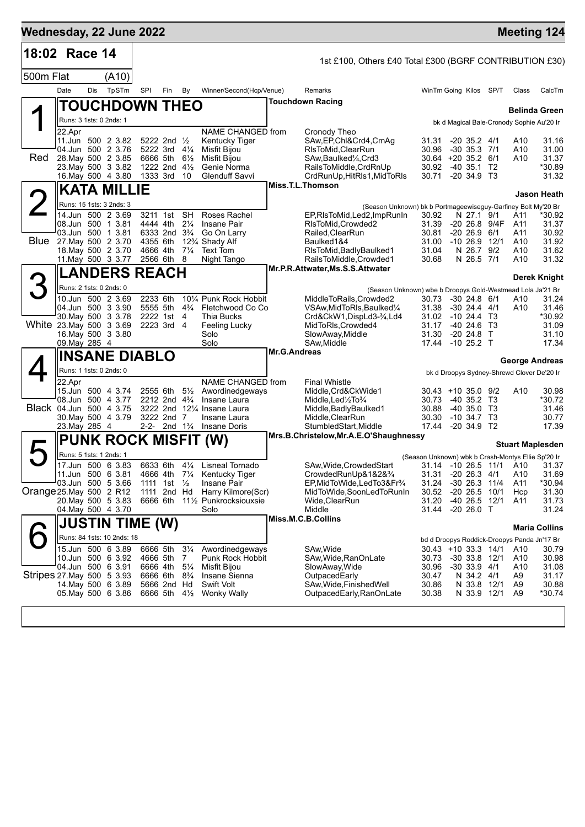| Wednesday, 22 June 2022    |                                                |     |                            |                                        |                                        |                             |                                                      |                     |                                                                                      |                                                    |                                            |     |                        | <b>Meeting 124</b>                          |
|----------------------------|------------------------------------------------|-----|----------------------------|----------------------------------------|----------------------------------------|-----------------------------|------------------------------------------------------|---------------------|--------------------------------------------------------------------------------------|----------------------------------------------------|--------------------------------------------|-----|------------------------|---------------------------------------------|
| 18:02 Race 14              |                                                |     |                            |                                        |                                        |                             |                                                      |                     | 1st £100, Others £40 Total £300 (BGRF CONTRIBUTION £30)                              |                                                    |                                            |     |                        |                                             |
| 500m Flat                  |                                                |     | (A10)                      |                                        |                                        |                             |                                                      |                     |                                                                                      |                                                    |                                            |     |                        |                                             |
|                            | Date                                           | Dis | TpSTm                      | SPI                                    | Fin                                    | By                          | Winner/Second(Hcp/Venue)                             |                     | Remarks                                                                              | WinTm Going Kilos SP/T                             |                                            |     | Class                  | CalcTm                                      |
|                            |                                                |     | <b>TOUCHDOWN THEO</b>      |                                        |                                        |                             |                                                      |                     | <b>Touchdown Racing</b>                                                              |                                                    |                                            |     |                        |                                             |
|                            | Runs: 3 1sts: 0 2nds: 1                        |     |                            |                                        |                                        |                             |                                                      |                     |                                                                                      |                                                    |                                            |     |                        | <b>Belinda Green</b>                        |
|                            | 22.Apr                                         |     |                            |                                        |                                        |                             | NAME CHANGED from                                    |                     | Cronody Theo                                                                         |                                                    |                                            |     |                        | bk d Magical Bale-Cronody Sophie Au'20 Ir   |
|                            | 11.Jun 500 2 3.82                              |     |                            |                                        | 5222 2nd $\frac{1}{2}$                 |                             | Kentucky Tiger                                       |                     | SAw, EP, Chl&Crd4, CmAg                                                              | 31.31                                              | $-20$ 35.2 $4/1$                           |     | A10                    | 31.16                                       |
| Red                        | 04.Jun 500 2 3.76<br>28. May 500 2 3.85        |     |                            | 5222 3rd 41/4<br>6666 5th              |                                        | $6\frac{1}{2}$              | Misfit Bijou<br><b>Misfit Bijou</b>                  |                     | RIsToMid, ClearRun<br>SAw, Baulked <sup>1</sup> / <sub>4</sub> , Crd3                | 30.96<br>30.64 +20 35.2 6/1                        | $-30$ 35.3 $7/1$                           |     | A10<br>A10             | 31.00<br>31.37                              |
|                            | 23. May 500 3 3.82                             |     |                            |                                        | 1222 2nd $4\frac{1}{2}$                |                             | Genie Norma                                          |                     | RailsToMiddle, CrdRnUp                                                               | 30.92                                              | $-40$ 35.1 T <sub>2</sub>                  |     |                        | *30.89                                      |
|                            | 16. May 500 4 3.80                             |     |                            | 1333 3rd                               |                                        | - 10                        | Glenduff Savvi                                       |                     | CrdRunUp, HitRIs1, MidToRIs<br>Miss.T.L.Thomson                                      | 30.71                                              | $-20, 34.9, 73$                            |     |                        | 31.32                                       |
|                            |                                                |     | <b>KATA MILLIE</b>         |                                        |                                        |                             |                                                      |                     |                                                                                      |                                                    |                                            |     |                        | <b>Jason Heath</b>                          |
|                            | Runs: 15 1sts: 3 2nds: 3                       |     |                            |                                        |                                        |                             |                                                      |                     | (Season Unknown) bk b Portmageewiseguy-Garfiney Bolt My'20 Br                        |                                                    |                                            |     |                        |                                             |
|                            | 14.Jun 500 2 3.69<br>08.Jun 500 1 3.81         |     |                            | 3211 1st                               | 4444 4th                               | <b>SH</b><br>$2\frac{1}{4}$ | Roses Rachel<br>Insane Pair                          |                     | EP, RIsToMid, Led2, ImpRunIn<br>RIsToMid, Crowded2                                   | 30.92<br>31.39                                     | N 27.1 9/1<br>-20 26.8 9/4F                |     | A11<br>A11             | *30.92<br>31.37                             |
|                            | 03.Jun 500 1 3.81                              |     |                            | 6333 2nd 3 <sup>3</sup> / <sub>4</sub> |                                        |                             | Go On Larry                                          |                     | Railed, ClearRun                                                                     | 30.81                                              | $-20, 26.9, 6/1$                           |     | A11                    | 30.92                                       |
|                            | Blue 27. May 500 2 3.70<br>18. May 500 2 3.70  |     |                            | 4355 6th<br>4666 4th                   |                                        | $7\frac{1}{4}$              | 12 <sup>3</sup> / <sub>4</sub> Shady Alf<br>Text Tom |                     | Baulked1&4<br>RIsToMid, Badly Baulked1                                               | 31.00<br>31.04                                     | $-10$ 26.9 $12/1$<br>N 26.7                | 9/2 | A <sub>10</sub><br>A10 | 31.92<br>31.62                              |
|                            | 11. May 500 3 3.77                             |     |                            | 2566 6th                               |                                        | - 8                         | Night Tango                                          |                     | RailsToMiddle,Crowded1                                                               | 30.68                                              | N 26.5 7/1                                 |     | A10                    | 31.32                                       |
|                            |                                                |     | <b>LANDERS REACH</b>       |                                        |                                        |                             |                                                      |                     | Mr.P.R.Attwater, Ms.S.S.Attwater                                                     |                                                    |                                            |     |                        |                                             |
|                            | Runs: 2 1sts: 0 2nds: 0                        |     |                            |                                        |                                        |                             |                                                      |                     |                                                                                      |                                                    |                                            |     |                        | Derek Knight                                |
|                            | 10.Jun 500 2 3.69                              |     |                            | 2233 6th                               |                                        |                             | 101/4 Punk Rock Hobbit                               |                     | (Season Unknown) wbe b Droopys Gold-Westmead Lola Ja'21 Br<br>MiddleToRails.Crowded2 | 30.73                                              | $-30$ 24.8 $6/1$                           |     | A10                    | 31.24                                       |
|                            | 04.Jun 500 3 3.90                              |     |                            | 5555 5th                               |                                        | $4\frac{3}{4}$              | Fletchwood Co Co                                     |                     | VSAw, MidToRIs, Baulked 1/4                                                          | 31.38                                              | -30 24.4 4/1                               |     | A10                    | 31.46                                       |
|                            | 30. May 500 3 3.78<br>White 23. May 500 3 3.69 |     |                            | 2222 1st<br>2223 3rd 4                 |                                        | -4                          | Thia Bucks<br><b>Feeling Lucky</b>                   |                     | Crd&CkW1,DispLd3-34,Ld4<br>MidToRIs, Crowded4                                        | 31.02 -10 24.4 T3<br>31.17                         | -40 24.6 T3                                |     |                        | *30.92<br>31.09                             |
|                            | 16. May 500 3 3.80                             |     |                            |                                        |                                        |                             | Solo                                                 |                     | SlowAway, Middle                                                                     | 31.30                                              | $-20$ 24.8 T                               |     |                        | 31.10                                       |
|                            | 09. May 285 4                                  |     |                            |                                        |                                        |                             | Solo                                                 | <b>Mr.G.Andreas</b> | SAw, Middle                                                                          | 17.44 -10 25.2 T                                   |                                            |     |                        | 17.34                                       |
|                            |                                                |     | <b>INSANE DIABLO</b>       |                                        |                                        |                             |                                                      |                     |                                                                                      |                                                    |                                            |     |                        | <b>George Andreas</b>                       |
|                            | Runs: 1 1sts: 0 2nds: 0                        |     |                            |                                        |                                        |                             |                                                      |                     |                                                                                      |                                                    |                                            |     |                        | bk d Droopys Sydney-Shrewd Clover De'20 Ir  |
|                            | 22.Apr<br>15.Jun 500 4 3.74                    |     |                            | 2555 6th                               |                                        | $5\frac{1}{2}$              | NAME CHANGED from<br>Awordinedgeways                 |                     | <b>Final Whistle</b><br>Middle, Crd&CkWide1                                          | $30.43 + 10.35.0$ 9/2                              |                                            |     | A10                    | 30.98                                       |
|                            | 08.Jun 500 4 3.77                              |     |                            |                                        | 2212 2nd 4 <sup>3</sup> / <sub>4</sub> |                             | Insane Laura                                         |                     | Middle, Led $\frac{1}{2}$ To $\frac{3}{4}$                                           | 30.73                                              | $-4035.2$ T3                               |     |                        | *30.72                                      |
|                            | Black 04.Jun 500 4 3.75<br>30. May 500 4 3.79  |     |                            |                                        | 3222 2nd 7                             |                             | 3222 2nd 121/4 Insane Laura<br>Insane Laura          |                     | Middle, Badly Baulked 1<br>Middle, ClearRun                                          | 30.88<br>30.30                                     | $-40,35.0$ T <sub>3</sub><br>$-10,34.7$ T3 |     |                        | 31.46<br>30.77                              |
|                            | 23. May 285 4                                  |     |                            |                                        |                                        |                             | 2-2- 2nd 1 <sup>3</sup> / <sub>4</sub> Insane Doris  |                     | StumbledStart, Middle                                                                | 17.44                                              | $-20, 34.9, T2$                            |     |                        | 17.39                                       |
|                            |                                                |     |                            |                                        |                                        |                             | PUNK ROCK MISFIT (W)                                 |                     | Mrs.B.Christelow, Mr.A.E.O'Shaughnessy                                               |                                                    |                                            |     |                        | <b>Stuart Maplesden</b>                     |
|                            | Runs: 5 1sts: 1 2nds: 1                        |     |                            |                                        |                                        |                             |                                                      |                     |                                                                                      | (Season Unknown) wbk b Crash-Montys Ellie Sp'20 Ir |                                            |     |                        |                                             |
|                            | 17.Jun 500 6 3.83                              |     |                            | 6633 6th                               |                                        |                             | 41/ <sub>4</sub> Lisneal Tornado                     |                     | SAw, Wide, Crowded Start                                                             |                                                    |                                            |     |                        | 31.14 -10 26.5 11/1 A10 31.37               |
|                            | 11.Jun 500 6 3.81<br>03.Jun 500 5 3.66         |     |                            |                                        | 1111 1st $\frac{1}{2}$                 |                             | 4666 4th 71/4 Kentucky Tiger<br>Insane Pair          |                     | CrowdedRunUp&1&2&3/4<br>EP, MidToWide, LedTo 3& Fr <sup>3</sup> / <sub>4</sub>       | 31.31<br>31.24                                     | $-20$ 26.3 $4/1$<br>$-30$ 26.3 $11/4$      |     | A10<br>A11             | 31.69<br>*30.94                             |
| Orange 25. May 500 2 R12   |                                                |     |                            | 1111 2nd Hd                            |                                        |                             | Harry Kilmore(Scr)                                   |                     | MidToWide,SoonLedToRunIn                                                             | 30.52                                              | $-20$ 26.5 10/1                            |     | Hcp                    | 31.30                                       |
|                            | 20. May 500 5 3.83                             |     |                            | 6666 6th                               |                                        |                             | 11½ Punkrocksiouxsie                                 |                     | Wide,ClearRun                                                                        | 31.20                                              | -40 26.5 12/1                              |     | A11                    | 31.73                                       |
|                            | 04. May 500 4 3.70                             |     |                            |                                        |                                        |                             | Solo                                                 |                     | Middle<br>Miss.M.C.B.Collins                                                         | 31.44                                              | $-2026.0$ T                                |     |                        | 31.24                                       |
|                            |                                                |     | <b>JUSTIN TIME (W)</b>     |                                        |                                        |                             |                                                      |                     |                                                                                      |                                                    |                                            |     |                        | <b>Maria Collins</b>                        |
|                            |                                                |     | Runs: 84 1sts: 10 2nds: 18 |                                        |                                        |                             |                                                      |                     |                                                                                      |                                                    |                                            |     |                        | bd d Droopys Roddick-Droopys Panda Jn'17 Br |
|                            | 15.Jun 500 6 3.89<br>10.Jun 500 6 3.92         |     |                            | 6666 5th 31/4                          | 4666 5th 7                             |                             | Awordinedgeways<br>Punk Rock Hobbit                  |                     | SAw, Wide<br>SAw, Wide, RanOnLate                                                    | $30.43 + 10.33.3$ 14/1<br>30.73                    | $-30$ 33.8 12/1                            |     | A10<br>A10             | 30.79<br>30.98                              |
|                            | 04.Jun 500 6 3.91                              |     |                            |                                        | 6666 4th 51/4                          |                             | Misfit Bijou                                         |                     | SlowAway, Wide                                                                       | 30.96                                              | $-30$ 33.9 $4/1$                           |     | A10                    | 31.08                                       |
| Stripes 27. May 500 5 3.93 | 14. May 500 6 3.89                             |     |                            | 6666 6th 8 <sup>3</sup> / <sub>4</sub> | 5666 2nd Hd                            |                             | Insane Sienna<br>Swift Volt                          |                     | OutpacedEarly<br>SAw, Wide, Finished Well                                            | 30.47<br>30.86                                     | N 34.2 4/1<br>N 33.8 12/1                  |     | A9<br>A9               | 31.17<br>30.88                              |
|                            | 05. May 500 6 3.86                             |     |                            | 6666 5th 41/2                          |                                        |                             | <b>Wonky Wally</b>                                   |                     | OutpacedEarly, RanOnLate                                                             | 30.38                                              | N 33.9 12/1                                |     | A9                     | *30.74                                      |
|                            |                                                |     |                            |                                        |                                        |                             |                                                      |                     |                                                                                      |                                                    |                                            |     |                        |                                             |
|                            |                                                |     |                            |                                        |                                        |                             |                                                      |                     |                                                                                      |                                                    |                                            |     |                        |                                             |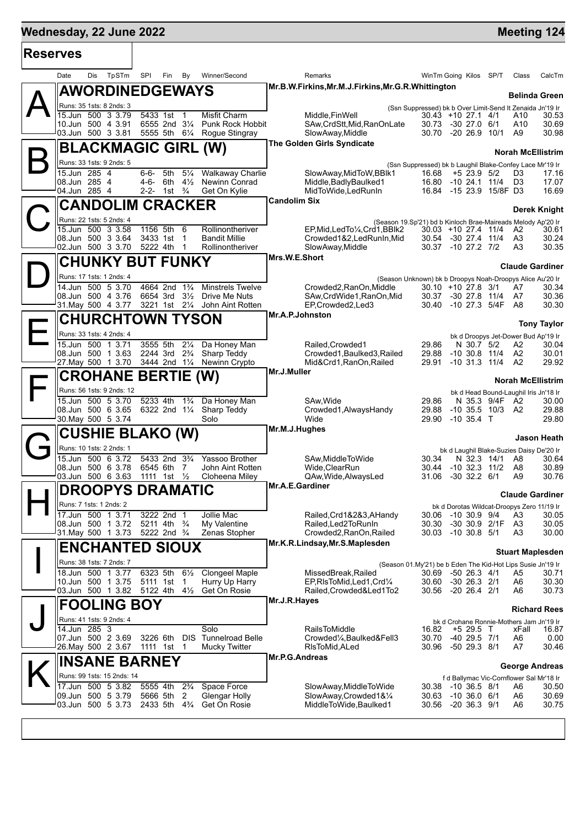т

г

| <b>Reserves</b> |                                                                     |                                                          |                                                     |                                                                                                                             |                                      |                                                            |
|-----------------|---------------------------------------------------------------------|----------------------------------------------------------|-----------------------------------------------------|-----------------------------------------------------------------------------------------------------------------------------|--------------------------------------|------------------------------------------------------------|
|                 | Dis<br>TpSTm<br>Date                                                | SPI<br>Fin<br>By                                         | Winner/Second                                       | Remarks<br>WinTm Going Kilos SP/T                                                                                           |                                      | Class<br>CalcTm                                            |
|                 | <b>AWORDINEDGEWAYS</b>                                              |                                                          |                                                     | Mr.B.W.Firkins,Mr.M.J.Firkins,Mr.G.R.Whittington                                                                            |                                      | <b>Belinda Green</b>                                       |
|                 | Runs: 35 1sts: 8 2nds: 3                                            |                                                          |                                                     | (Ssn Suppressed) bk b Over Limit-Send It Zenaida Jn'19 Ir                                                                   |                                      |                                                            |
|                 | 15.Jun 500 3 3.79<br>10.Jun 500 4 3.91                              | 5433 1st<br>$\overline{\phantom{1}}$<br>6555 2nd 31/4    | Misfit Charm<br>Punk Rock Hobbit                    | Middle, Fin Well<br>$30.43 + 1027.14/1$<br>SAw, CrdStt, Mid, RanOnLate<br>30.73 -30 27.0 6/1                                |                                      | 30.53<br>A10<br>A10<br>30.69                               |
|                 | 03.Jun 500 3 3.81                                                   |                                                          | 5555 5th 61/4 Rogue Stingray                        | SlowAway, Middle<br>30.70 -20 26.9                                                                                          | 10/1                                 | A9<br>30.98                                                |
|                 | <b>BLACKMAGIC GIRL (W)</b>                                          |                                                          |                                                     | The Golden Girls Syndicate                                                                                                  |                                      | <b>Norah McEllistrim</b>                                   |
|                 | Runs: 33 1sts: 9 2nds: 5                                            |                                                          |                                                     | (Ssn Suppressed) bk b Laughil Blake-Confey Lace Mr'19 Ir                                                                    |                                      |                                                            |
|                 | 15.Jun 285 4                                                        | 5th 51⁄4<br>6-6-                                         | <b>Walkaway Charlie</b>                             | SlowAway, MidToW, BBlk1<br>16.68                                                                                            | $+5$ 23.9 5/2                        | D3<br>17.16                                                |
|                 | 08.Jun 285 4<br>04.Jun 285 4                                        | 4-6- 6th $4\frac{1}{2}$<br>1st $\frac{3}{4}$<br>2-2-     | Newinn Conrad<br>Get On Kylie                       | Middle, Badly Baulked 1<br>16.80 -10 24.1 11/4<br>MidToWide, Led RunIn<br>16.84 -15 23.9 15/8F D3                           |                                      | D <sub>3</sub><br>17.07<br>16.69                           |
|                 | <b>CANDOLIM CRACKER</b>                                             |                                                          |                                                     | <b>Candolim Six</b>                                                                                                         |                                      |                                                            |
|                 |                                                                     |                                                          |                                                     |                                                                                                                             |                                      | Derek Knight                                               |
|                 | Runs: 22 1sts: 5 2nds: 4<br>15.Jun 500 3 3.58                       | 1156 5th<br>- 6                                          | Rollinontheriver                                    | (Season 19.Sp'21) bd b Kinloch Brae-Maireads Melody Ap'20 Ir<br>$30.03 + 10.27.4$ 11/4<br>EP, Mid, Led To 1/4, Crd 1, BBIk2 |                                      | 30.61<br>A2                                                |
|                 | 08.Jun 500 3 3.64                                                   | 3433 1st 1                                               | <b>Bandit Millie</b>                                | Crowded1&2,LedRunIn,Mid<br>30.54 -30 27.4 11/4                                                                              |                                      | A3<br>30.24                                                |
|                 | 02.Jun 500 3 3.70                                                   | 5222 4th<br>-1                                           | Rollinontheriver                                    | SlowAway, Middle<br>30.37 -10 27.2 7/2<br>Mrs.W.E.Short                                                                     |                                      | A <sub>3</sub><br>30.35                                    |
|                 | <b>CHUNKY BUT FUNKY</b>                                             |                                                          |                                                     |                                                                                                                             |                                      | <b>Claude Gardiner</b>                                     |
|                 | Runs: 17 1sts: 1 2nds: 4                                            |                                                          |                                                     | (Season Unknown) bk b Droopys Noah-Droopys Alice Au'20 Ir                                                                   |                                      |                                                            |
|                 | 14.Jun 500 5 3.70<br>08.Jun 500 4 3.76                              | 4664 2nd<br>$1\frac{3}{4}$<br>6654 3rd<br>$3\frac{1}{2}$ | <b>Minstrels Twelve</b><br>Drive Me Nuts            | Crowded2, RanOn, Middle<br>$30.10 + 1027.83/1$<br>SAw, CrdWide1, RanOn, Mid<br>30.37 -30 27.8 11/4                          |                                      | 30.34<br>A7<br>A7<br>30.36                                 |
|                 | 31. May 500 4 3.77 3221 1st 21/4 John Aint Rotten                   |                                                          |                                                     | EP,Crowded2,Led3<br>30.40 -10 27.3 5/4F                                                                                     |                                      | A8<br>30.30                                                |
|                 | <b>CHURCHTOWN TYSON</b>                                             |                                                          |                                                     | Mr.A.P.Johnston                                                                                                             |                                      | <b>Tony Taylor</b>                                         |
|                 | Runs: 33 1sts: 4 2nds: 4                                            |                                                          |                                                     |                                                                                                                             |                                      | bk d Droopys Jet-Dower Bud Ap'19 Ir                        |
|                 | 15.Jun 500 1 3.71                                                   | 3555 5th<br>$2\frac{1}{4}$                               | Da Honey Man                                        | Railed, Crowded1<br>29.86                                                                                                   | N 30.7 5/2                           | A2<br>30.04                                                |
|                 | 08.Jun 500 1 3.63<br>27. May 500 1 3.70 3444 2nd 11/4 Newinn Crypto | 2244 3rd 2 <sup>3</sup> / <sub>4</sub>                   | Sharp Teddy                                         | Crowded1, Baulked3, Railed<br>29.88<br>Mid&Crd1, RanOn, Railed<br>29.91                                                     | $-10$ 30.8 11/4<br>$-10$ 31.3 11/4   | A2<br>30.01<br>29.92<br>A2                                 |
|                 | <b>CROHANE BERTIE (W)</b>                                           |                                                          |                                                     | Mr.J.Muller                                                                                                                 |                                      |                                                            |
|                 | Runs: 56 1sts: 9 2nds: 12                                           |                                                          |                                                     |                                                                                                                             |                                      | <b>Norah McEllistrim</b>                                   |
|                 | 15.Jun 500 5 3.70                                                   | 5233 4th<br>$1\frac{3}{4}$                               | Da Honey Man                                        | SAw, Wide<br>29.86                                                                                                          | N 35.3 9/4F A2                       | bk d Head Bound-Laughil Iris Jn'18 Ir<br>30.00             |
|                 | 08.Jun 500 6 3.65<br>30 May 500 5 3.74                              | 6322 2nd 11/4                                            | Sharp Teddy<br>Solo                                 | Crowded1, Always Handy<br>29.88<br>29.90 -10 35.4 T<br>Wide                                                                 | $-10$ 35.5 $10/3$ A2                 | 29.88<br>29.80                                             |
|                 |                                                                     |                                                          |                                                     | Mr.M.J.Hughes                                                                                                               |                                      |                                                            |
|                 | <b>CUSHIE BLAKO (W)</b>                                             |                                                          |                                                     |                                                                                                                             |                                      | Jason Heath                                                |
|                 | Runs: 10 1sts: 2 2nds: 1<br>15.Jun 500 6 3.72                       | 5433 2nd 3 <sup>3</sup> / <sub>4</sub>                   | Yassoo Brother                                      | SAw, Middle To Wide<br>30.34                                                                                                | N 32.3 14/1                          | bk d Laughil Blake-Suzies Daisy De'20 Ir<br>30.64<br>A8    |
|                 | 08.Jun 500 6 3.78                                                   | 6545 6th<br>$\overline{7}$                               | John Aint Rotten                                    | Wide, ClearRun<br>30.44                                                                                                     | $-10$ 32.3 $11/2$                    | A8<br>30.89                                                |
|                 | 03.Jun 500 6 3.63                                                   | 1111 1st $\frac{1}{2}$                                   | Cloheena Miley                                      | 31.06 -30 32.2 6/1<br>QAw, Wide, Always Led<br>Mr.A.E.Gardiner                                                              |                                      | A <sub>9</sub><br>30.76                                    |
|                 | <b>DROOPYS DRAMATIC</b>                                             |                                                          |                                                     |                                                                                                                             |                                      | <b>Claude Gardiner</b>                                     |
|                 | Runs: 7 1sts: 1 2nds: 2                                             |                                                          |                                                     |                                                                                                                             |                                      | bk d Dorotas Wildcat-Droopys Zero 11/19 Ir                 |
|                 | 17.Jun 500 1 3.71<br>08.Jun 500 1 3.72                              | 3222 2nd 1<br>5211 4th <sup>3</sup> / <sub>4</sub>       | <b>Jollie Mac</b><br>My Valentine                   | Railed, Crd1&2&3, AHandy<br>30.06<br>Railed, Led 2To Run In<br>30.30                                                        | -10 30.9 9/4<br>-30 30.9 2/1F        | 30.05<br>A3<br>30.05<br>A3                                 |
|                 | 31. May 500 1 3.73                                                  | 5222 2nd <sup>3</sup> / <sub>4</sub>                     | Zenas Stopher                                       | Crowded2, RanOn, Railed<br>30.03                                                                                            | $-10,30.8,5/1$                       | A <sub>3</sub><br>30.00                                    |
|                 | <b>ENCHANTED SIOUX</b>                                              |                                                          |                                                     | Mr.K.R.Lindsay, Mr.S.Maplesden                                                                                              |                                      | <b>Stuart Maplesden</b>                                    |
|                 | Runs: 38 1sts: 7 2nds: 7                                            |                                                          |                                                     | (Season 01.My'21) be b Eden The Kid-Hot Lips Susie Jn'19 Ir                                                                 |                                      |                                                            |
|                 | 18.Jun 500 1 3.77                                                   | 6323 5th<br>$6\frac{1}{2}$                               | <b>Clongeel Maple</b>                               | MissedBreak, Railed<br>30.69                                                                                                | $-50$ 26.3 4/1                       | 30.71<br>A5                                                |
|                 | 10.Jun 500 1 3.75<br>03.Jun 500 1 3.82                              | 5111 1st 1<br>5122 4th 41/2                              | Hurry Up Harry<br>Get On Rosie                      | EP,RIsToMid,Led1,Crd1/4<br>30.60<br>Railed, Crowded & Led1To2<br>30.56                                                      | $-30$ 26.3 $2/1$<br>$-20$ 26.4 $2/1$ | A6<br>30.30<br>30.73<br>A6                                 |
|                 | <b>FOOLING BOY</b>                                                  |                                                          |                                                     | Mr.J.R.Hayes                                                                                                                |                                      |                                                            |
|                 | Runs: 41 1sts: 9 2nds: 4                                            |                                                          |                                                     |                                                                                                                             |                                      | <b>Richard Rees</b>                                        |
|                 | 14.Jun 285 3                                                        |                                                          | Solo                                                | <b>RailsToMiddle</b><br>16.82                                                                                               | $+5$ 29.5 T                          | bk d Crohane Ronnie-Mothers Jam Jn'19 Ir<br>16.87<br>xFall |
|                 | 07.Jun 500 2 3.69<br>26. May 500 2 3.67                             | 3226 6th<br>1111 1st 1                                   | <b>DIS</b> Tunnelroad Belle<br><b>Mucky Twitter</b> | Crowded1/4, Baulked&Fell3<br>30.70<br>30.96 -50 29.3 8/1                                                                    | -40 29.5 7/1                         | A6<br>0.00<br>30.46<br>A7                                  |
|                 |                                                                     |                                                          |                                                     | RIsToMid,ALed<br>Mr.P.G.Andreas                                                                                             |                                      |                                                            |
|                 | <b>INSANE BARNEY</b>                                                |                                                          |                                                     |                                                                                                                             |                                      | <b>George Andreas</b>                                      |
|                 | Runs: 99 1sts: 15 2nds: 14<br>17.Jun 500 5 3.82                     | 5555 4th<br>$2\frac{3}{4}$                               | Space Force                                         | SlowAway, MiddleToWide<br>30.38 -10 36.5 8/1                                                                                |                                      | f d Ballymac Vic-Cornflower Sal Mr'18 Ir<br>A6<br>30.50    |
|                 | 09.Jun 500 5 3.79                                                   | 5666 5th 2                                               | Glengar Holly                                       | SlowAway,Crowded1&1/4<br>30.63                                                                                              | $-10,36.0,6/1$                       | A6<br>30.69                                                |
|                 | 03.Jun 500 5 3.73                                                   | 2433 5th 4 <sup>3</sup> / <sub>4</sub>                   | Get On Rosie                                        | MiddleToWide, Baulked1<br>30.56 -20 36.3 9/1                                                                                |                                      | 30.75<br>A6                                                |
|                 |                                                                     |                                                          |                                                     |                                                                                                                             |                                      |                                                            |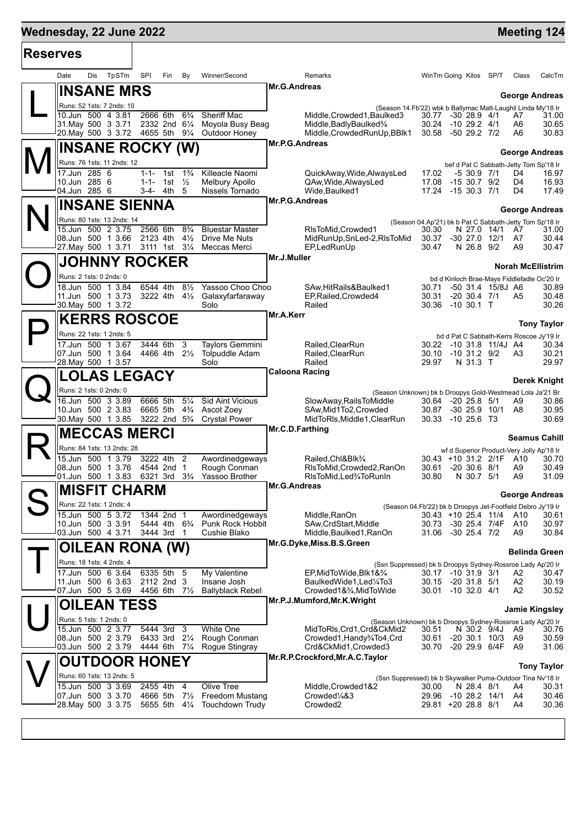| <b>Reserves</b> |                                                 |                      |                                                          |                                            |                                                           |                                                                                 |                |                                                                 |
|-----------------|-------------------------------------------------|----------------------|----------------------------------------------------------|--------------------------------------------|-----------------------------------------------------------|---------------------------------------------------------------------------------|----------------|-----------------------------------------------------------------|
|                 | TpSTm<br>Date<br>Dis                            | SPI                  | Fin<br>By                                                | Winner/Second                              | Remarks                                                   | WinTm Going Kilos                                                               | SP/T           | Class<br>CalcTm                                                 |
|                 | <b>INSANE MRS</b>                               |                      |                                                          |                                            | <b>Mr.G.Andreas</b>                                       |                                                                                 |                | <b>George Andreas</b>                                           |
|                 | Runs: 52 1sts: 7 2nds: 10                       |                      |                                                          |                                            |                                                           | (Season 14.Fb'22) wbk b Ballymac Matt-Laughil Linda My'18 Ir                    |                |                                                                 |
|                 | 10.Jun 500 4 3.81<br>31 May 500 3 3.71          | 2666 6th             | $6\frac{3}{4}$<br>2332 2nd 61/4                          | Sheriff Mac<br>Moyola Busy Beag            | Middle, Crowded 1, Baulked 3<br>Middle, Badly Baulked 3/4 | 30.77 -30 28.9 4/1<br>30.24<br>$-10$ 29.2 $4/1$                                 |                | 31.00<br>A7<br>A6<br>30.65                                      |
|                 | 20. May 500 3 3.72                              | 4655 5th             | $9\frac{1}{4}$                                           | Outdoor Honey                              | Middle, Crowded RunUp, BBlk1                              | -50 29.2 7/2<br>30.58                                                           |                | A6<br>30.83                                                     |
|                 | INSANE ROCKY (W)                                |                      |                                                          |                                            | Mr.P.G.Andreas                                            |                                                                                 |                |                                                                 |
|                 | Runs: 76 1sts: 11 2nds: 12                      |                      |                                                          |                                            |                                                           |                                                                                 |                | <b>George Andreas</b><br>bef d Pat C Sabbath-Jetty Tom Sp'18 Ir |
|                 | 17.Jun 285 6                                    | 1-1-                 | $1\frac{3}{4}$<br>1st                                    | Killeacle Naomi                            | QuickAway, Wide, AlwaysLed                                | $-530.97/1$<br>17.02                                                            |                | D4<br>16.97                                                     |
|                 | 10.Jun 285 6<br>04.Jun 285 6                    | 3-4-                 | 1-1- 1st $\frac{1}{2}$<br>- 5<br>4th                     | <b>Melbury Apollo</b><br>Nissels Tornado   | QAw, Wide, AlwaysLed<br>Wide, Baulked1                    | 17.08<br>$-1530.79/2$<br>17.24 -15 30.3 7/1                                     |                | D4<br>16.93<br>D4<br>17.49                                      |
|                 | <b>INSANE SIENNA</b>                            |                      |                                                          |                                            | Mr.P.G.Andreas                                            |                                                                                 |                |                                                                 |
|                 |                                                 |                      |                                                          |                                            |                                                           |                                                                                 |                | George Andreas                                                  |
|                 | Runs: 80 1sts: 13 2nds: 14<br>15.Jun 500 2 3.75 | 2566 6th             | $8\frac{3}{4}$                                           | <b>Bluestar Master</b>                     | RIsToMid, Crowded1                                        | (Season 04.Ap'21) bk b Pat C Sabbath-Jetty Tom Sp'18 Ir<br>30.30<br>N 27.0 14/1 |                | 31.00<br>A7                                                     |
|                 | 08.Jun 500 1 3.66                               | 2123 4th             | $4\frac{1}{2}$                                           | Drive Me Nuts                              | MidRunUp,SnLed-2,RIsToMid                                 | 30.37<br>$-30$ 27.0 12/1                                                        |                | 30.44<br>A7                                                     |
|                 | 27. May 500 1 3.71                              |                      | 3111 1st 31/4                                            | Meccas Merci                               | EP,LedRunUp<br>Mr.J.Muller                                | 30.47<br>N 26.8 9/2                                                             |                | A9<br>30.47                                                     |
|                 | <b>JOHNNY ROCKER</b>                            |                      |                                                          |                                            |                                                           |                                                                                 |                | <b>Norah McEllistrim</b>                                        |
|                 | Runs: 2 1sts: 0 2nds: 0                         |                      |                                                          |                                            |                                                           | bd d Kinloch Brae-Mays Fiddlefadle Oc'20 Ir                                     |                |                                                                 |
|                 | 18.Jun 500 1 3.84<br>11.Jun 500 1 3.73          | 6544 4th<br>3222 4th | $8\frac{1}{2}$<br>$4\frac{1}{2}$                         | Yassoo Choo Choo<br>Galaxyfarfaraway       | SAw, Hit Rails & Baulked 1<br>EP, Railed, Crowded4        | 30.71<br>-50 31.4 15/8J A6<br>$-20$ 30.4 $7/1$<br>30.31                         |                | 30.89<br>30.48<br>A5                                            |
|                 | 30. May 500 1 3.72                              |                      |                                                          | Solo                                       | Railed                                                    | $-10,30.1$ T<br>30.36                                                           |                | 30.26                                                           |
|                 | <b>KERRS ROSCOE</b>                             |                      |                                                          |                                            | Mr.A.Kerr                                                 |                                                                                 |                | <b>Tony Taylor</b>                                              |
|                 | Runs: 22 1sts: 1 2nds: 5                        |                      |                                                          |                                            |                                                           | bd d Pat C Sabbath-Kerrs Roscoe Jy'19 Ir                                        |                |                                                                 |
|                 | 17.Jun 500 1 3.67                               | 3444 6th             | 3                                                        | <b>Taylors Gemmini</b>                     | Railed, ClearRun                                          | 30.22 -10 31.8 11/4J A4                                                         |                | 30.34                                                           |
|                 | 07.Jun 500 1 3.64<br>28. May 500 1 3.57         | 4466 4th             | $2\frac{1}{2}$                                           | Tolpuddle Adam<br>Solo                     | Railed, ClearRun<br>Railed                                | $-10$ 31.2 $9/2$<br>30.10<br>N 31.3 T<br>29.97                                  |                | 30.21<br>A3<br>29.97                                            |
|                 | <b>LOLAS LEGACY</b>                             |                      |                                                          |                                            | <b>Caloona Racing</b>                                     |                                                                                 |                |                                                                 |
|                 | Runs: 2 1sts: 0 2nds: 0                         |                      |                                                          |                                            |                                                           |                                                                                 |                | Derek Knight                                                    |
|                 | 16.Jun 500 3 3.89                               | 6666 5th             | $5\frac{1}{4}$                                           | <b>Sid Aint Vicious</b>                    | SlowAway, RailsToMiddle                                   | (Season Unknown) bk b Droopys Gold-Westmead Lola Ja'21 Br<br>30.64 -20 25.8 5/1 |                | A9<br>30.86                                                     |
|                 | 10.Jun 500 2 3.83<br>30. May 500 1 3.85         | 6665 5th             | $4\frac{3}{4}$<br>3222 2nd 5 <sup>3</sup> / <sub>4</sub> | Ascot Zoey<br><b>Crystal Power</b>         | SAw, Mid1To2, Crowded<br>MidToRIs, Middle1, ClearRun      | 30.87<br>$-30$ 25.9 10/1<br>30.33 -10 25.6 T3                                   |                | 30.95<br>A8<br>30.69                                            |
|                 |                                                 |                      |                                                          |                                            | Mr.C.D.Farthing                                           |                                                                                 |                |                                                                 |
|                 | <b>MECCAS MERCI</b>                             |                      |                                                          |                                            |                                                           |                                                                                 |                | <b>Seamus Cahill</b>                                            |
|                 | Runs: 84 1sts: 13 2nds: 28<br>15.Jun 500 1 3.79 | 3222 4th             | 2                                                        | Awordinedgeways                            | Railed, Chl&Blk <sup>3</sup> /4                           | wf d Superior Product-Very Jolly Ap'18 Ir<br>30.43 +10 31.2 2/1F A10            |                | 30.70                                                           |
|                 | 08.Jun 500 1 3.76                               |                      | 4544 2nd 1                                               | Rough Conman                               | RIsToMid, Crowded2, RanOn                                 | 30.61<br>$-20,30.6,8/1$                                                         |                | 30.49<br>A9                                                     |
|                 | 01.Jun 500 1 3.83                               |                      | 6321 3rd 3 <sup>3</sup> / <sub>4</sub>                   | Yassoo Brother                             | RIsToMid, Led <sup>3</sup> /4ToRunIn<br>Mr.G.Andreas      | 30.80<br>N 30.7 5/1                                                             |                | A9<br>31.09                                                     |
|                 | <b>MISFIT CHARM</b>                             |                      |                                                          |                                            |                                                           |                                                                                 |                | <b>George Andreas</b>                                           |
|                 | Runs: 22 1sts: 1 2nds: 4                        |                      |                                                          |                                            |                                                           | (Season 04.Fb'22) bk b Droopys Jet-Footfield Debro Jy'19 Ir                     |                |                                                                 |
|                 | 15.Jun 500 5 3.72<br>10.Jun 500 3 3.91          |                      | 1344 2nd 1<br>5444 4th 6 <sup>3</sup> / <sub>4</sub>     | Awordinedgeways<br><b>Punk Rock Hobbit</b> | Middle, RanOn<br>SAw, CrdStart, Middle                    | 30.43 +10 25.4 11/4<br>30.73 -30 25.4 7/4F                                      |                | A10<br>30.61<br>A10<br>30.97                                    |
|                 | 03.Jun 500 4 3.71                               |                      | 3444 3rd 1                                               | Cushie Blako                               | Middle, Baulked 1, RanOn                                  | 31.06 -30 25.4 7/2                                                              |                | 30.84<br>A9                                                     |
|                 | <b>OILEAN RONA (W)</b>                          |                      |                                                          |                                            | Mr.G.Dyke, Miss.B.S.Green                                 |                                                                                 |                | <b>Belinda Green</b>                                            |
|                 | Runs: 18 1sts: 4 2nds: 4                        |                      |                                                          |                                            |                                                           | (Ssn Suppressed) bk b Droopys Sydney-Rossroe Lady Ap'20 Ir                      |                |                                                                 |
|                 | 17.Jun 500 6 3.64                               |                      | 6335 5th 5                                               | My Valentine                               | EP, MidToWide, Blk1&3/4                                   | 30.17 -10 31.9 3/1                                                              |                | A2<br>30.47                                                     |
|                 | 11.Jun 500 6 3.63<br>07.Jun 500 5 3.69          | 4456 6th             | 2112 2nd 3<br>$7\frac{1}{2}$                             | Insane Josh<br><b>Ballyblack Rebel</b>     | BaulkedWide1,Led¼To3<br>Crowded1&3⁄4, MidToWide           | 30.15 -20 31.8 5/1<br>30.01 -10 32.0 4/1                                        |                | A <sub>2</sub><br>30.19<br>A2<br>30.52                          |
|                 | <b>OILEAN TESS</b>                              |                      |                                                          |                                            | Mr.P.J.Mumford, Mr.K. Wright                              |                                                                                 |                |                                                                 |
|                 | Runs: 5 1sts: 1 2nds: 0                         |                      |                                                          |                                            |                                                           |                                                                                 |                | <b>Jamie Kingsley</b>                                           |
|                 | 15.Jun 500 2 3.77                               | 5444 3rd             | 3                                                        | <b>White One</b>                           | MidToRIs, Crd1, Crd&CkMid2                                | (Season Unknown) bk b Droopys Sydney-Rossroe Lady Ap'20 Ir<br>30.51             | N 30.2 9/4J A9 | 30.76                                                           |
|                 | 08.Jun 500 2 3.79                               |                      | 6433 3rd 21/4                                            | Rough Conman                               | Crowded1, Handy3/4To4, Crd                                | $-20$ 30.1 10/3<br>30.61                                                        |                | 30.59<br>A9                                                     |
|                 | 03.Jun 500 2 3.79                               |                      | 4444 6th 71/4                                            | Rogue Stingray                             | Crd&CkMid1,Crowded3<br>Mr.R.P.Crockford, Mr.A.C. Taylor   | 30.70<br>-20 29.9 6/4F A9                                                       |                | 31.06                                                           |
|                 | <b>OUTDOOR HONEY</b>                            |                      |                                                          |                                            |                                                           |                                                                                 |                | <b>Tony Taylor</b>                                              |
|                 | Runs: 60 1sts: 13 2nds: 5<br>15.Jun 500 3 3.69  | 2455 4th             |                                                          | Olive Tree                                 |                                                           | (Ssn Suppressed) bk b Skywalker Puma-Outdoor Tina Nv'18 Ir                      |                |                                                                 |
|                 | 07.Jun 500 3 3.70                               | 4666 5th             | $\overline{4}$<br>$7\frac{1}{2}$                         | <b>Freedom Mustang</b>                     | Middle, Crowded 1&2<br>Crowded <sup>1</sup> /4&3          | 30.00<br>N 28.4 8/1<br>29.96<br>$-10$ 28.2 $14/1$                               |                | A4<br>30.31<br>30.46<br>A4                                      |
|                 | 28. May 500 3 3.75                              |                      | 5655 5th<br>$4\frac{1}{4}$                               | <b>Touchdown Trudy</b>                     | Crowded <sub>2</sub>                                      | 29.81 +20 28.8 8/1                                                              |                | 30.36<br>A4                                                     |
|                 |                                                 |                      |                                                          |                                            |                                                           |                                                                                 |                |                                                                 |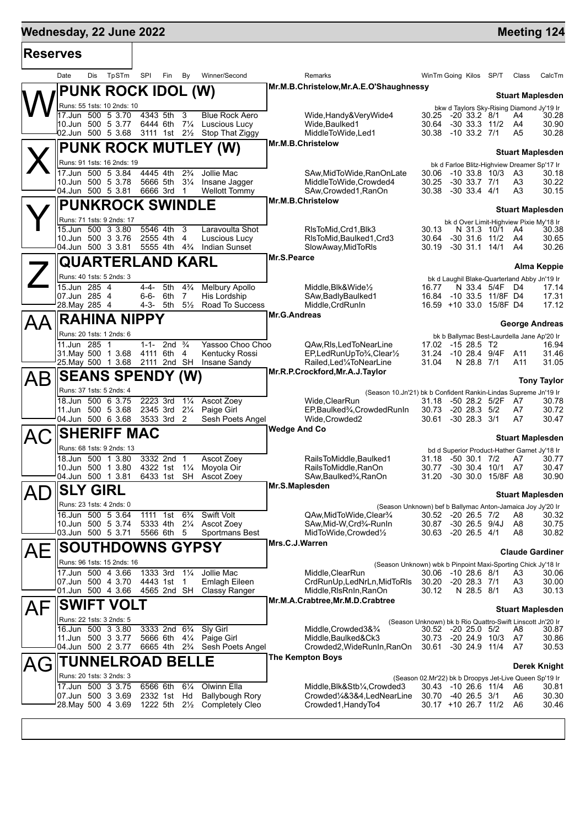| <b>Reserves</b> |                                         |     |                                        |           |                                                         |                               |                                                  |                     |                                                                            |                                           |                                      |                                      |                      |                                                                    |
|-----------------|-----------------------------------------|-----|----------------------------------------|-----------|---------------------------------------------------------|-------------------------------|--------------------------------------------------|---------------------|----------------------------------------------------------------------------|-------------------------------------------|--------------------------------------|--------------------------------------|----------------------|--------------------------------------------------------------------|
|                 | Date                                    | Dis | TpSTm                                  | SPI       | Fin                                                     | By                            | Winner/Second                                    |                     | Remarks                                                                    | WinTm Going Kilos SP/T                    |                                      |                                      | Class                | CalcTm                                                             |
|                 |                                         |     | <b>PUNK ROCK IDOL (W)</b>              |           |                                                         |                               |                                                  |                     | Mr.M.B.Christelow, Mr.A.E.O'Shaughnessy                                    |                                           |                                      |                                      |                      | <b>Stuart Maplesden</b>                                            |
|                 |                                         |     | Runs: 55 1sts: 10 2nds: 10             |           |                                                         |                               |                                                  |                     |                                                                            |                                           |                                      |                                      |                      | bkw d Taylors Sky-Rising Diamond Jy'19 Ir                          |
|                 |                                         |     | 17.Jun 500 5 3.70<br>10.Jun 500 5 3.77 |           | 4343 5th<br>6444 6th 71/4                               | $\mathbf{3}$                  | <b>Blue Rock Aero</b><br>Luscious Lucy           |                     | Wide, Handy & Very Wide 4<br>Wide, Baulked1                                | 30.25<br>30.64                            | $-20$ 33.2 $8/1$<br>$-30$ 33.3 11/2  |                                      | A4<br>A4             | 30.28<br>30.90                                                     |
|                 |                                         |     | 02.Jun 500 5 3.68                      |           |                                                         |                               | 3111 1st 21/2 Stop That Ziggy                    |                     | MiddleToWide, Led1                                                         | 30.38                                     | $-10$ 33.2 $7/1$                     |                                      | A5                   | 30.28                                                              |
|                 |                                         |     |                                        |           |                                                         |                               | PUNK ROCK MUTLEY (W)                             |                     | Mr.M.B.Christelow                                                          |                                           |                                      |                                      |                      | <b>Stuart Maplesden</b>                                            |
|                 |                                         |     | Runs: 91 1sts: 16 2nds: 19             |           |                                                         |                               |                                                  |                     |                                                                            |                                           |                                      |                                      |                      | bk d Farloe Blitz-Highview Dreamer Sp'17 Ir                        |
|                 |                                         |     | 17.Jun 500 5 3.84                      |           | 4445 4th                                                | $2\frac{3}{4}$                | Jollie Mac                                       |                     | SAw, MidToWide, RanOnLate                                                  | 30.06                                     |                                      | $-10$ 33.8 $10/3$                    | A3                   | 30.18                                                              |
|                 | 10.Jun 500 5 3.78                       |     | 04.Jun 500 5 3.81                      |           | 5666 5th<br>6666 3rd                                    | $3\frac{1}{4}$<br>$\mathbf 1$ | Insane Jagger<br><b>Wellott Tommy</b>            |                     | MiddleToWide.Crowded4<br>SAw,Crowded1,RanOn                                | 30.25<br>30.38                            | $-30$ 33.7 $7/1$<br>$-30$ 33.4 $4/1$ |                                      | A3<br>A3             | 30.22<br>30.15                                                     |
|                 |                                         |     | <b>PUNKROCK SWINDLE</b>                |           |                                                         |                               |                                                  |                     | Mr.M.B.Christelow                                                          |                                           |                                      |                                      |                      |                                                                    |
|                 |                                         |     | Runs: 71 1sts: 9 2nds: 17              |           |                                                         |                               |                                                  |                     |                                                                            |                                           |                                      |                                      |                      | <b>Stuart Maplesden</b><br>bk d Over Limit-Highview Pixie My'18 Ir |
|                 |                                         |     | 15.Jun 500 3 3.80                      |           | 5546 4th                                                | 3                             | Laravoulta Shot                                  |                     | RIsToMid, Crd1, Blk3                                                       | 30.13                                     |                                      | N 31.3 10/1                          | A4                   | 30.38                                                              |
|                 | 04.Jun 500 3 3.81                       |     | 10.Jun 500 3 3.76                      |           | 2555 4th<br>5555 4th 4 <sup>3</sup> / <sub>4</sub>      | 4                             | Luscious Lucy<br><b>Indian Sunset</b>            |                     | RIsToMid, Baulked1, Crd3<br>SlowAway, MidToRIs                             | 30.64<br>30.19                            |                                      | $-30$ 31.6 11/2<br>$-30$ 31.1 14/1   | A4<br>A4             | 30.65<br>30.26                                                     |
|                 |                                         |     | <b>QUARTERLAND KARL</b>                |           |                                                         |                               |                                                  | Mr.S.Pearce         |                                                                            |                                           |                                      |                                      |                      |                                                                    |
|                 |                                         |     | Runs: 40 1sts: 5 2nds: 3               |           |                                                         |                               |                                                  |                     |                                                                            |                                           |                                      |                                      |                      | Alma Keppie                                                        |
|                 | 15.Jun 285 4                            |     |                                        | $4 - 4 -$ | 5th                                                     | $4\frac{3}{4}$                | Melbury Apollo                                   |                     | Middle, Blk&Wide1/2                                                        | 16.77                                     |                                      | N 33.4 5/4F                          | D4                   | bk d Laughil Blake-Quarterland Abby Jn'19 Ir<br>17.14              |
|                 | 07.Jun 285 4                            |     |                                        | $6 - 6 -$ | 6th                                                     | 7                             | <b>His Lordship</b>                              |                     | SAw, Badly Baulked 1                                                       | 16.84                                     |                                      | -10 33.5 11/8F D4                    |                      | 17.31                                                              |
|                 | 28. May 285 4                           |     |                                        |           | 4-3- 5th                                                | $5\frac{1}{2}$                | Road To Success                                  | Mr.G.Andreas        | Middle, CrdRunIn                                                           | 16.59 +10 33.0 15/8F D4                   |                                      |                                      |                      | 17.12                                                              |
|                 |                                         |     | <b>RAHINA NIPPY</b>                    |           |                                                         |                               |                                                  |                     |                                                                            |                                           |                                      |                                      |                      | <b>George Andreas</b>                                              |
|                 | 11.Jun 285 1                            |     | Runs: 20 1sts: 1 2nds: 6               | 1-1-      | 2nd $\frac{3}{4}$                                       |                               | Yassoo Choo Choo                                 |                     | QAw, RIs, Led To Near Line                                                 | 17.02                                     | -15 28.5 T2                          |                                      |                      | bk b Ballymac Best-Laurdella Jane Ap'20 Ir<br>16.94                |
|                 | 31 May 500 1 3.68                       |     |                                        |           | 4111 6th                                                | 4                             | Kentucky Rossi                                   |                     | EP,LedRunUpTo3/4,Clear1/2                                                  | 31.24                                     |                                      | -10 28.4 9/4F                        | A11                  | 31.46                                                              |
|                 | 25. May 500 1 3.68                      |     |                                        |           | 2111 2nd SH                                             |                               | Insane Sandy                                     |                     | Railed, Led 1/4 To Near Line<br>Mr.R.P.Crockford, Mr.A.J.Taylor            | 31.04                                     | N 28.8 7/1                           |                                      | A11                  | 31.05                                                              |
| AВ              |                                         |     | <b>SEANS SPENDY (W)</b>                |           |                                                         |                               |                                                  |                     |                                                                            |                                           |                                      |                                      |                      | <b>Tony Taylor</b>                                                 |
|                 |                                         |     | Runs: 37 1sts: 5 2nds: 4               |           |                                                         |                               |                                                  |                     | (Season 10.Jn'21) bk b Confident Rankin-Lindas Supreme Jn'19 Ir            |                                           |                                      |                                      |                      |                                                                    |
|                 |                                         |     | 18.Jun 500 6 3.75<br>11.Jun 500 5 3.68 |           | 2223 3rd<br>2345 3rd 21/4                               | $1\frac{1}{4}$                | Ascot Zoey<br>Paige Girl                         |                     | Wide, ClearRun<br>EP, Baulked <sup>3</sup> / <sub>4</sub> , Crowded Run In | 31.18<br>30.73                            | $-20$ 28.3 $5/2$                     | -50 28.2 5/2F                        | A7<br>A7             | 30.78<br>30.72                                                     |
|                 | 04.Jun 500 6 3.68                       |     |                                        |           | 3533 3rd 2                                              |                               | Sesh Poets Angel                                 |                     | Wide, Crowded2                                                             | 30.61                                     | $-30$ 28.3 $3/1$                     |                                      | A7                   | 30.47                                                              |
|                 |                                         |     | <b>SHERIFF MAC</b>                     |           |                                                         |                               |                                                  | <b>Wedge And Co</b> |                                                                            |                                           |                                      |                                      |                      | <b>Stuart Maplesden</b>                                            |
|                 |                                         |     | Runs: 68 1sts: 9 2nds: 13              |           |                                                         |                               |                                                  |                     |                                                                            |                                           |                                      |                                      |                      | bd d Superior Product-Hather Garnet Jy'18 Ir                       |
|                 |                                         |     | 18.Jun 500 1 3.80<br>10.Jun 500 1 3.80 |           | 3332 2nd 1<br>4322 1st                                  | $1\frac{1}{4}$                | <b>Ascot Zoev</b><br>Moyola Oir                  |                     | RailsToMiddle.Baulked1<br>RailsToMiddle.RanOn                              | 31.18<br>30.77                            | $-50$ 30.1 $7/2$<br>$-30,30.4$       | 10/1                                 | A7<br>A7             | 30.77<br>30.47                                                     |
|                 |                                         |     | 04.Jun 500 1 3.81                      |           | 6433 1st                                                | SH                            | Ascot Zoey                                       |                     | SAw,Baulked¾,RanOn                                                         | 31.20                                     |                                      | -30 30.0 15/8F A8                    |                      | 30.90                                                              |
| AD              | <b>SLY GIRL</b>                         |     |                                        |           |                                                         |                               |                                                  | Mr.S.Maplesden      |                                                                            |                                           |                                      |                                      |                      | <b>Stuart Maplesden</b>                                            |
|                 |                                         |     | Runs: 23 1sts: 4 2nds: 0               |           |                                                         |                               |                                                  |                     | (Season Unknown) bef b Ballymac Anton-Jamaica Joy Jy'20 Ir                 |                                           |                                      |                                      |                      |                                                                    |
|                 | 16.Jun 500 5 3.64<br>10.Jun 500 5 3.74  |     |                                        |           | 1111 1st 6 <sup>3</sup> / <sub>4</sub><br>5333 4th 21/4 |                               | Swift Volt<br>Ascot Zoey                         |                     | QAw.MidToWide.Clear <sup>3</sup> /4<br>SAw, Mid-W, Crd3/4-RunIn            | 30.52 -20 26.5 7/2<br>30.87               | $-30$ 26.5 $9/4J$                    |                                      | A8<br>A8             | 30.32<br>30.75                                                     |
|                 | 03.Jun 500 5 3.71                       |     |                                        |           | 5566 6th                                                | -5                            | Sportmans Best                                   |                     | MidToWide, Crowded1/2                                                      | 30.63 -20 26.5 4/1                        |                                      |                                      | A8                   | 30.82                                                              |
| AЕ              |                                         |     | <b>SOUTHDOWNS GYPSY</b>                |           |                                                         |                               |                                                  | Mrs.C.J.Warren      |                                                                            |                                           |                                      |                                      |                      | <b>Claude Gardiner</b>                                             |
|                 |                                         |     | Runs: 96 1sts: 15 2nds: 16             |           |                                                         |                               |                                                  |                     | (Season Unknown) wbk b Pinpoint Maxi-Sporting Chick Jy'18 Ir               |                                           |                                      |                                      |                      |                                                                    |
|                 | 07.Jun 500 4 3.70                       |     | 17.Jun 500 4 3.66                      |           | 1333 3rd                                                | $1\frac{1}{4}$                | Jollie Mac                                       |                     | Middle, ClearRun<br>CrdRunUp, LedNrLn, MidToRIs                            | 30.06 -10 28.6 8/1                        |                                      |                                      | A3                   | 30.06                                                              |
|                 | 01.Jun 500 4 3.66                       |     |                                        |           | 4443 1st 1<br>4565 2nd SH                               |                               | Emlagh Eileen<br><b>Classy Ranger</b>            |                     | Middle, RIsRnIn, RanOn                                                     | 30.20<br>30.12                            | $-20$ 28.3 $7/1$<br>N 28.5 8/1       |                                      | A <sub>3</sub><br>A3 | 30.00<br>30.13                                                     |
| AF              |                                         |     | <b>SWIFT VOLT</b>                      |           |                                                         |                               |                                                  |                     | Mr.M.A.Crabtree, Mr.M.D.Crabtree                                           |                                           |                                      |                                      |                      |                                                                    |
|                 |                                         |     | Runs: 22 1sts: 3 2nds: 5               |           |                                                         |                               |                                                  |                     | (Season Unknown) bk b Rio Quattro-Swift Linscott Jn'20 Ir                  |                                           |                                      |                                      |                      | <b>Stuart Maplesden</b>                                            |
|                 | 16.Jun 500 3 3.80                       |     |                                        |           | 3333 2nd 6 <sup>3</sup> / <sub>4</sub>                  |                               | Sly Girl                                         |                     | Middle, Crowded 3& 3/4                                                     | 30.52 -20 25.0 5/2                        |                                      |                                      | A8                   | 30.87                                                              |
|                 | 04.Jun 500 2 3.77                       |     | 11.Jun 500 3 3.77                      |           | 5666 6th<br>6665 4th 2 <sup>3</sup> / <sub>4</sub>      | $4\frac{1}{4}$                | Paige Girl<br>Sesh Poets Angel                   |                     | Middle, Baulked&Ck3<br>Crowded2, WideRunIn, RanOn                          | 30.73<br>30.61                            |                                      | $-20$ 24.9 $10/3$<br>$-30$ 24.9 11/4 | A7<br>A7             | 30.86<br>30.53                                                     |
|                 |                                         |     | <b>TUNNELROAD BELLE</b>                |           |                                                         |                               |                                                  |                     | <b>The Kempton Boys</b>                                                    |                                           |                                      |                                      |                      |                                                                    |
| AG              |                                         |     | Runs: 20 1sts: 3 2nds: 3               |           |                                                         |                               |                                                  |                     |                                                                            |                                           |                                      |                                      |                      | <b>Derek Knight</b>                                                |
|                 |                                         |     | 17.Jun 500 3 3.75                      |           | 6566 6th                                                | $6\frac{1}{4}$                | Olwinn Ella                                      |                     | Middle, Blk&Stb1/ <sub>4</sub> , Crowded3                                  | 30.43 -10 26.6 11/4                       |                                      |                                      | A6                   | (Season 02.Mr'22) bk b Droopys Jet-Live Queen Sp'19 Ir<br>30.81    |
|                 | 07.Jun 500 3 3.69<br>28. May 500 4 3.69 |     |                                        |           | 2332 1st                                                | Hd                            | <b>Ballybough Rory</b><br><b>Completely Cleo</b> |                     | Crowded1/4&3&4,LedNearLine<br>Crowded1, HandyTo4                           | 30.70 -40 26.5 3/1<br>30.17 +10 26.7 11/2 |                                      |                                      | A6<br>A6             | 30.30<br>30.46                                                     |
|                 |                                         |     |                                        |           | 1222 5th 2½                                             |                               |                                                  |                     |                                                                            |                                           |                                      |                                      |                      |                                                                    |